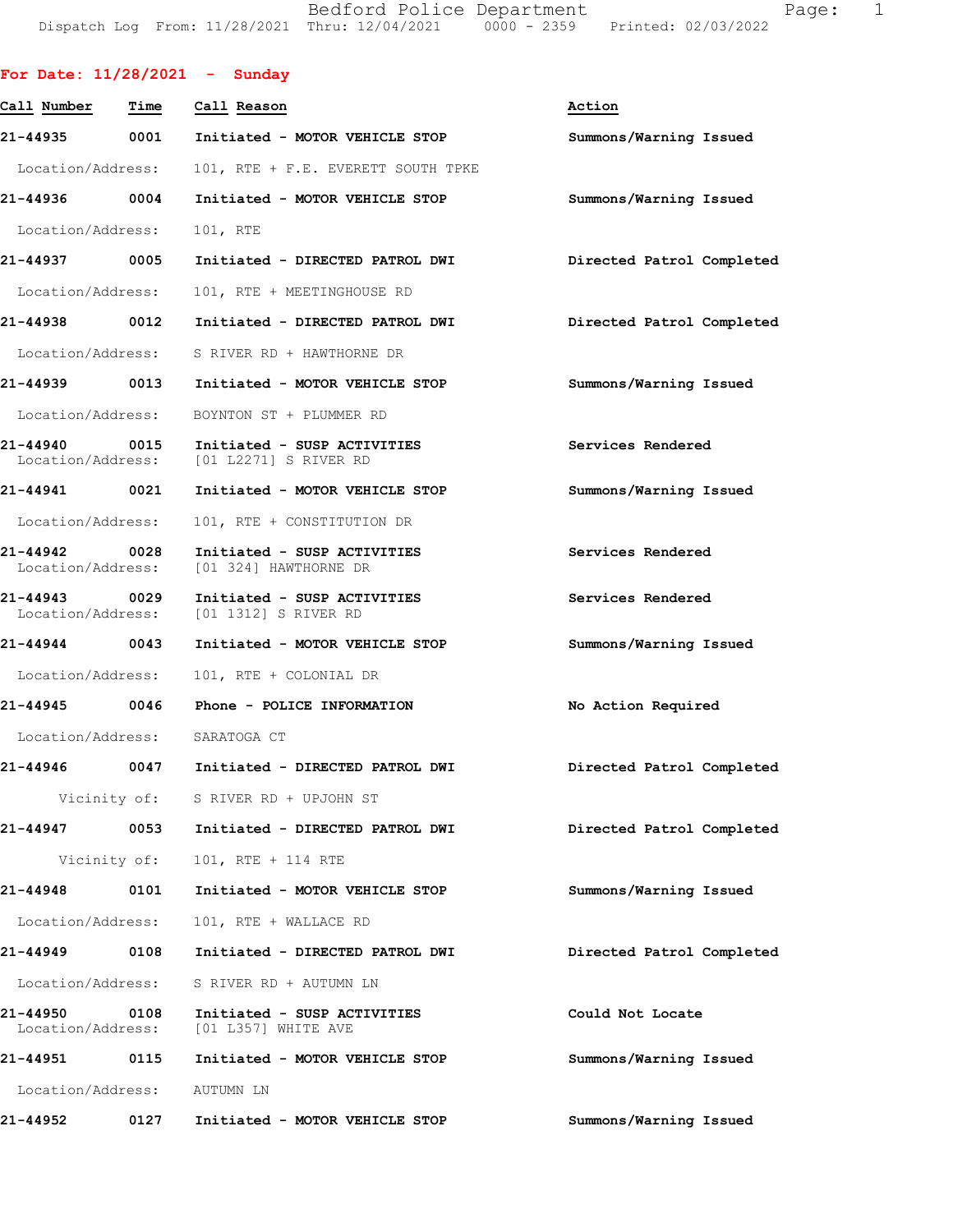Bedford Police Department Page: 1 DispatchLogFrom:11/28/2021Thru:12/04/20210000-2359Printed:02/03/2022

|                             |      | For Date: $11/28/2021$ - Sunday                                        |                           |
|-----------------------------|------|------------------------------------------------------------------------|---------------------------|
| Call Number                 | Time | Call Reason                                                            | Action                    |
|                             |      | 21-44935 0001 Initiated - MOTOR VEHICLE STOP                           | Summons/Warning Issued    |
| Location/Address:           |      | 101, RTE + F.E. EVERETT SOUTH TPKE                                     |                           |
| 21-44936 0004               |      | Initiated - MOTOR VEHICLE STOP                                         | Summons/Warning Issued    |
| Location/Address:           |      | 101, RTE                                                               |                           |
| 21-44937 0005               |      | Initiated - DIRECTED PATROL DWI                                        | Directed Patrol Completed |
| Location/Address:           |      | 101, RTE + MEETINGHOUSE RD                                             |                           |
| 21-44938 0012               |      | Initiated - DIRECTED PATROL DWI                                        | Directed Patrol Completed |
|                             |      | Location/Address: S RIVER RD + HAWTHORNE DR                            |                           |
|                             |      |                                                                        | Summons/Warning Issued    |
|                             |      | Location/Address: BOYNTON ST + PLUMMER RD                              |                           |
| 21-44940 0015               |      | Initiated - SUSP ACTIVITIES<br>Location/Address: [01 L2271] S RIVER RD | Services Rendered         |
| 21-44941 0021               |      | Initiated - MOTOR VEHICLE STOP                                         | Summons/Warning Issued    |
| Location/Address:           |      | 101, RTE + CONSTITUTION DR                                             |                           |
| 21-44942 0028               |      | Initiated - SUSP ACTIVITIES<br>Location/Address: [01 324] HAWTHORNE DR | Services Rendered         |
| 21-44943 0029               |      | Initiated - SUSP ACTIVITIES<br>Location/Address: [01 1312] S RIVER RD  | Services Rendered         |
| 21-44944 0043               |      | Initiated - MOTOR VEHICLE STOP                                         | Summons/Warning Issued    |
| Location/Address:           |      | 101, RTE + COLONIAL DR                                                 |                           |
|                             |      | 21-44945 0046 Phone - POLICE INFORMATION                               | No Action Required        |
|                             |      | Location/Address: SARATOGA CT                                          |                           |
|                             |      | 21-44946 0047 Initiated - DIRECTED PATROL DWI                          | Directed Patrol Completed |
|                             |      | Vicinity of: S RIVER RD + UPJOHN ST                                    |                           |
|                             |      | 21-44947 0053 Initiated - DIRECTED PATROL DWI                          | Directed Patrol Completed |
|                             |      | Vicinity of: 101, RTE + 114 RTE                                        |                           |
| 21-44948 0101               |      | Initiated - MOTOR VEHICLE STOP                                         | Summons/Warning Issued    |
| Location/Address:           |      | 101, RTE + WALLACE RD                                                  |                           |
| 21-44949                    | 0108 | Initiated - DIRECTED PATROL DWI                                        | Directed Patrol Completed |
|                             |      | Location/Address: S RIVER RD + AUTUMN LN                               |                           |
| 21-44950                    | 0108 | Initiated - SUSP ACTIVITIES<br>Location/Address: [01 L357] WHITE AVE   | Could Not Locate          |
| 21-44951 0115               |      | Initiated - MOTOR VEHICLE STOP                                         | Summons/Warning Issued    |
| Location/Address: AUTUMN LN |      |                                                                        |                           |
| 21-44952                    | 0127 | Initiated - MOTOR VEHICLE STOP                                         | Summons/Warning Issued    |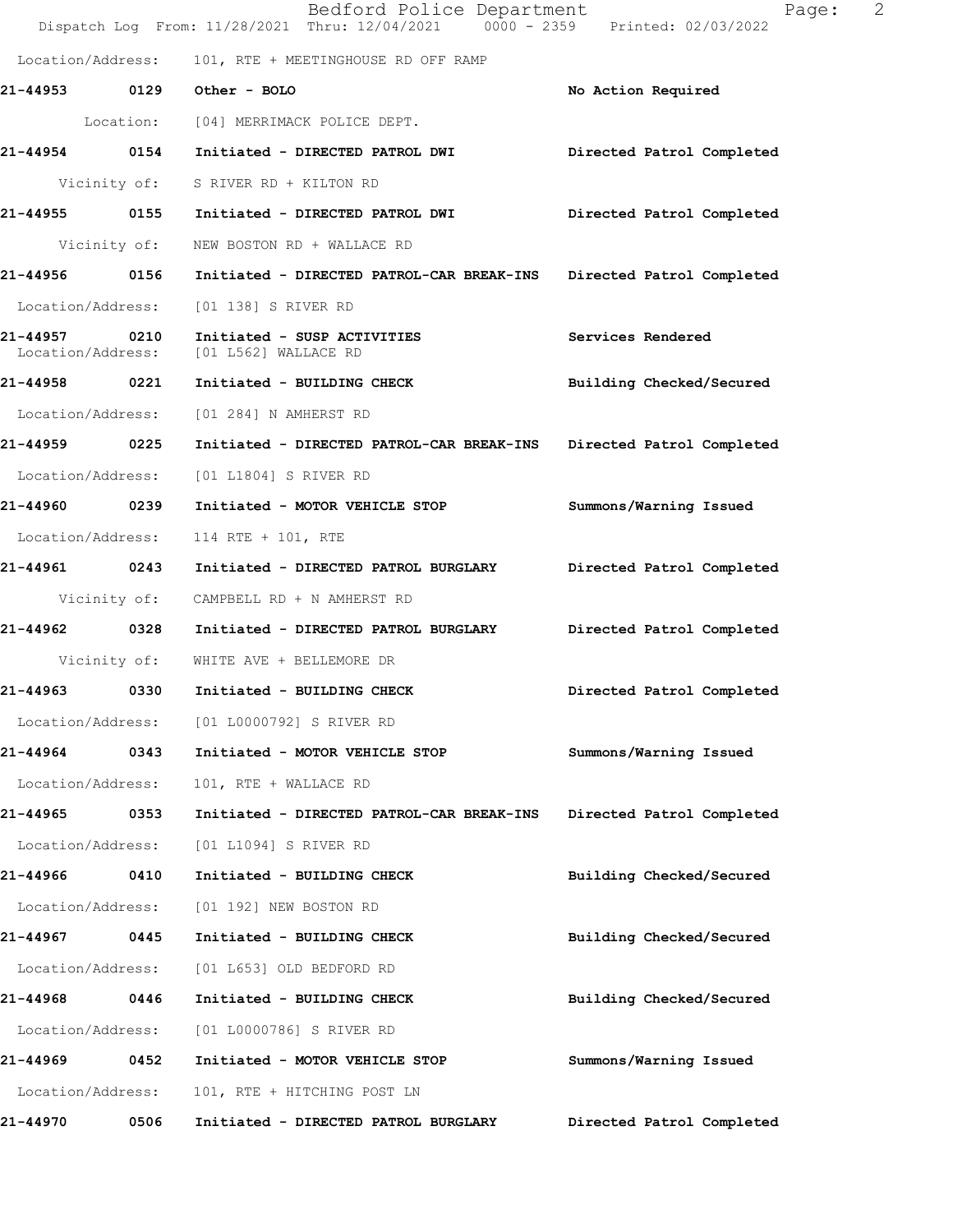|                               |              | Bedford Police Department<br>Dispatch Log From: 11/28/2021 Thru: 12/04/2021 0000 - 2359 Printed: 02/03/2022 | 2<br>Page:                |
|-------------------------------|--------------|-------------------------------------------------------------------------------------------------------------|---------------------------|
|                               |              | Location/Address: 101, RTE + MEETINGHOUSE RD OFF RAMP                                                       |                           |
| 21-44953 0129                 |              | Other - BOLO                                                                                                | No Action Required        |
|                               |              | Location: [04] MERRIMACK POLICE DEPT.                                                                       |                           |
| 21-44954 0154                 |              | Initiated - DIRECTED PATROL DWI                                                                             | Directed Patrol Completed |
|                               |              | Vicinity of: S RIVER RD + KILTON RD                                                                         |                           |
| 21-44955                      | 0155         | Initiated - DIRECTED PATROL DWI                                                                             | Directed Patrol Completed |
|                               | Vicinity of: | NEW BOSTON RD + WALLACE RD                                                                                  |                           |
| 21-44956 0156                 |              | Initiated - DIRECTED PATROL-CAR BREAK-INS Directed Patrol Completed                                         |                           |
| Location/Address:             |              | [01 138] S RIVER RD                                                                                         |                           |
| 21-44957<br>Location/Address: | 0210         | Initiated - SUSP ACTIVITIES<br>[01 L562] WALLACE RD                                                         | Services Rendered         |
| 21-44958 0221                 |              | Initiated - BUILDING CHECK                                                                                  | Building Checked/Secured  |
| Location/Address:             |              | [01 284] N AMHERST RD                                                                                       |                           |
| 21-44959 0225                 |              | Initiated - DIRECTED PATROL-CAR BREAK-INS Directed Patrol Completed                                         |                           |
| Location/Address:             |              | [01 L1804] S RIVER RD                                                                                       |                           |
| 21-44960 0239                 |              | Initiated - MOTOR VEHICLE STOP                                                                              | Summons/Warning Issued    |
| Location/Address:             |              | 114 RTE + 101, RTE                                                                                          |                           |
| 21-44961 0243                 |              | Initiated - DIRECTED PATROL BURGLARY                                                                        | Directed Patrol Completed |
|                               | Vicinity of: | CAMPBELL RD + N AMHERST RD                                                                                  |                           |
| 21-44962 0328                 |              | Initiated - DIRECTED PATROL BURGLARY                                                                        | Directed Patrol Completed |
|                               | Vicinity of: | WHITE AVE + BELLEMORE DR                                                                                    |                           |
| 21-44963                      | 0330         | Initiated - BUILDING CHECK                                                                                  | Directed Patrol Completed |
|                               |              | Location/Address: [01 L0000792] S RIVER RD                                                                  |                           |
| 21-44964                      | 0343         | Initiated - MOTOR VEHICLE STOP                                                                              | Summons/Warning Issued    |
| Location/Address:             |              | 101, RTE + WALLACE RD                                                                                       |                           |
| 21-44965                      | 0353         | Initiated - DIRECTED PATROL-CAR BREAK-INS                                                                   | Directed Patrol Completed |
| Location/Address:             |              | [01 L1094] S RIVER RD                                                                                       |                           |
| 21-44966                      | 0410         | Initiated - BUILDING CHECK                                                                                  | Building Checked/Secured  |
| Location/Address:             |              | [01 192] NEW BOSTON RD                                                                                      |                           |
| 21-44967 0445                 |              | Initiated - BUILDING CHECK                                                                                  | Building Checked/Secured  |
| Location/Address:             |              | [01 L653] OLD BEDFORD RD                                                                                    |                           |
| 21-44968                      | 0446         | Initiated - BUILDING CHECK                                                                                  | Building Checked/Secured  |
| Location/Address:             |              | [01 L0000786] S RIVER RD                                                                                    |                           |
| 21-44969                      | 0452         | Initiated - MOTOR VEHICLE STOP                                                                              | Summons/Warning Issued    |
| Location/Address:             |              | 101, RTE + HITCHING POST LN                                                                                 |                           |
| 21-44970                      | 0506         | Initiated - DIRECTED PATROL BURGLARY                                                                        | Directed Patrol Completed |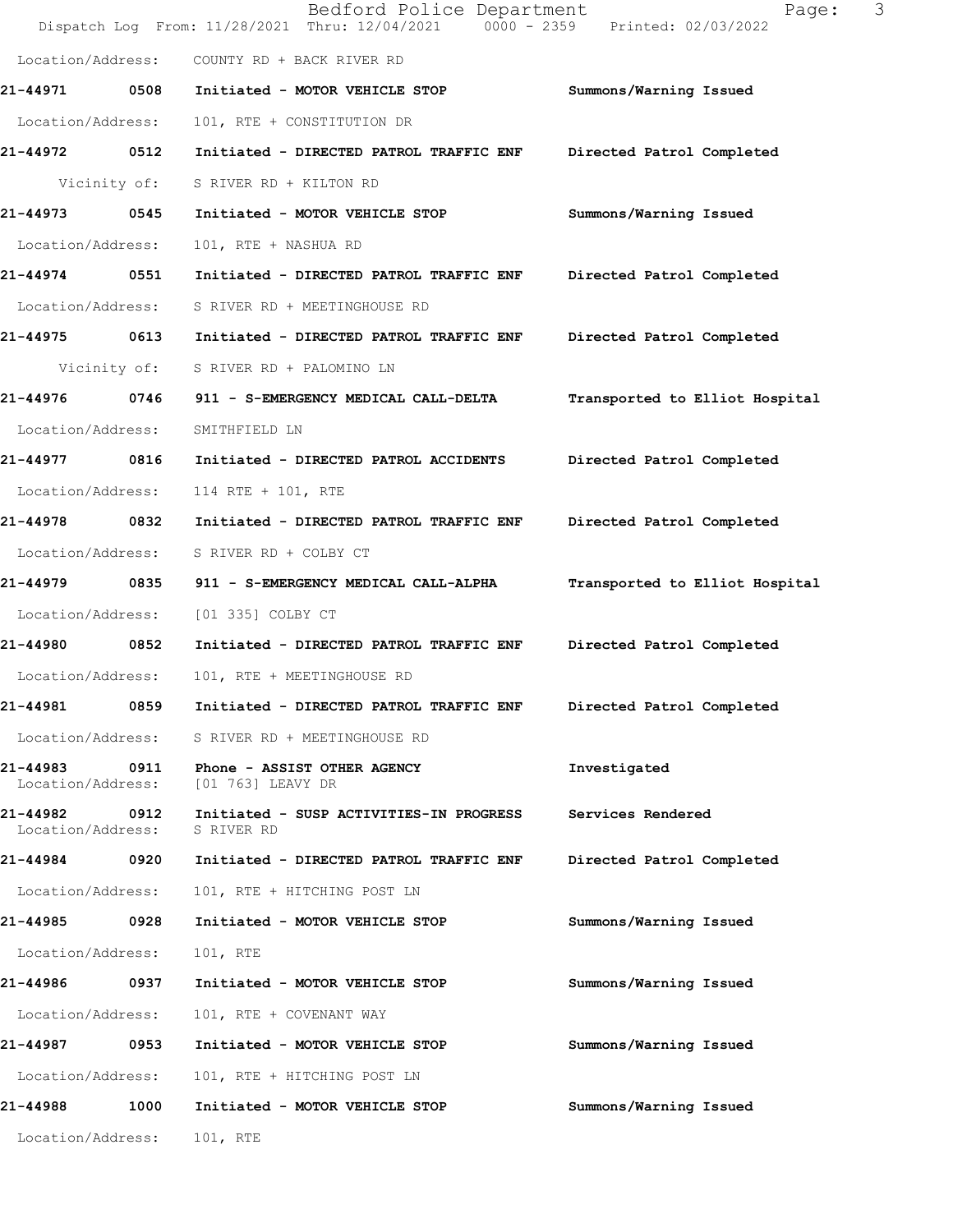|                                    |              | Bedford Police Department<br>Dispatch Log From: 11/28/2021 Thru: 12/04/2021 0000 - 2359 Printed: 02/03/2022 | Page:                          | 3 |
|------------------------------------|--------------|-------------------------------------------------------------------------------------------------------------|--------------------------------|---|
| Location/Address:                  |              | COUNTY RD + BACK RIVER RD                                                                                   |                                |   |
| 21-44971                           | 0508         | Initiated - MOTOR VEHICLE STOP                                                                              | Summons/Warning Issued         |   |
| Location/Address:                  |              | 101, RTE + CONSTITUTION DR                                                                                  |                                |   |
| 21-44972 0512                      |              | Initiated - DIRECTED PATROL TRAFFIC ENF                                                                     | Directed Patrol Completed      |   |
|                                    | Vicinity of: | S RIVER RD + KILTON RD                                                                                      |                                |   |
| 21-44973                           | 0545         | Initiated - MOTOR VEHICLE STOP                                                                              | Summons/Warning Issued         |   |
| Location/Address:                  |              | 101, RTE + NASHUA RD                                                                                        |                                |   |
| 21-44974 0551                      |              | Initiated - DIRECTED PATROL TRAFFIC ENF                                                                     | Directed Patrol Completed      |   |
| Location/Address:                  |              | S RIVER RD + MEETINGHOUSE RD                                                                                |                                |   |
| 21-44975                           | 0613         | Initiated - DIRECTED PATROL TRAFFIC ENF                                                                     | Directed Patrol Completed      |   |
|                                    | Vicinity of: | S RIVER RD + PALOMINO LN                                                                                    |                                |   |
| 21-44976                           | 0746         | 911 - S-EMERGENCY MEDICAL CALL-DELTA                                                                        | Transported to Elliot Hospital |   |
| Location/Address:                  |              | SMITHFIELD LN                                                                                               |                                |   |
| 21-44977 0816                      |              | Initiated - DIRECTED PATROL ACCIDENTS                                                                       | Directed Patrol Completed      |   |
| Location/Address:                  |              | 114 RTE + 101, RTE                                                                                          |                                |   |
| 21-44978                           | 0832         | Initiated - DIRECTED PATROL TRAFFIC ENF                                                                     | Directed Patrol Completed      |   |
| Location/Address:                  |              | S RIVER RD + COLBY CT                                                                                       |                                |   |
| 21-44979                           | 0835         | 911 - S-EMERGENCY MEDICAL CALL-ALPHA                                                                        | Transported to Elliot Hospital |   |
| Location/Address:                  |              | [01 335] COLBY CT                                                                                           |                                |   |
| 21-44980 0852                      |              | Initiated - DIRECTED PATROL TRAFFIC ENF                                                                     | Directed Patrol Completed      |   |
| Location/Address:                  |              | 101, RTE + MEETINGHOUSE RD                                                                                  |                                |   |
| 21-44981                           | 0859         | Initiated - DIRECTED PATROL TRAFFIC ENF                                                                     | Directed Patrol Completed      |   |
| Location/Address:                  |              | S RIVER RD + MEETINGHOUSE RD                                                                                |                                |   |
| 21-44983 0911<br>Location/Address: |              | Phone - ASSIST OTHER AGENCY<br>[01 763] LEAVY DR                                                            | Investigated                   |   |
| 21-44982<br>Location/Address:      | 0912         | Initiated - SUSP ACTIVITIES-IN PROGRESS<br>S RIVER RD                                                       | Services Rendered              |   |
| 21-44984 0920                      |              | Initiated - DIRECTED PATROL TRAFFIC ENF                                                                     | Directed Patrol Completed      |   |
| Location/Address:                  |              | 101, RTE + HITCHING POST LN                                                                                 |                                |   |
| 21-44985                           | 0928         | Initiated - MOTOR VEHICLE STOP                                                                              | Summons/Warning Issued         |   |
| Location/Address:                  |              | 101, RTE                                                                                                    |                                |   |
| 21-44986                           | 0937         | Initiated - MOTOR VEHICLE STOP                                                                              | Summons/Warning Issued         |   |
| Location/Address:                  |              | 101, RTE + COVENANT WAY                                                                                     |                                |   |
| 21-44987                           | 0953         | Initiated - MOTOR VEHICLE STOP                                                                              | Summons/Warning Issued         |   |
| Location/Address:                  |              | 101, RTE + HITCHING POST LN                                                                                 |                                |   |
| 21-44988                           | 1000         | Initiated - MOTOR VEHICLE STOP                                                                              | Summons/Warning Issued         |   |
| Location/Address:                  |              | 101, RTE                                                                                                    |                                |   |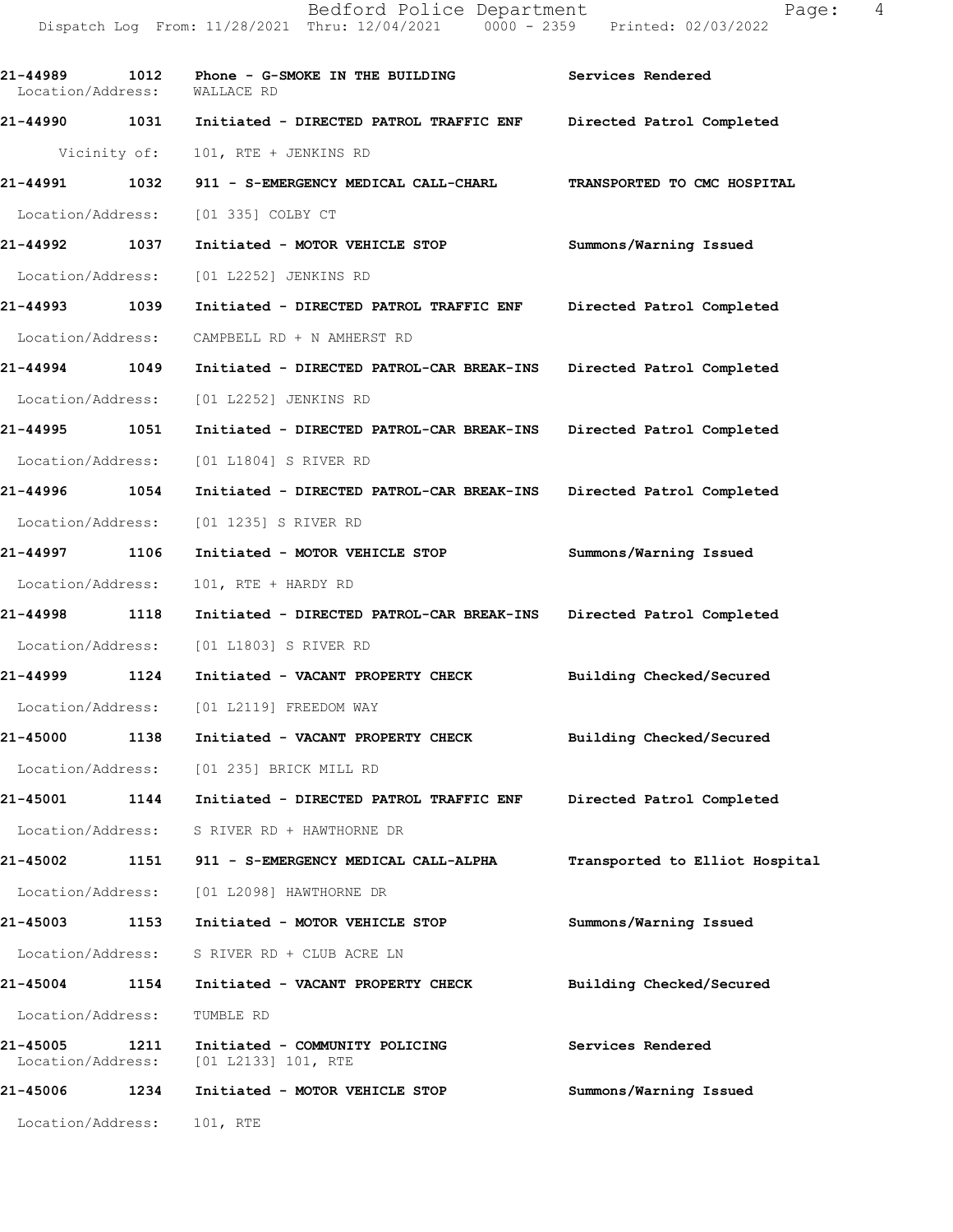| 21-44989<br>Location/Address: | 1012 | Phone - G-SMOKE IN THE BUILDING<br>WALLACE RD                       | Services Rendered              |
|-------------------------------|------|---------------------------------------------------------------------|--------------------------------|
|                               |      | 21-44990 1031 Initiated - DIRECTED PATROL TRAFFIC ENF               | Directed Patrol Completed      |
|                               |      | Vicinity of: 101, RTE + JENKINS RD                                  |                                |
| 21-44991 1032                 |      | 911 - S-EMERGENCY MEDICAL CALL-CHARL                                | TRANSPORTED TO CMC HOSPITAL    |
|                               |      | Location/Address: [01 335] COLBY CT                                 |                                |
| 21-44992 1037                 |      | Initiated - MOTOR VEHICLE STOP                                      | Summons/Warning Issued         |
| Location/Address:             |      | [01 L2252] JENKINS RD                                               |                                |
| 21-44993 1039                 |      | Initiated - DIRECTED PATROL TRAFFIC ENF Directed Patrol Completed   |                                |
| Location/Address:             |      | CAMPBELL RD + N AMHERST RD                                          |                                |
| 21-44994 1049                 |      | Initiated - DIRECTED PATROL-CAR BREAK-INS Directed Patrol Completed |                                |
|                               |      | Location/Address: [01 L2252] JENKINS RD                             |                                |
| 21-44995 1051                 |      | Initiated - DIRECTED PATROL-CAR BREAK-INS Directed Patrol Completed |                                |
| Location/Address:             |      | [01 L1804] S RIVER RD                                               |                                |
| 21-44996 1054                 |      | Initiated - DIRECTED PATROL-CAR BREAK-INS Directed Patrol Completed |                                |
| Location/Address:             |      | [01 1235] S RIVER RD                                                |                                |
| 21-44997 1106                 |      | Initiated - MOTOR VEHICLE STOP                                      | Summons/Warning Issued         |
| Location/Address:             |      | 101, RTE + HARDY RD                                                 |                                |
| 21-44998 1118                 |      | Initiated - DIRECTED PATROL-CAR BREAK-INS Directed Patrol Completed |                                |
| Location/Address:             |      | [01 L1803] S RIVER RD                                               |                                |
| 21-44999 1124                 |      | Initiated - VACANT PROPERTY CHECK Building Checked/Secured          |                                |
|                               |      | Location/Address: [01 L2119] FREEDOM WAY                            |                                |
| 21-45000 1138                 |      | Initiated - VACANT PROPERTY CHECK                                   | Building Checked/Secured       |
| Location/Address:             |      | [01 235] BRICK MILL RD                                              |                                |
| 21-45001                      | 1144 | Initiated - DIRECTED PATROL TRAFFIC ENF                             | Directed Patrol Completed      |
|                               |      | Location/Address: S RIVER RD + HAWTHORNE DR                         |                                |
| 21-45002                      | 1151 | 911 - S-EMERGENCY MEDICAL CALL-ALPHA                                | Transported to Elliot Hospital |
|                               |      | Location/Address: [01 L2098] HAWTHORNE DR                           |                                |
| 21-45003                      |      | 1153 Initiated - MOTOR VEHICLE STOP                                 | Summons/Warning Issued         |
|                               |      | Location/Address: S RIVER RD + CLUB ACRE LN                         |                                |
| 21-45004                      | 1154 | Initiated - VACANT PROPERTY CHECK                                   | Building Checked/Secured       |
| Location/Address:             |      | TUMBLE RD                                                           |                                |
| 21-45005<br>Location/Address: | 1211 | Initiated - COMMUNITY POLICING<br>[01 L2133] 101, RTE               | Services Rendered              |
| 21-45006                      | 1234 | Initiated - MOTOR VEHICLE STOP                                      | Summons/Warning Issued         |
| Location/Address:             |      | 101, RTE                                                            |                                |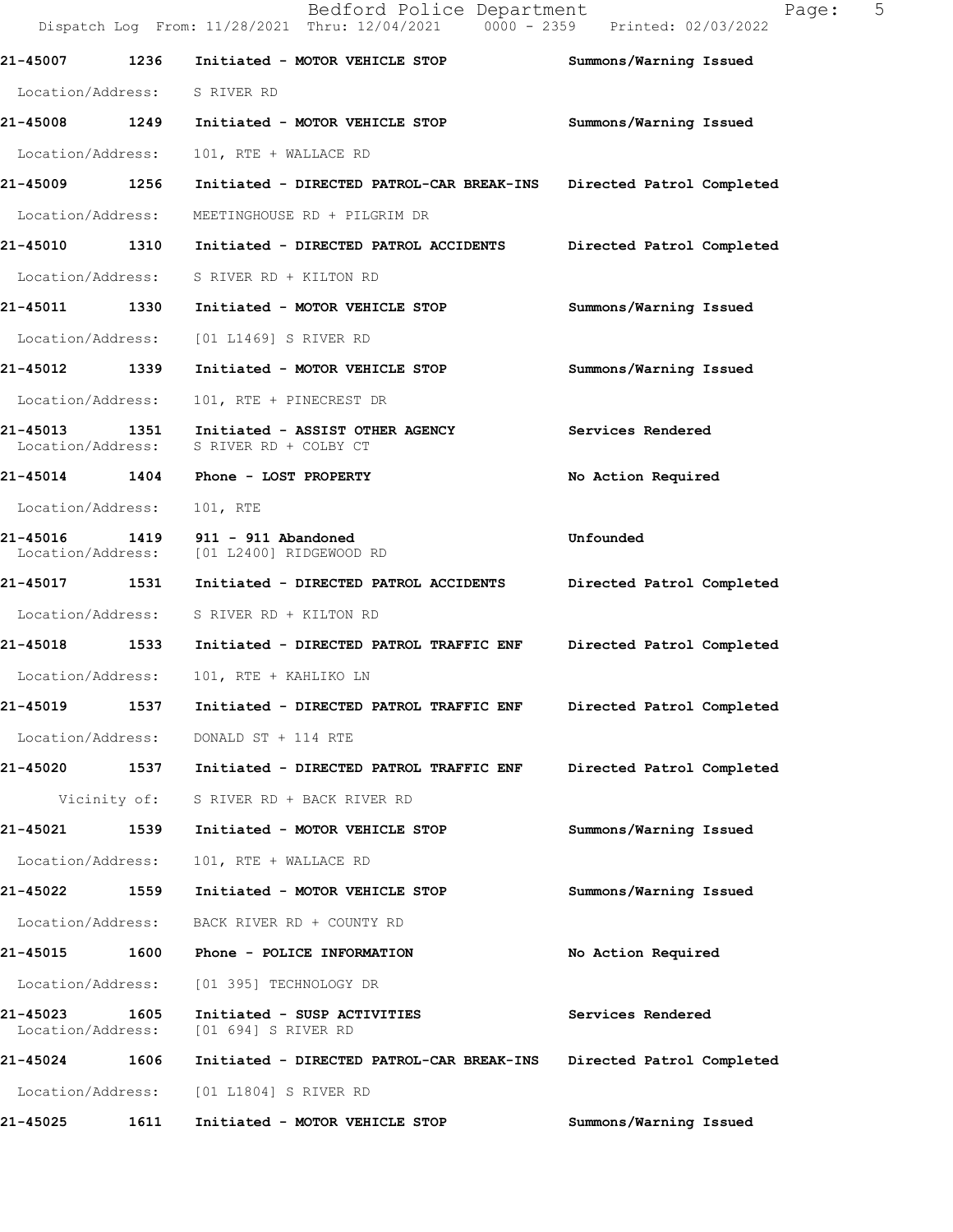|                               |              | Bedford Police Department<br>Dispatch Log From: 11/28/2021 Thru: 12/04/2021 0000 - 2359 Printed: 02/03/2022 | Page:                     | 5 |
|-------------------------------|--------------|-------------------------------------------------------------------------------------------------------------|---------------------------|---|
| 21-45007                      | 1236         | Initiated - MOTOR VEHICLE STOP                                                                              | Summons/Warning Issued    |   |
| Location/Address: S RIVER RD  |              |                                                                                                             |                           |   |
| 21-45008 1249                 |              | Initiated - MOTOR VEHICLE STOP                                                                              | Summons/Warning Issued    |   |
| Location/Address:             |              | 101, RTE + WALLACE RD                                                                                       |                           |   |
| 21-45009 1256                 |              | Initiated - DIRECTED PATROL-CAR BREAK-INS                                                                   | Directed Patrol Completed |   |
| Location/Address:             |              | MEETINGHOUSE RD + PILGRIM DR                                                                                |                           |   |
| 21-45010                      | 1310         | Initiated - DIRECTED PATROL ACCIDENTS                                                                       | Directed Patrol Completed |   |
| Location/Address:             |              | S RIVER RD + KILTON RD                                                                                      |                           |   |
| 21-45011 1330                 |              | Initiated - MOTOR VEHICLE STOP                                                                              | Summons/Warning Issued    |   |
| Location/Address:             |              | [01 L1469] S RIVER RD                                                                                       |                           |   |
| 21-45012                      | 1339         | Initiated - MOTOR VEHICLE STOP                                                                              | Summons/Warning Issued    |   |
| Location/Address:             |              | 101, RTE + PINECREST DR                                                                                     |                           |   |
| 21-45013<br>Location/Address: | 1351         | Initiated - ASSIST OTHER AGENCY<br>S RIVER RD + COLBY CT                                                    | Services Rendered         |   |
| 21-45014 1404                 |              | Phone - LOST PROPERTY                                                                                       | No Action Required        |   |
| Location/Address:             |              | 101, RTE                                                                                                    |                           |   |
| 21-45016<br>Location/Address: | 1419         | $911 - 911$ Abandoned<br>[01 L2400] RIDGEWOOD RD                                                            | Unfounded                 |   |
| 21-45017 1531                 |              | Initiated - DIRECTED PATROL ACCIDENTS                                                                       | Directed Patrol Completed |   |
| Location/Address:             |              | S RIVER RD + KILTON RD                                                                                      |                           |   |
| 21-45018 1533                 |              | Initiated - DIRECTED PATROL TRAFFIC ENF                                                                     | Directed Patrol Completed |   |
| Location/Address:             |              | 101, RTE + KAHLIKO LN                                                                                       |                           |   |
| 21-45019                      | 1537         | Initiated - DIRECTED PATROL TRAFFIC ENF                                                                     | Directed Patrol Completed |   |
| Location/Address:             |              | DONALD ST + 114 RTE                                                                                         |                           |   |
| 21-45020 1537                 |              | Initiated - DIRECTED PATROL TRAFFIC ENF                                                                     | Directed Patrol Completed |   |
|                               | Vicinity of: | S RIVER RD + BACK RIVER RD                                                                                  |                           |   |
| 21-45021                      | 1539         | Initiated - MOTOR VEHICLE STOP                                                                              | Summons/Warning Issued    |   |
| Location/Address:             |              | 101, RTE + WALLACE RD                                                                                       |                           |   |
| 21-45022                      | 1559         | Initiated - MOTOR VEHICLE STOP                                                                              | Summons/Warning Issued    |   |
| Location/Address:             |              | BACK RIVER RD + COUNTY RD                                                                                   |                           |   |
| 21-45015 1600                 |              | Phone - POLICE INFORMATION                                                                                  | No Action Required        |   |
| Location/Address:             |              | [01 395] TECHNOLOGY DR                                                                                      |                           |   |
| 21-45023<br>Location/Address: | 1605         | Initiated - SUSP ACTIVITIES<br>[01 694] S RIVER RD                                                          | Services Rendered         |   |
| 21-45024                      | 1606         | Initiated - DIRECTED PATROL-CAR BREAK-INS                                                                   | Directed Patrol Completed |   |
| Location/Address:             |              | [01 L1804] S RIVER RD                                                                                       |                           |   |
| 21-45025                      | 1611         | Initiated - MOTOR VEHICLE STOP                                                                              | Summons/Warning Issued    |   |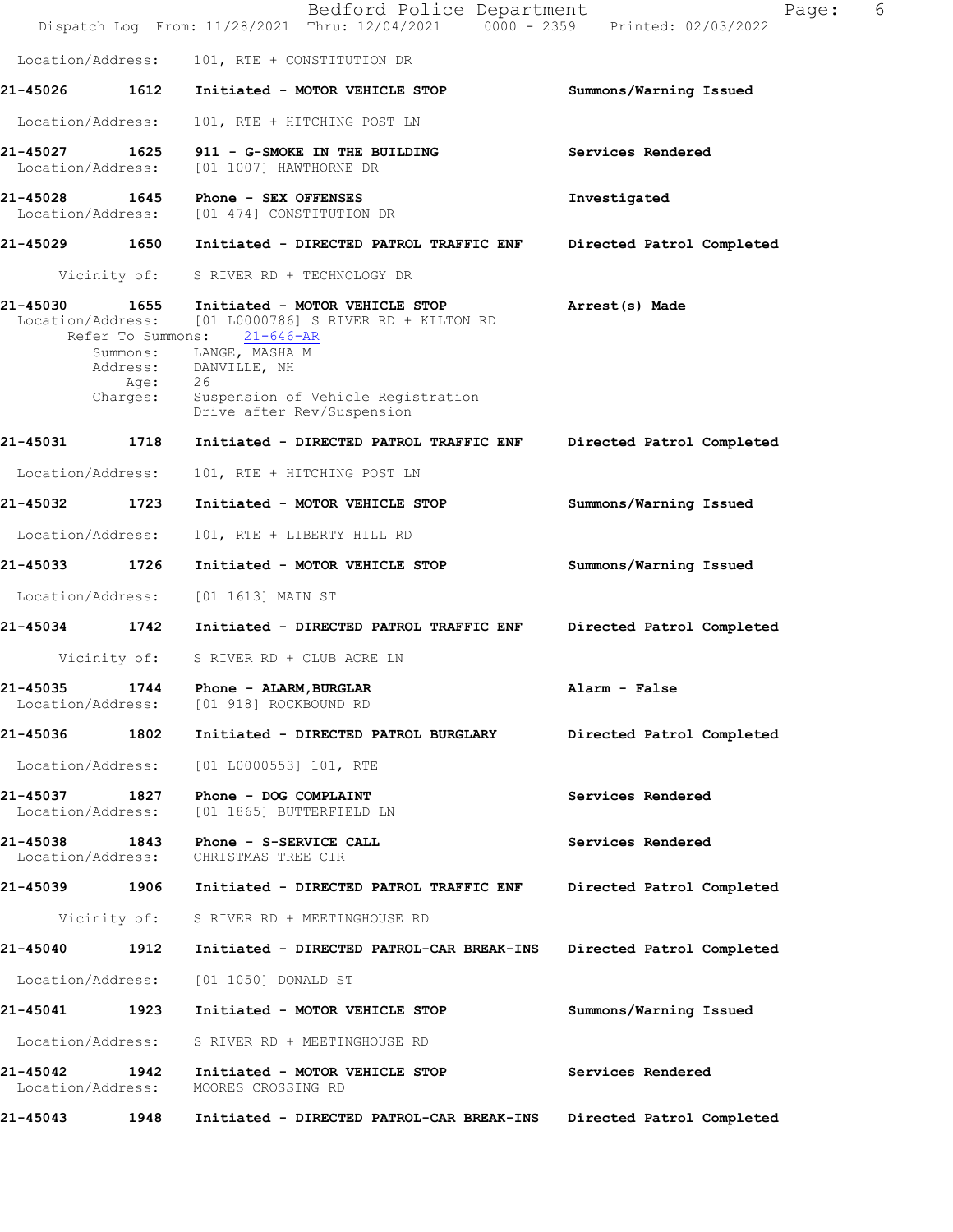|                                    |                                                                       | Bedford Police Department<br>Dispatch Log From: 11/28/2021 Thru: 12/04/2021 0000 - 2359 Printed: 02/03/2022                                                                                             | 6<br>Page:                |
|------------------------------------|-----------------------------------------------------------------------|---------------------------------------------------------------------------------------------------------------------------------------------------------------------------------------------------------|---------------------------|
| Location/Address:                  |                                                                       | 101, RTE + CONSTITUTION DR                                                                                                                                                                              |                           |
| 21-45026                           | 1612                                                                  | Initiated - MOTOR VEHICLE STOP                                                                                                                                                                          | Summons/Warning Issued    |
| Location/Address:                  |                                                                       | 101, RTE + HITCHING POST LN                                                                                                                                                                             |                           |
| 21-45027<br>Location/Address:      | 1625                                                                  | 911 - G-SMOKE IN THE BUILDING<br>[01 1007] HAWTHORNE DR                                                                                                                                                 | Services Rendered         |
| 21-45028 1645<br>Location/Address: |                                                                       | Phone - SEX OFFENSES<br>[01 474] CONSTITUTION DR                                                                                                                                                        | Investigated              |
| 21-45029 1650                      |                                                                       | Initiated - DIRECTED PATROL TRAFFIC ENF                                                                                                                                                                 | Directed Patrol Completed |
|                                    | Vicinity of:                                                          | S RIVER RD + TECHNOLOGY DR                                                                                                                                                                              |                           |
| 21-45030<br>Location/Address:      | 1655<br>Refer To Summons:<br>Summons:<br>Address:<br>Age:<br>Charges: | Initiated - MOTOR VEHICLE STOP<br>$[01 L0000786]$ S RIVER RD + KILTON RD<br>$21 - 646 - AR$<br>LANGE, MASHA M<br>DANVILLE, NH<br>26<br>Suspension of Vehicle Registration<br>Drive after Rev/Suspension | Arrest(s) Made            |
| 21-45031                           | 1718                                                                  | Initiated - DIRECTED PATROL TRAFFIC ENF                                                                                                                                                                 | Directed Patrol Completed |
| Location/Address:                  |                                                                       | 101, RTE + HITCHING POST LN                                                                                                                                                                             |                           |
| 21-45032                           | 1723                                                                  | Initiated - MOTOR VEHICLE STOP                                                                                                                                                                          | Summons/Warning Issued    |
| Location/Address:                  |                                                                       | 101, RTE + LIBERTY HILL RD                                                                                                                                                                              |                           |
| 21-45033                           | 1726                                                                  | Initiated - MOTOR VEHICLE STOP                                                                                                                                                                          | Summons/Warning Issued    |
| Location/Address:                  |                                                                       | [01 1613] MAIN ST                                                                                                                                                                                       |                           |
| 21-45034 1742                      |                                                                       | Initiated - DIRECTED PATROL TRAFFIC ENF                                                                                                                                                                 | Directed Patrol Completed |
|                                    | Vicinity of:                                                          | S RIVER RD + CLUB ACRE LN                                                                                                                                                                               |                           |
| 21-45035<br>Location/Address:      | 1744                                                                  | Phone - ALARM, BURGLAR<br>[01 918] ROCKBOUND RD                                                                                                                                                         | Alarm - False             |
| 21-45036                           | 1802                                                                  | Initiated - DIRECTED PATROL BURGLARY                                                                                                                                                                    | Directed Patrol Completed |
| Location/Address:                  |                                                                       | [01 L0000553] 101, RTE                                                                                                                                                                                  |                           |
| 21-45037<br>Location/Address:      | 1827                                                                  | Phone - DOG COMPLAINT<br>[01 1865] BUTTERFIELD LN                                                                                                                                                       | Services Rendered         |
| 21-45038 1843<br>Location/Address: |                                                                       | Phone - S-SERVICE CALL<br>CHRISTMAS TREE CIR                                                                                                                                                            | Services Rendered         |
| 21-45039 1906                      |                                                                       | Initiated - DIRECTED PATROL TRAFFIC ENF                                                                                                                                                                 | Directed Patrol Completed |
|                                    |                                                                       | Vicinity of: S RIVER RD + MEETINGHOUSE RD                                                                                                                                                               |                           |
| 21-45040                           | 1912                                                                  | Initiated - DIRECTED PATROL-CAR BREAK-INS                                                                                                                                                               | Directed Patrol Completed |
| Location/Address:                  |                                                                       | [01 1050] DONALD ST                                                                                                                                                                                     |                           |
| 21-45041 1923                      |                                                                       | Initiated - MOTOR VEHICLE STOP                                                                                                                                                                          | Summons/Warning Issued    |
| Location/Address:                  |                                                                       | S RIVER RD + MEETINGHOUSE RD                                                                                                                                                                            |                           |
| 21-45042<br>Location/Address:      | 1942                                                                  | Initiated - MOTOR VEHICLE STOP<br>MOORES CROSSING RD                                                                                                                                                    | Services Rendered         |
| 21-45043                           | 1948                                                                  | Initiated - DIRECTED PATROL-CAR BREAK-INS                                                                                                                                                               | Directed Patrol Completed |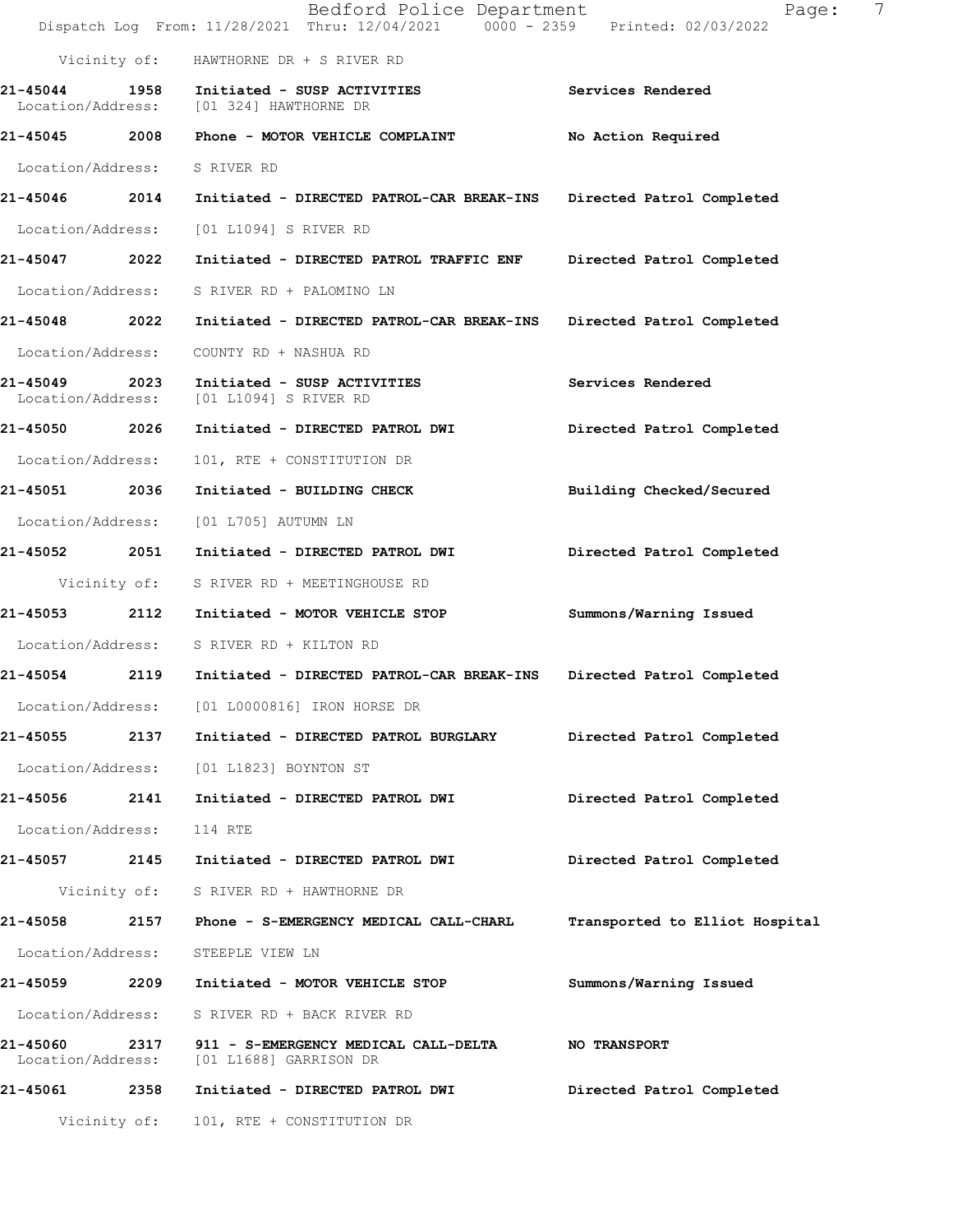|                                    |              | Bedford Police Department<br>Dispatch Log From: 11/28/2021 Thru: 12/04/2021 0000 - 2359 Printed: 02/03/2022 | 7<br>Page:                     |
|------------------------------------|--------------|-------------------------------------------------------------------------------------------------------------|--------------------------------|
|                                    |              | Vicinity of: HAWTHORNE DR + S RIVER RD                                                                      |                                |
| 21-45044 1958                      |              | Initiated - SUSP ACTIVITIES<br>Location/Address: [01 324] HAWTHORNE DR                                      | Services Rendered              |
|                                    |              | 21-45045 2008 Phone - MOTOR VEHICLE COMPLAINT                                                               | No Action Required             |
| Location/Address: S RIVER RD       |              |                                                                                                             |                                |
| 21-45046 2014                      |              | Initiated - DIRECTED PATROL-CAR BREAK-INS                                                                   | Directed Patrol Completed      |
| Location/Address:                  |              | [01 L1094] S RIVER RD                                                                                       |                                |
| 21-45047 2022                      |              | Initiated - DIRECTED PATROL TRAFFIC ENF                                                                     | Directed Patrol Completed      |
| Location/Address:                  |              | S RIVER RD + PALOMINO LN                                                                                    |                                |
| 21-45048 2022                      |              | Initiated - DIRECTED PATROL-CAR BREAK-INS                                                                   | Directed Patrol Completed      |
| Location/Address:                  |              | COUNTY RD + NASHUA RD                                                                                       |                                |
| 21-45049 2023<br>Location/Address: |              | Initiated - SUSP ACTIVITIES<br>[01 L1094] S RIVER RD                                                        | Services Rendered              |
| 21-45050 2026                      |              | Initiated - DIRECTED PATROL DWI                                                                             | Directed Patrol Completed      |
| Location/Address:                  |              | 101, RTE + CONSTITUTION DR                                                                                  |                                |
| 21-45051 2036                      |              | Initiated - BUILDING CHECK                                                                                  | Building Checked/Secured       |
| Location/Address:                  |              | [01 L705] AUTUMN LN                                                                                         |                                |
| 21-45052 2051                      |              | Initiated - DIRECTED PATROL DWI                                                                             | Directed Patrol Completed      |
|                                    |              | Vicinity of: S RIVER RD + MEETINGHOUSE RD                                                                   |                                |
|                                    |              | 21-45053 2112 Initiated - MOTOR VEHICLE STOP                                                                | Summons/Warning Issued         |
|                                    |              | Location/Address: S RIVER RD + KILTON RD                                                                    |                                |
|                                    |              | 21-45054 2119 Initiated - DIRECTED PATROL-CAR BREAK-INS                                                     | Directed Patrol Completed      |
| Location/Address:                  |              | [01 L0000816] IRON HORSE DR                                                                                 |                                |
| 21-45055                           | 2137         | Initiated - DIRECTED PATROL BURGLARY                                                                        | Directed Patrol Completed      |
|                                    |              | Location/Address: [01 L1823] BOYNTON ST                                                                     |                                |
| 21-45056 2141                      |              | Initiated - DIRECTED PATROL DWI                                                                             | Directed Patrol Completed      |
| Location/Address:                  |              | 114 RTE                                                                                                     |                                |
| 21-45057 2145                      |              | Initiated - DIRECTED PATROL DWI                                                                             | Directed Patrol Completed      |
|                                    |              | Vicinity of: S RIVER RD + HAWTHORNE DR                                                                      |                                |
|                                    |              | 21-45058 2157 Phone - S-EMERGENCY MEDICAL CALL-CHARL                                                        | Transported to Elliot Hospital |
| Location/Address:                  |              | STEEPLE VIEW LN                                                                                             |                                |
| 21-45059 2209                      |              | Initiated - MOTOR VEHICLE STOP                                                                              | Summons/Warning Issued         |
| Location/Address:                  |              | S RIVER RD + BACK RIVER RD                                                                                  |                                |
| 21-45060 2317<br>Location/Address: |              | 911 - S-EMERGENCY MEDICAL CALL-DELTA<br>[01 L1688] GARRISON DR                                              | <b>NO TRANSPORT</b>            |
| 21-45061 2358                      |              | Initiated - DIRECTED PATROL DWI                                                                             | Directed Patrol Completed      |
|                                    | Vicinity of: | 101, RTE + CONSTITUTION DR                                                                                  |                                |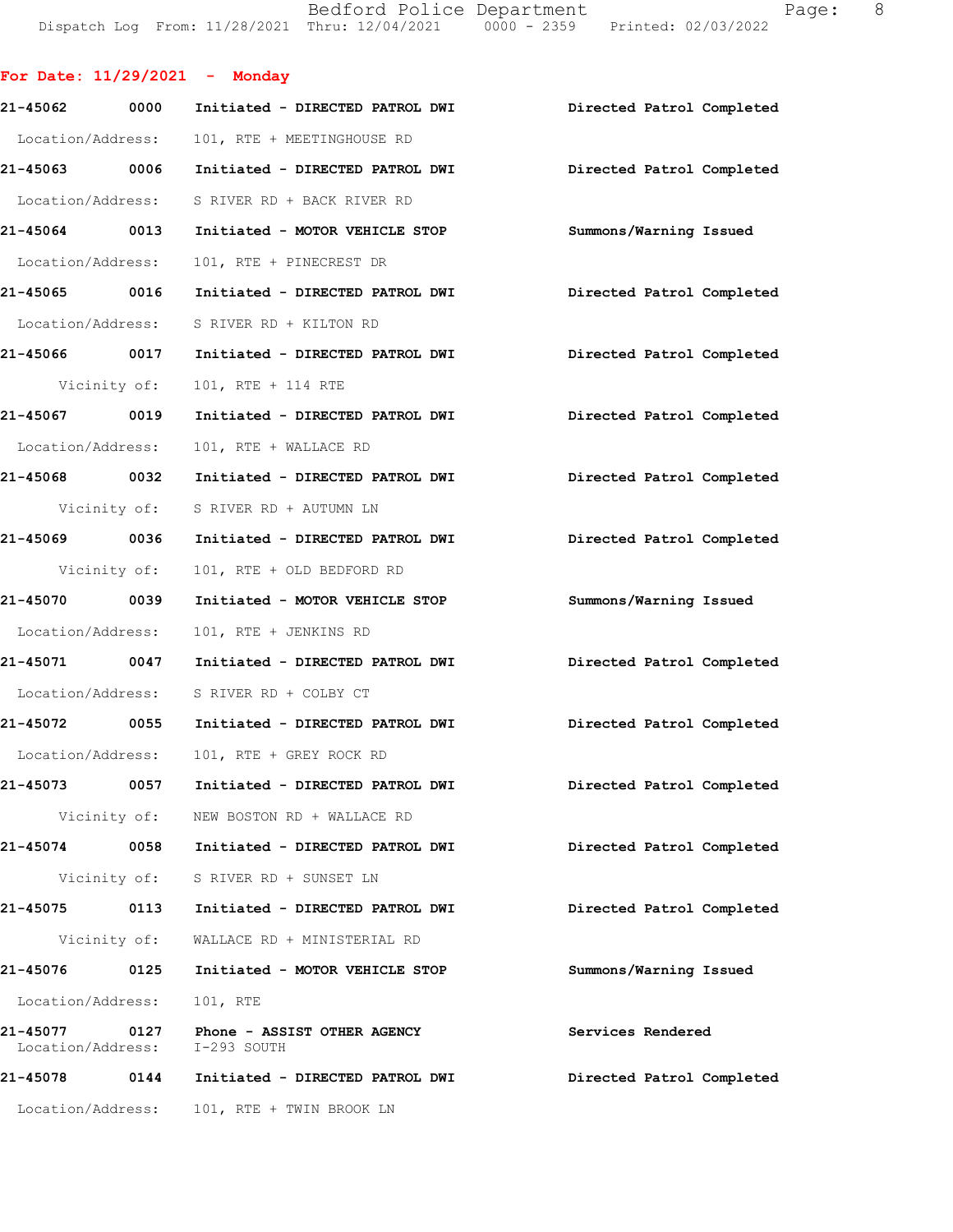Bedford Police Department Page: 8 DispatchLogFrom:11/28/2021Thru:12/04/20210000-2359Printed:02/03/2022

For Date:  $11/29/2021$  - Monday

| 21-45062          | 0000         | Initiated - DIRECTED PATROL DWI                              | Directed Patrol Completed |
|-------------------|--------------|--------------------------------------------------------------|---------------------------|
| Location/Address: |              | 101, RTE + MEETINGHOUSE RD                                   |                           |
| 21-45063 0006     |              | Initiated - DIRECTED PATROL DWI                              | Directed Patrol Completed |
|                   |              | Location/Address: S RIVER RD + BACK RIVER RD                 |                           |
| 21-45064 0013     |              | Initiated - MOTOR VEHICLE STOP                               | Summons/Warning Issued    |
| Location/Address: |              | 101, RTE + PINECREST DR                                      |                           |
|                   |              | 21-45065 0016 Initiated - DIRECTED PATROL DWI                | Directed Patrol Completed |
|                   |              | Location/Address: S RIVER RD + KILTON RD                     |                           |
| 21-45066 0017     |              | Initiated - DIRECTED PATROL DWI Directed Patrol Completed    |                           |
|                   | Vicinity of: | 101, RTE + 114 RTE                                           |                           |
| 21-45067 0019     |              | Initiated - DIRECTED PATROL DWI                              | Directed Patrol Completed |
| Location/Address: |              | 101, RTE + WALLACE RD                                        |                           |
| 21-45068 0032     |              | Initiated - DIRECTED PATROL DWI                              | Directed Patrol Completed |
|                   |              | Vicinity of: S RIVER RD + AUTUMN LN                          |                           |
| 21-45069 0036     |              | Initiated - DIRECTED PATROL DWI Directed Patrol Completed    |                           |
|                   | Vicinity of: | 101, RTE + OLD BEDFORD RD                                    |                           |
| 21-45070 0039     |              | Initiated - MOTOR VEHICLE STOP                               | Summons/Warning Issued    |
| Location/Address: |              | 101, RTE + JENKINS RD                                        |                           |
| 21-45071 0047     |              | Initiated - DIRECTED PATROL DWI                              | Directed Patrol Completed |
|                   |              | Location/Address: S RIVER RD + COLBY CT                      |                           |
|                   |              | 21-45072 0055 Initiated - DIRECTED PATROL DWI                | Directed Patrol Completed |
| Location/Address: |              | 101, RTE + GREY ROCK RD                                      |                           |
| 21-45073          | 0057         | Initiated - DIRECTED PATROL DWI                              | Directed Patrol Completed |
|                   |              | Vicinity of: NEW BOSTON RD + WALLACE RD                      |                           |
|                   |              | 21-45074 0058 Initiated - DIRECTED PATROL DWI                | Directed Patrol Completed |
|                   |              | Vicinity of: S RIVER RD + SUNSET LN                          |                           |
|                   |              | 21-45075 0113 Initiated - DIRECTED PATROL DWI                | Directed Patrol Completed |
|                   |              | Vicinity of: WALLACE RD + MINISTERIAL RD                     |                           |
| 21-45076          | 0125         | Initiated - MOTOR VEHICLE STOP                               | Summons/Warning Issued    |
| Location/Address: |              | 101, RTE                                                     |                           |
| 21-45077          | 0127         | Phone - ASSIST OTHER AGENCY<br>Location/Address: I-293 SOUTH | Services Rendered         |
| 21-45078          |              | 0144 Initiated - DIRECTED PATROL DWI                         | Directed Patrol Completed |
|                   |              | Location/Address: 101, RTE + TWIN BROOK LN                   |                           |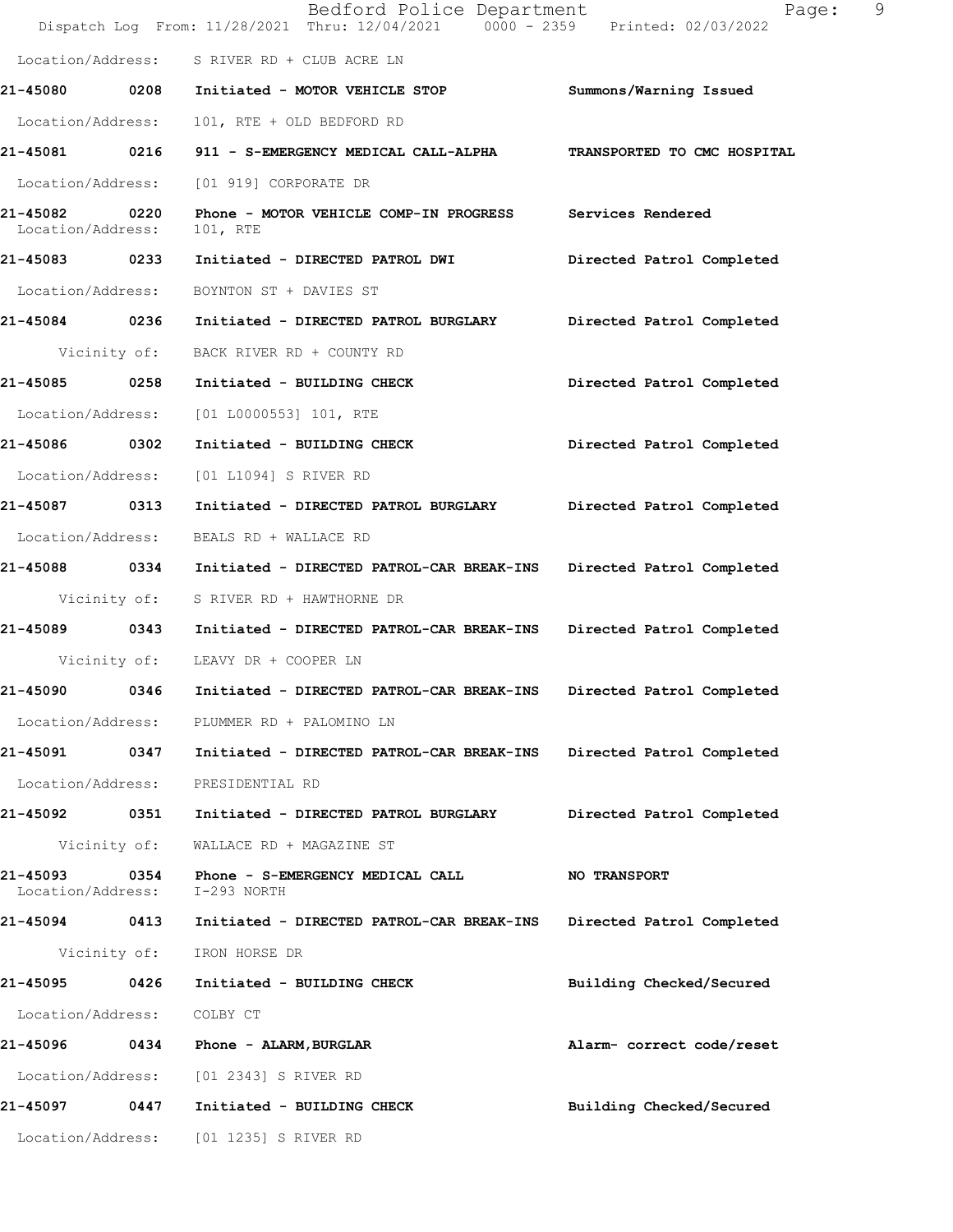|                                    |              | Bedford Police Department<br>Dispatch Log From: 11/28/2021 Thru: 12/04/2021 0000 - 2359 Printed: 02/03/2022 | Page:                       | 9 |
|------------------------------------|--------------|-------------------------------------------------------------------------------------------------------------|-----------------------------|---|
|                                    |              | Location/Address: S RIVER RD + CLUB ACRE LN                                                                 |                             |   |
|                                    |              | 21-45080 0208 Initiated - MOTOR VEHICLE STOP                                                                | Summons/Warning Issued      |   |
| Location/Address:                  |              | 101, RTE + OLD BEDFORD RD                                                                                   |                             |   |
| 21-45081 0216                      |              | 911 - S-EMERGENCY MEDICAL CALL-ALPHA                                                                        | TRANSPORTED TO CMC HOSPITAL |   |
| Location/Address:                  |              | [01 919] CORPORATE DR                                                                                       |                             |   |
| 21-45082 0220<br>Location/Address: |              | Phone - MOTOR VEHICLE COMP-IN PROGRESS Services Rendered<br>101, RTE                                        |                             |   |
| 21-45083 0233                      |              | Initiated - DIRECTED PATROL DWI                                                                             | Directed Patrol Completed   |   |
| Location/Address:                  |              | BOYNTON ST + DAVIES ST                                                                                      |                             |   |
| 21-45084 0236                      |              | Initiated - DIRECTED PATROL BURGLARY                                                                        | Directed Patrol Completed   |   |
|                                    | Vicinity of: | BACK RIVER RD + COUNTY RD                                                                                   |                             |   |
| 21-45085 0258                      |              | Initiated - BUILDING CHECK                                                                                  | Directed Patrol Completed   |   |
| Location/Address:                  |              | $[01 L0000553] 101$ , RTE                                                                                   |                             |   |
| 21-45086 0302                      |              | Initiated - BUILDING CHECK                                                                                  | Directed Patrol Completed   |   |
| Location/Address:                  |              | [01 L1094] S RIVER RD                                                                                       |                             |   |
| 21-45087                           | 0313         | Initiated - DIRECTED PATROL BURGLARY                                                                        | Directed Patrol Completed   |   |
| Location/Address:                  |              | BEALS RD + WALLACE RD                                                                                       |                             |   |
| 21-45088 0334                      |              | Initiated - DIRECTED PATROL-CAR BREAK-INS                                                                   | Directed Patrol Completed   |   |
|                                    | Vicinity of: | S RIVER RD + HAWTHORNE DR                                                                                   |                             |   |
| 21-45089 0343                      |              | Initiated - DIRECTED PATROL-CAR BREAK-INS                                                                   | Directed Patrol Completed   |   |
|                                    |              | Vicinity of: LEAVY DR + COOPER LN                                                                           |                             |   |
| 21-45090                           | 0346         | Initiated - DIRECTED PATROL-CAR BREAK-INS                                                                   | Directed Patrol Completed   |   |
|                                    |              | Location/Address: PLUMMER RD + PALOMINO LN                                                                  |                             |   |
|                                    |              | 21-45091 0347 Initiated - DIRECTED PATROL-CAR BREAK-INS                                                     | Directed Patrol Completed   |   |
|                                    |              | Location/Address: PRESIDENTIAL RD                                                                           |                             |   |
| 21-45092 0351                      |              | Initiated - DIRECTED PATROL BURGLARY                                                                        | Directed Patrol Completed   |   |
|                                    | Vicinity of: | WALLACE RD + MAGAZINE ST                                                                                    |                             |   |
| Location/Address:                  |              | 21-45093 0354 Phone - S-EMERGENCY MEDICAL CALL<br>I-293 NORTH                                               | <b>NO TRANSPORT</b>         |   |
|                                    |              | 21-45094 0413 Initiated - DIRECTED PATROL-CAR BREAK-INS                                                     | Directed Patrol Completed   |   |
|                                    |              | Vicinity of: IRON HORSE DR                                                                                  |                             |   |
| 21-45095 0426                      |              | Initiated - BUILDING CHECK                                                                                  | Building Checked/Secured    |   |
| Location/Address: COLBY CT         |              |                                                                                                             |                             |   |
|                                    |              | 21-45096 0434 Phone - ALARM, BURGLAR                                                                        | Alarm- correct code/reset   |   |
|                                    |              | Location/Address: [01 2343] S RIVER RD                                                                      |                             |   |
|                                    |              | 21-45097 0447 Initiated - BUILDING CHECK                                                                    | Building Checked/Secured    |   |
|                                    |              | Location/Address: [01 1235] S RIVER RD                                                                      |                             |   |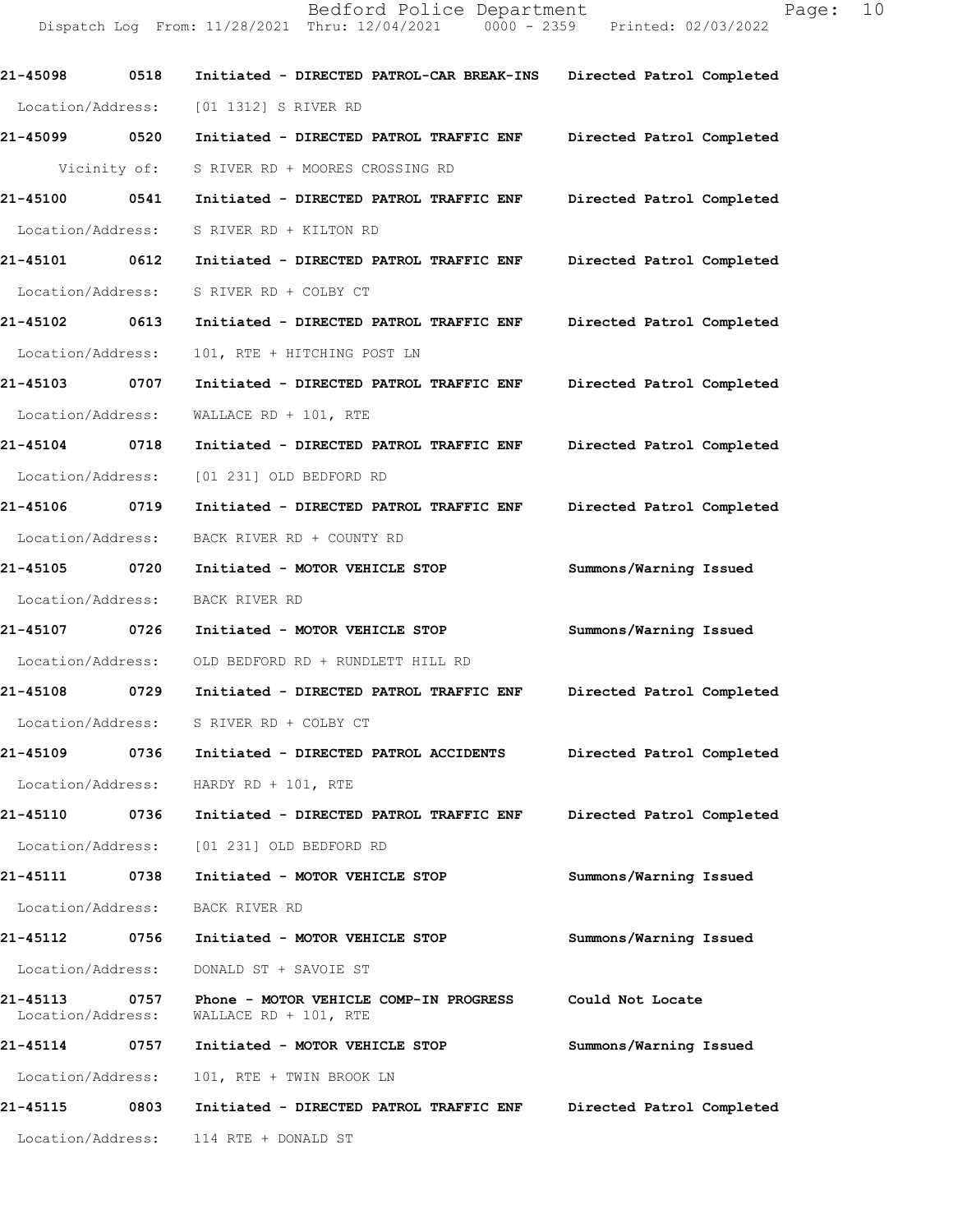21-45098 0518 Initiated - DIRECTED PATROL-CAR BREAK-INS Directed Patrol Completed Location/Address: [01 1312] S RIVER RD 21-45099 0520 Initiated - DIRECTED PATROL TRAFFICENF Directed Patrol Completed Vicinity of: S RIVER RD + MOORES CROSSING RD 21-45100 0541 Initiated - DIRECTED PATROL TRAFFIC ENF Directed Patrol Completed Location/Address: S RIVER RD + KILTON RD 21-45101 0612 Initiated - DIRECTED PATROL TRAFFIC ENF Directed Patrol Completed Location/Address: S RIVER RD + COLBY CT 21-45102 0613 Initiated - DIRECTED PATROL TRAFFIC ENF Directed Patrol Completed Location/Address: 101, RTE + HITCHING POST LN 21-45103 0707 Initiated - DIRECTED PATROL TRAFFIC ENF Directed Patrol Completed Location/Address: WALLACERD + 101, RTE 21-45104 0718 Initiated - DIRECTED PATROL TRAFFIC ENF Directed Patrol Completed Location/Address: [01 231] OLD BEDFORD RD 21-45106 0719 Initiated - DIRECTED PATROL TRAFFIC ENF Directed Patrol Completed Location/Address: BACK RIVER RD + COUNTY RD 21-45105 0720 Initiated - MOTOR VEHICLE STOP Summons/Warning Issued Location/Address: BACK RIVER RD 21-45107 0726 Initiated - MOTOR VEHICLE STOP Summons/Warning Issued Location/Address: OLD BEDFORD RD + RUNDLETT HILL RD 21-45108 0729 Initiated - DIRECTED PATROL TRAFFIC ENF Directed Patrol Completed Location/Address: S RIVER RD + COLBY CT 21-45109 0736 Initiated - DIRECTED PATROL ACCIDENTS Directed Patrol Completed Location/Address: HARDY RD + 101, RTE 21-45110 0736 Initiated - DIRECTED PATROL TRAFFIC ENF Directed Patrol Completed Location/Address: [01 231] OLD BEDFORD RD 21-45111 0738 Initiated - MOTOR VEHICLE STOP Summons/Warning Issued Location/Address: BACK RIVER RD 21-45112 0756 Initiated - MOTOR VEHICLE STOP Summons/Warning Issued Location/Address: DONALD ST + SAVOIE ST 21-45113 0757 Phone - MOTOR VEHICLE COMP-IN PROGRESS Could Not Locate<br>Location/Address: WALLACE RD + 101, RTE WALLACE RD +  $101$ , RTE 21-45114 0757 Initiated - MOTOR VEHICLE STOP Summons/Warning Issued Location/Address: 101, RTE + TWIN BROOK LN 21-45115 0803 Initiated - DIRECTED PATROL TRAFFIC ENF Directed Patrol Completed Location/Address: 114 RTE + DONALD ST

Dispatch Log From: 11/28/2021 Thru: 12/04/2021 0000 - 2359 Printed: 02/03/2022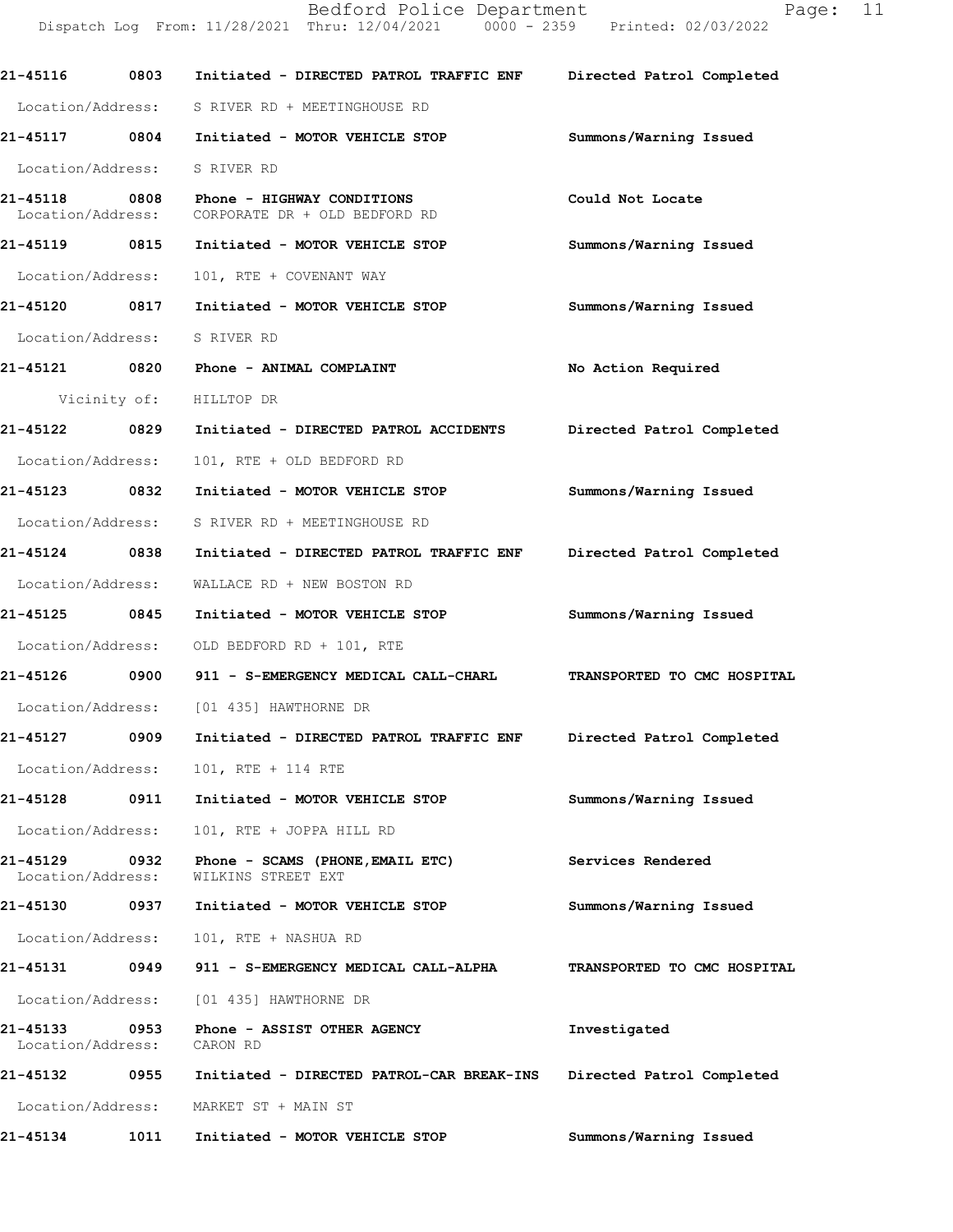21-45116 0803 Initiated - DIRECTED PATROL TRAFFIC ENF Directed Patrol Completed Location/Address: S RIVER RD + MEETINGHOUSE RD 21-45117 0804 Initiated - MOTOR VEHICLE STOP Summons/Warning Issued Location/Address: S RIVER RD 21-45118 0808 Phone - HIGHWAY CONDITIONS Could Not Locate Location/Address: CORPORATE DR + OLD BEDFORD RD 21-45119 0815 Initiated - MOTOR VEHICLE STOP Summons/Warning Issued Location/Address: 101, RTE + COVENANT WAY 21-45120 0817 Initiated - MOTOR VEHICLE STOP Summons/Warning Issued Location/Address: S RIVER RD 21-45121 0820 Phone - ANIMAL COMPLAINT No Action Required Vicinity of: HILLTOP DR 21-45122 0829 Initiated - DIRECTED PATROL ACCIDENTS Directed Patrol Completed Location/Address: 101, RTE + OLD BEDFORD RD 21-451230832 Initiated-MOTORVEHICLESTOP Summons/WarningIssued Location/Address: S RIVER RD + MEETINGHOUSE RD 21-45124 0838 Initiated - DIRECTED PATROL TRAFFIC ENF Directed Patrol Completed Location/Address: WALLACERD + NEW BOSTON RD 21-45125 0845 Initiated - MOTOR VEHICLE STOP Summons/Warning Issued Location/Address: OLD BEDFORD RD + 101, RTE 21-45126 0900 911 - S-EMERGENCY MEDICAL CALL-CHARL TRANSPORTED TO CMC HOSPITAL Location/Address: [01 435] HAWTHORNE DR 21-45127 0909 Initiated - DIRECTED PATROL TRAFFIC ENF Directed Patrol Completed Location/Address: 101, RTE + 114 RTE 21-45128 0911 Initiated - MOTOR VEHICLE STOP Summons/Warning Issued Location/Address: 101, RTE + JOPPA HILL RD 21-451290932 Phone-SCAMS(PHONE,EMAILETC) ServicesRendered Location/Address: 21-45130 0937 Initiated - MOTOR VEHICLE STOP Summons/Warning Issued Location/Address: 101, RTE + NASHUA RD 21-45131 0949 911 - S-EMERGENCY MEDICAL CALL-ALPHA TRANSPORTED TO CMC HOSPITAL Location/Address: [01 435] HAWTHORNE DR 21-451330953 Phone-ASSISTOTHERAGENCY Investigated Location/Address: CARON RD 21-45132 0955 Initiated - DIRECTED PATROL-CAR BREAK-INS Directed Patrol Completed Location/Address: MARKET ST + MAIN ST 21-45134 1011 Initiated - MOTOR VEHICLE STOP Summons/Warning Issued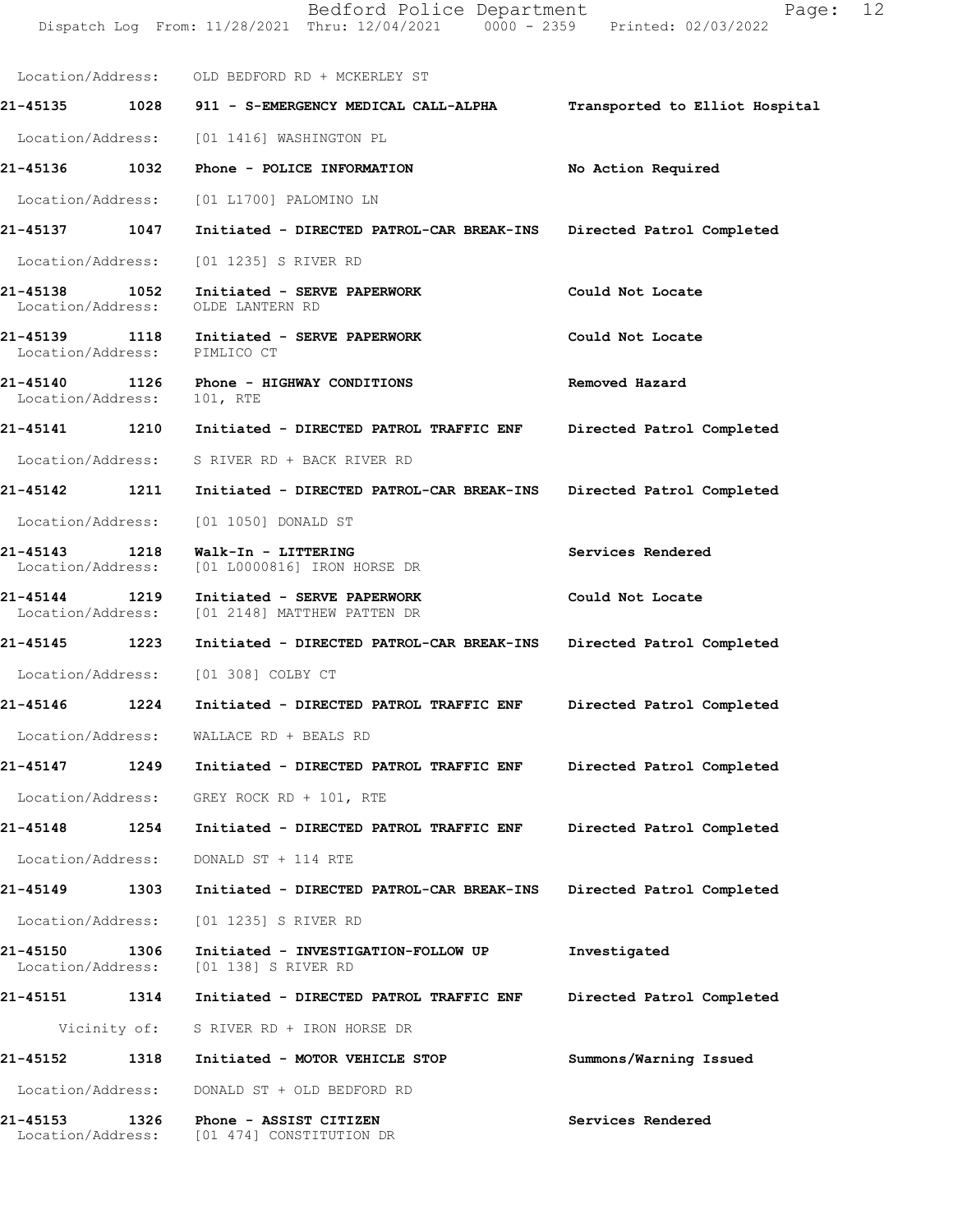|                                      |              | Dispatch Log From: 11/28/2021 Thru: 12/04/2021 0000 - 2359 Printed: 02/03/2022 |                                |
|--------------------------------------|--------------|--------------------------------------------------------------------------------|--------------------------------|
|                                      |              | Location/Address: OLD BEDFORD RD + MCKERLEY ST                                 |                                |
| 21-45135 1028                        |              | 911 - S-EMERGENCY MEDICAL CALL-ALPHA                                           | Transported to Elliot Hospital |
| Location/Address:                    |              | [01 1416] WASHINGTON PL                                                        |                                |
| 21-45136                             | 1032         | Phone - POLICE INFORMATION                                                     | No Action Required             |
|                                      |              | Location/Address: [01 L1700] PALOMINO LN                                       |                                |
| 21-45137                             | 1047         | Initiated - DIRECTED PATROL-CAR BREAK-INS Directed Patrol Completed            |                                |
| Location/Address:                    |              | [01 1235] S RIVER RD                                                           |                                |
| 21-45138 1052<br>Location/Address:   |              | Initiated - SERVE PAPERWORK<br>OLDE LANTERN RD                                 | Could Not Locate               |
| 21-45139<br>Location/Address:        | 1118         | Initiated - SERVE PAPERWORK<br>PIMLICO CT                                      | Could Not Locate               |
| 21-45140<br>Location/Address:        | 1126         | Phone - HIGHWAY CONDITIONS<br>101, RTE                                         | Removed Hazard                 |
| 21-45141                             | 1210         | Initiated - DIRECTED PATROL TRAFFIC ENF                                        | Directed Patrol Completed      |
| Location/Address:                    |              | S RIVER RD + BACK RIVER RD                                                     |                                |
| 21-45142                             | 1211         | Initiated - DIRECTED PATROL-CAR BREAK-INS                                      | Directed Patrol Completed      |
| Location/Address:                    |              | [01 1050] DONALD ST                                                            |                                |
| 21-45143<br>Location/Address:        | 1218         | Walk-In - LITTERING<br>[01 L0000816] IRON HORSE DR                             | Services Rendered              |
| 21-45144<br>Location/Address:        | 1219         | Initiated - SERVE PAPERWORK<br>[01 2148] MATTHEW PATTEN DR                     | Could Not Locate               |
| 21-45145                             | 1223         | Initiated - DIRECTED PATROL-CAR BREAK-INS                                      | Directed Patrol Completed      |
|                                      |              | Location/Address: [01 308] COLBY CT                                            |                                |
| 21-45146                             | 1224         | Initiated - DIRECTED PATROL TRAFFIC ENF                                        | Directed Patrol Completed      |
| Location/Address:                    |              | WALLACE RD + BEALS RD                                                          |                                |
| 21-45147                             | 1249         | Initiated - DIRECTED PATROL TRAFFIC ENF                                        | Directed Patrol Completed      |
| Location/Address:                    |              | GREY ROCK RD + $101$ , RTE                                                     |                                |
| 21-45148                             | 1254         | Initiated - DIRECTED PATROL TRAFFIC ENF                                        | Directed Patrol Completed      |
| Location/Address:                    |              | DONALD ST + 114 RTE                                                            |                                |
| 21-45149                             | 1303         | Initiated - DIRECTED PATROL-CAR BREAK-INS                                      | Directed Patrol Completed      |
| Location/Address:                    |              | [01 1235] S RIVER RD                                                           |                                |
| <b>21-45150</b><br>Location/Address: | 1306         | Initiated - INVESTIGATION-FOLLOW UP<br>[01 138] S RIVER RD                     | Investigated                   |
| 21-45151                             | 1314         | Initiated - DIRECTED PATROL TRAFFIC ENF                                        | Directed Patrol Completed      |
|                                      | Vicinity of: | S RIVER RD + IRON HORSE DR                                                     |                                |
| 21-45152                             | 1318         | Initiated - MOTOR VEHICLE STOP                                                 | Summons/Warning Issued         |
| Location/Address:                    |              | DONALD ST + OLD BEDFORD RD                                                     |                                |
| 21-45153<br>Location/Address:        | 1326         | Phone - ASSIST CITIZEN<br>[01 474] CONSTITUTION DR                             | Services Rendered              |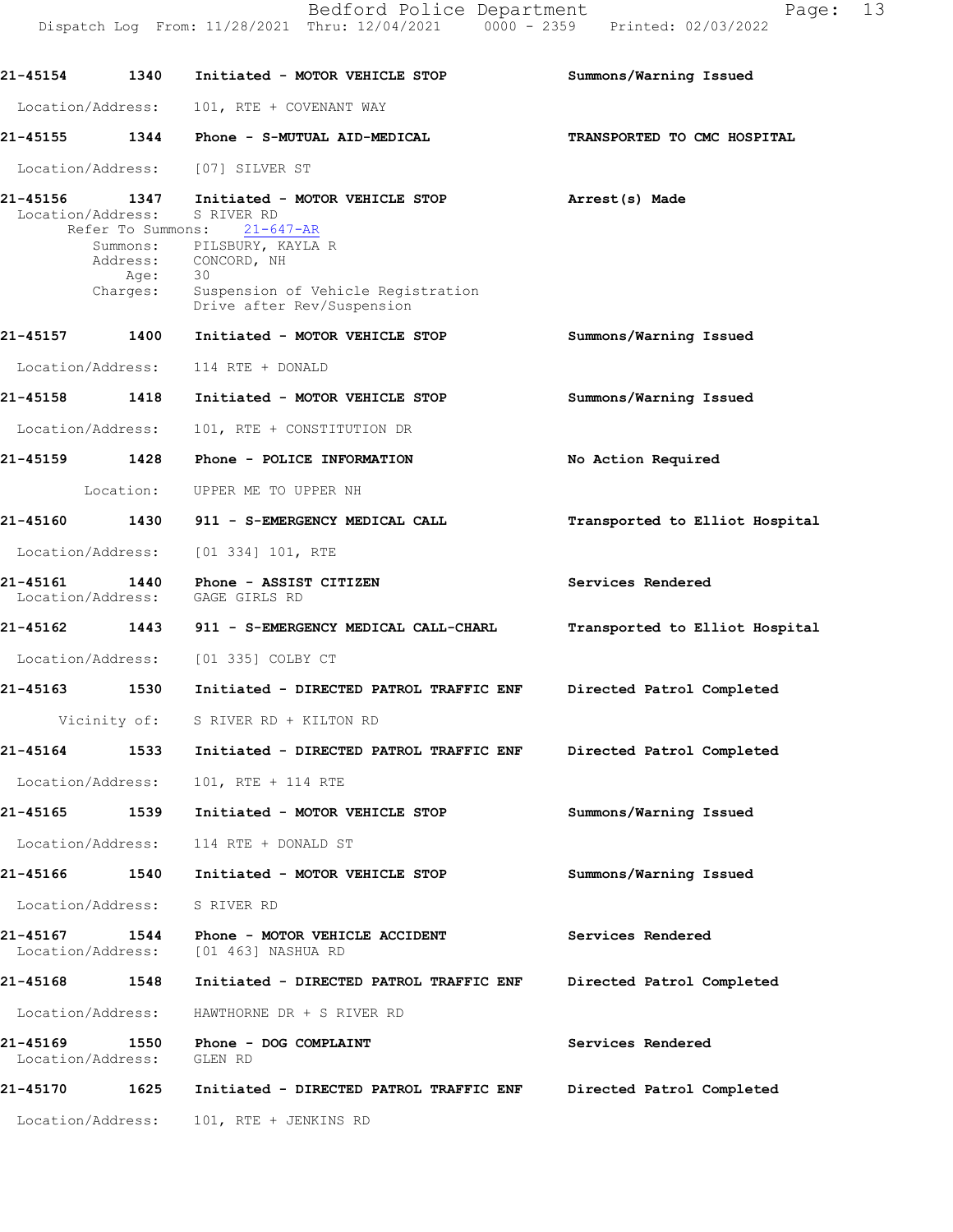Dispatch Log From: 11/28/2021 Thru: 12/04/2021 0000 - 2359 Printed: 02/03/2022 21-45154 1340 Initiated - MOTOR VEHICLE STOP Summons/Warning Issued Location/Address: 101, RTE + COVENANT WAY 21-451551344 Phone-S-MUTUALAID-MEDICAL TRANSPORTEDTOCMCHOSPITAL Location/Address: [07] SILVER ST 21-45156 1347 Initiated - MOTOR VEHICLE STOP **Arrest(s) Made Iocation/Address:** S RIVER RD Location/Address: SRIVERRD<br>Refer To Summons: 21-647-AR Refer To Summons: Summons/Warning Issued Summons/Warning Issued No Action Required Transported to Elliot Hospital Services Rendered Transported to Elliot Hospital Directed Patrol Completed Directed Patrol Completed Summons/Warning Issued Summons/Warning Issued Services Rendered Directed Patrol Completed Services Rendered Directed Patrol Completed Summons: PILSBURY, KAYLA R<br>Address: CONCORD, NH CONCORD, NH Age:<br>Charges: Suspension of Vehicle Registration Drive after Rev/Suspension 21-45157 1400 Initiated - MOTOR VEHICLE STOP Location/Address: 114 RTE + DONALD 21-45158 1418 Initiated - MOTOR VEHICLE STOP Location/Address: 101, RTE + CONSTITUTION DR 21-45159 1428 Phone - POLICE INFORMATION Location: UPPER ME TO UPPER NH 21-45160 1430 911 - S-EMERGENCY MEDICAL CALL Location/Address: [01 334] 101, RTE 21-45161 1440 Phone - ASSIST CITIZEN<br>Location/Address: GAGE GIRLS RD Location/Address: 21-45162 1443 911 - S-EMERGENCY MEDICAL CALL-CHARL Location/Address: [01 335] COLBY CT 21-45163 1530 Initiated - DIRECTED PATROL TRAFFIC ENF Vicinity of: S RIVER RD + KILTON RD 21-45164 1533 Initiated - DIRECTED PATROL TRAFFIC ENF Location/Address: 101, RTE + 114 RTE 21-45165 1539 Initiated - MOTOR VEHICLE STOP Location/Address: 114 RTE + DONALD ST 21-45166 1540 Initiated - MOTOR VEHICLE STOP Location/Address: S RIVER RD 21-45167 1544 Phone - MOTOR VEHICLE ACCIDENT<br>Location/Address: [01 463] NASHUA RD [01 463] NASHUA RD 21-45168 1548 Initiated - DIRECTED PATROL TRAFFIC ENF Location/Address: HAWTHORNE DR + S RIVER RD 21-45169 1550 Phone - DOG COMPLAINT<br>Location/Address: GLEN RD Location/Address: 21-45170 1625 Initiated - DIRECTED PATROL TRAFFIC ENF Location/Address: 101, RTE + JENKINS RD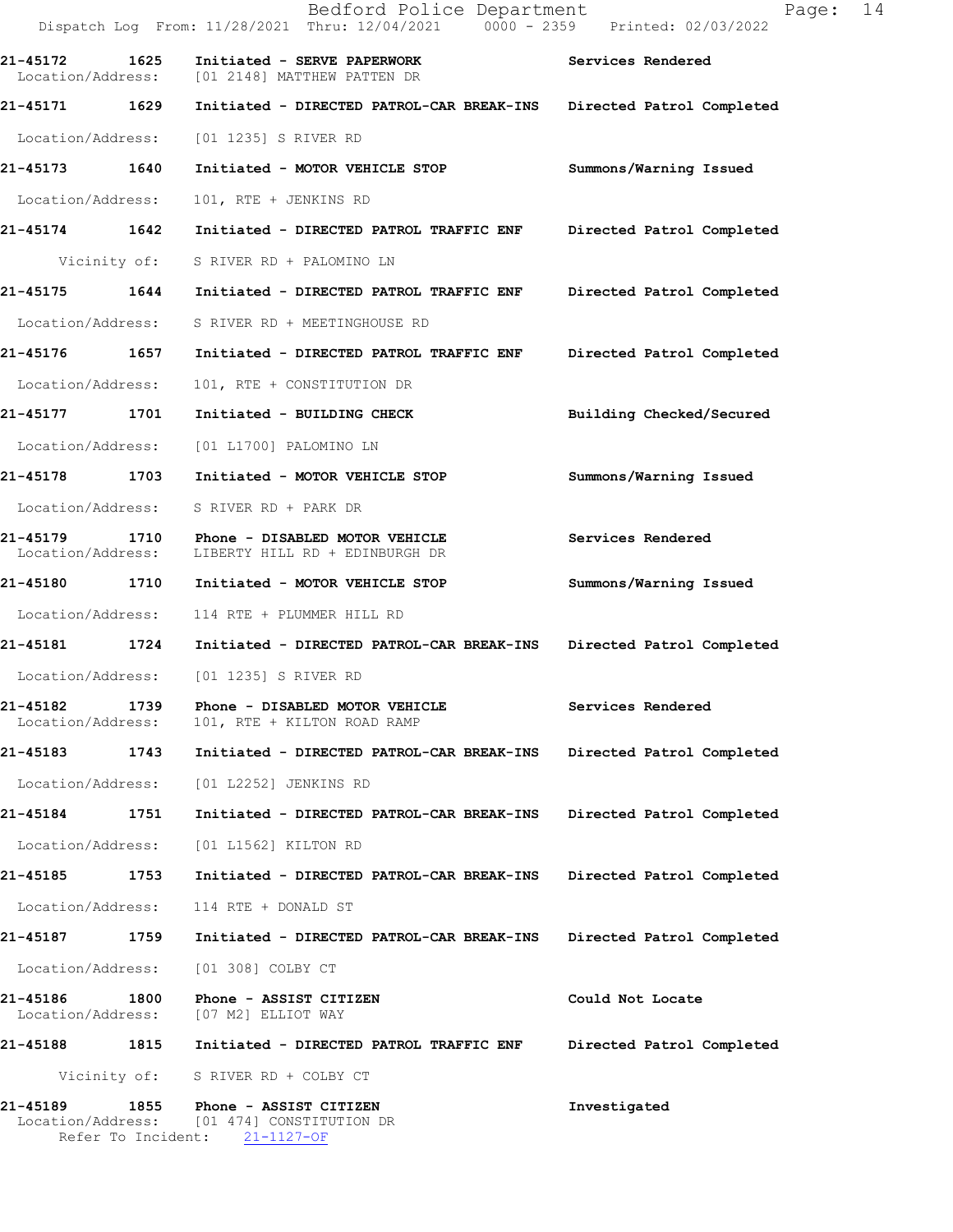|                               |      | Bedford Police Department<br>Dispatch Log From: 11/28/2021 Thru: 12/04/2021 0000 - 2359 Printed: 02/03/2022 | 14<br>Page:               |
|-------------------------------|------|-------------------------------------------------------------------------------------------------------------|---------------------------|
| 21-45172 1625                 |      | Initiated - SERVE PAPERWORK<br>Location/Address: [01 2148] MATTHEW PATTEN DR                                | Services Rendered         |
| 21-45171 1629                 |      | Initiated - DIRECTED PATROL-CAR BREAK-INS                                                                   | Directed Patrol Completed |
| Location/Address:             |      | [01 1235] S RIVER RD                                                                                        |                           |
| 21-45173 1640                 |      | Initiated - MOTOR VEHICLE STOP                                                                              | Summons/Warning Issued    |
| Location/Address:             |      | 101, RTE + JENKINS RD                                                                                       |                           |
| 21-45174 1642                 |      | Initiated - DIRECTED PATROL TRAFFIC ENF                                                                     | Directed Patrol Completed |
| Vicinity of:                  |      | S RIVER RD + PALOMINO LN                                                                                    |                           |
| 21-45175 1644                 |      | Initiated - DIRECTED PATROL TRAFFIC ENF                                                                     | Directed Patrol Completed |
| Location/Address:             |      | S RIVER RD + MEETINGHOUSE RD                                                                                |                           |
| 21-45176 1657                 |      | Initiated - DIRECTED PATROL TRAFFIC ENF                                                                     | Directed Patrol Completed |
| Location/Address:             |      | 101, RTE + CONSTITUTION DR                                                                                  |                           |
| 21-45177 1701                 |      | Initiated - BUILDING CHECK                                                                                  | Building Checked/Secured  |
| Location/Address:             |      | [01 L1700] PALOMINO LN                                                                                      |                           |
| 21-45178 1703                 |      | Initiated - MOTOR VEHICLE STOP                                                                              | Summons/Warning Issued    |
| Location/Address:             |      | S RIVER RD + PARK DR                                                                                        |                           |
| 21-45179<br>Location/Address: |      | 1710 Phone - DISABLED MOTOR VEHICLE<br>LIBERTY HILL RD + EDINBURGH DR                                       | Services Rendered         |
| 21-45180 1710                 |      | Initiated - MOTOR VEHICLE STOP                                                                              | Summons/Warning Issued    |
|                               |      | Location/Address: 114 RTE + PLUMMER HILL RD                                                                 |                           |
|                               |      | 21-45181 1724 Initiated - DIRECTED PATROL-CAR BREAK-INS                                                     | Directed Patrol Completed |
|                               |      | Location/Address: [01 1235] S RIVER RD                                                                      |                           |
| 21-45182<br>Location/Address: | 1739 | Phone - DISABLED MOTOR VEHICLE<br>101, RTE + KILTON ROAD RAMP                                               | Services Rendered         |
| 21-45183                      | 1743 | Initiated - DIRECTED PATROL-CAR BREAK-INS                                                                   | Directed Patrol Completed |
| Location/Address:             |      | [01 L2252] JENKINS RD                                                                                       |                           |
| 21-45184                      | 1751 | Initiated - DIRECTED PATROL-CAR BREAK-INS                                                                   | Directed Patrol Completed |
| Location/Address:             |      | [01 L1562] KILTON RD                                                                                        |                           |
| 21-45185                      | 1753 | Initiated - DIRECTED PATROL-CAR BREAK-INS                                                                   | Directed Patrol Completed |
| Location/Address:             |      | 114 RTE + DONALD ST                                                                                         |                           |
| 21-45187                      | 1759 | Initiated - DIRECTED PATROL-CAR BREAK-INS                                                                   | Directed Patrol Completed |
| Location/Address:             |      | [01 308] COLBY CT                                                                                           |                           |
| 21-45186<br>Location/Address: | 1800 | Phone - ASSIST CITIZEN<br>[07 M2] ELLIOT WAY                                                                | Could Not Locate          |
| 1815<br>21-45188              |      | Initiated - DIRECTED PATROL TRAFFIC ENF                                                                     | Directed Patrol Completed |
| Vicinity of:                  |      | S RIVER RD + COLBY CT                                                                                       |                           |
| 21-45189<br>Location/Address: | 1855 | Phone - ASSIST CITIZEN<br>[01 474] CONSTITUTION DR<br>Refer To Incident: 21-1127-OF                         | Investigated              |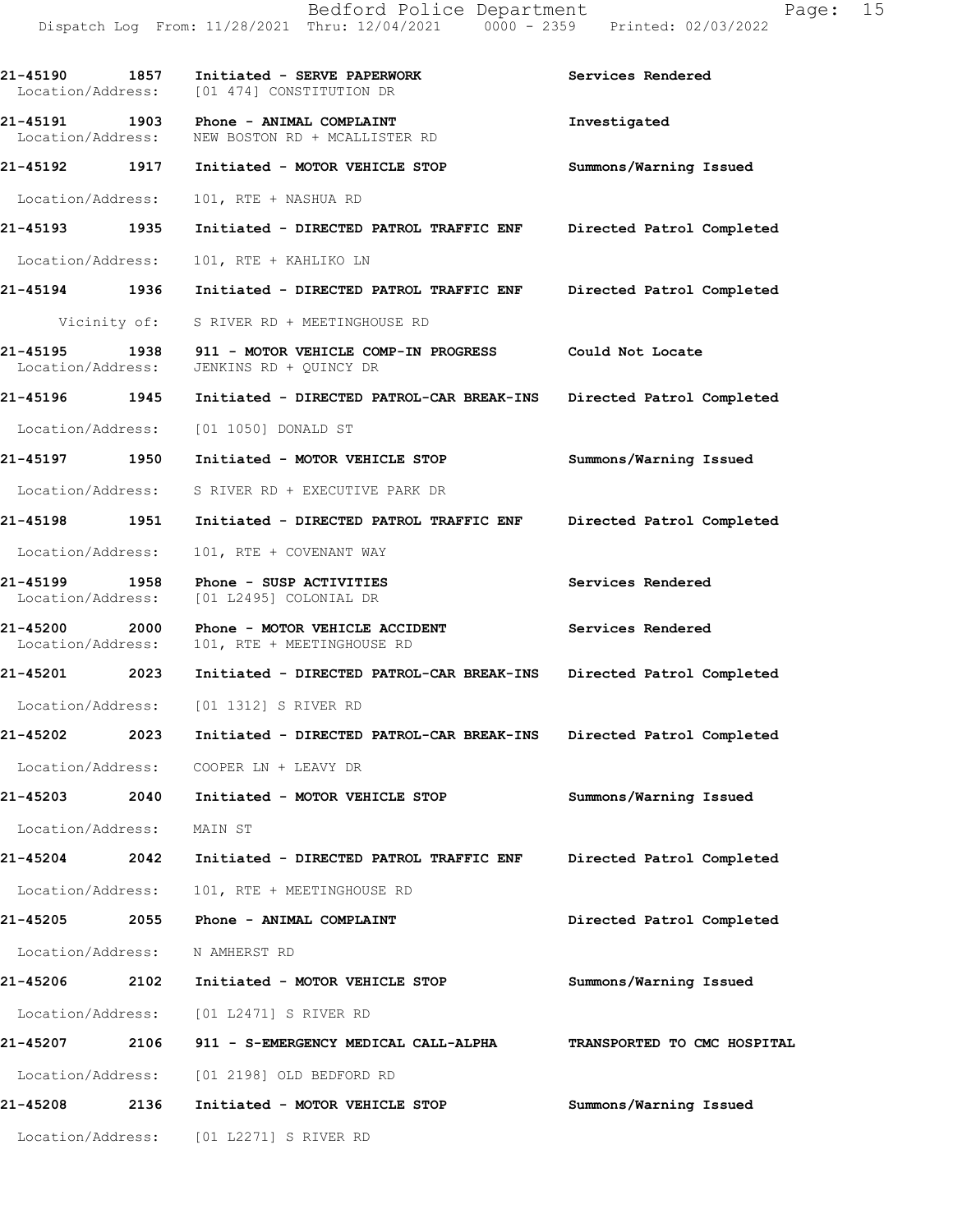| <b>21-45190</b><br>Location/Address: | 1857         | Initiated - SERVE PAPERWORK<br>[01 474] CONSTITUTION DR                     | Services Rendered           |
|--------------------------------------|--------------|-----------------------------------------------------------------------------|-----------------------------|
| 21-45191 1903                        |              | Phone - ANIMAL COMPLAINT<br>Location/Address: NEW BOSTON RD + MCALLISTER RD | Investigated                |
| 21-45192 1917                        |              | Initiated - MOTOR VEHICLE STOP                                              | Summons/Warning Issued      |
| Location/Address:                    |              | 101, RTE + NASHUA RD                                                        |                             |
| 21-45193                             | 1935         | Initiated - DIRECTED PATROL TRAFFIC ENF                                     | Directed Patrol Completed   |
| Location/Address:                    |              | 101, RTE + KAHLIKO LN                                                       |                             |
| 21-45194 1936                        |              | Initiated - DIRECTED PATROL TRAFFIC ENF                                     | Directed Patrol Completed   |
|                                      | Vicinity of: | S RIVER RD + MEETINGHOUSE RD                                                |                             |
| 21-45195 1938<br>Location/Address:   |              | 911 - MOTOR VEHICLE COMP-IN PROGRESS<br>JENKINS RD + QUINCY DR              | Could Not Locate            |
| 21-45196 1945                        |              | Initiated - DIRECTED PATROL-CAR BREAK-INS Directed Patrol Completed         |                             |
| Location/Address:                    |              | [01 1050] DONALD ST                                                         |                             |
| 21-45197 1950                        |              | Initiated - MOTOR VEHICLE STOP                                              | Summons/Warning Issued      |
| Location/Address:                    |              | S RIVER RD + EXECUTIVE PARK DR                                              |                             |
| 21-45198 1951                        |              | Initiated - DIRECTED PATROL TRAFFIC ENF                                     | Directed Patrol Completed   |
| Location/Address:                    |              | 101, RTE + COVENANT WAY                                                     |                             |
| 21-45199<br>Location/Address:        | 1958         | Phone - SUSP ACTIVITIES<br>[01 L2495] COLONIAL DR                           | Services Rendered           |
| 21-45200 2000<br>Location/Address:   |              | Phone - MOTOR VEHICLE ACCIDENT<br>101, RTE + MEETINGHOUSE RD                | Services Rendered           |
| 21-45201 2023                        |              | Initiated - DIRECTED PATROL-CAR BREAK-INS                                   | Directed Patrol Completed   |
|                                      |              | Location/Address: [01 1312] S RIVER RD                                      |                             |
| 21-45202 2023                        |              | Initiated - DIRECTED PATROL-CAR BREAK-INS                                   | Directed Patrol Completed   |
| Location/Address:                    |              | COOPER LN + LEAVY DR                                                        |                             |
| 21-45203                             | 2040         | Initiated - MOTOR VEHICLE STOP                                              | Summons/Warning Issued      |
| Location/Address:                    |              | MAIN ST                                                                     |                             |
| 21-45204                             | 2042         | Initiated - DIRECTED PATROL TRAFFIC ENF                                     | Directed Patrol Completed   |
| Location/Address:                    |              | 101, RTE + MEETINGHOUSE RD                                                  |                             |
| 21-45205                             | 2055         | Phone - ANIMAL COMPLAINT                                                    | Directed Patrol Completed   |
| Location/Address:                    |              | N AMHERST RD                                                                |                             |
| 21-45206                             | 2102         | Initiated - MOTOR VEHICLE STOP                                              | Summons/Warning Issued      |
|                                      |              | Location/Address: [01 L2471] S RIVER RD                                     |                             |
| 21-45207                             | 2106         | 911 - S-EMERGENCY MEDICAL CALL-ALPHA                                        | TRANSPORTED TO CMC HOSPITAL |
| Location/Address:                    |              | [01 2198] OLD BEDFORD RD                                                    |                             |
| 21-45208                             | 2136         | Initiated - MOTOR VEHICLE STOP                                              | Summons/Warning Issued      |
| Location/Address:                    |              | [01 L2271] S RIVER RD                                                       |                             |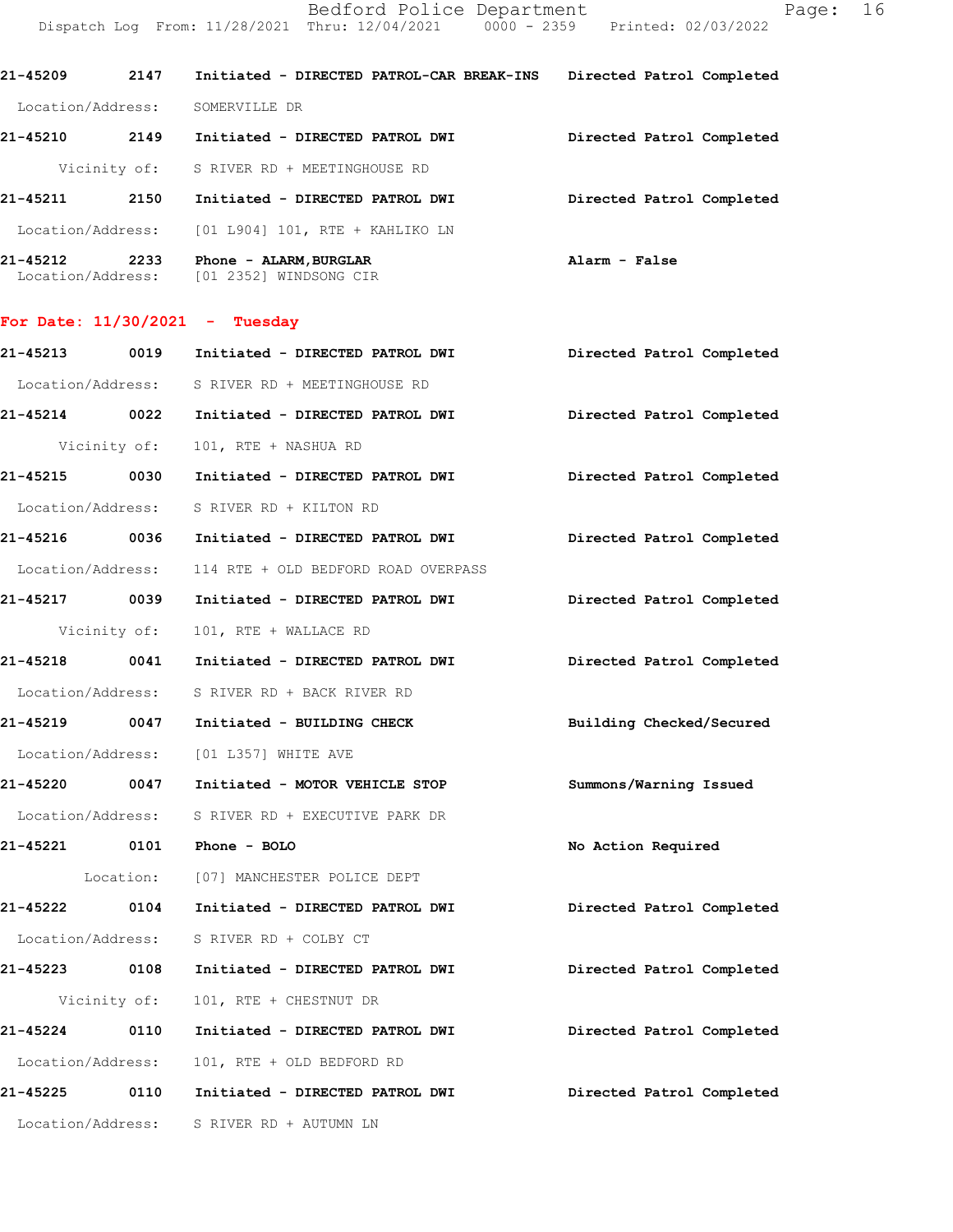DispatchLogFrom:11/28/2021Thru:12/04/20210000-2359Printed:02/03/2022 21-45209 2147 Initiated - DIRECTED PATROL-CAR BREAK-INS Directed Patrol Completed

Location/Address: SOMERVILLE DR

Location/Address: [01 2352] WINDSONG CIR

| 21-45212<br>2233 | Phone - ALARM, BURGLAR                            | Alarm - False             |  |
|------------------|---------------------------------------------------|---------------------------|--|
|                  | Location/Address: [01 L904] 101, RTE + KAHLIKO LN |                           |  |
| 21-45211<br>2150 | Initiated - DIRECTED PATROL DWI                   | Directed Patrol Completed |  |
|                  | Vicinity of: S RIVER RD + MEETINGHOUSE RD         |                           |  |
| 21-45210<br>2149 | Initiated - DIRECTED PATROL DWI                   | Directed Patrol Completed |  |
|                  |                                                   |                           |  |

## For Date:  $11/30/2021$  - Tuesday

| 21-45213      | 0019 | Initiated - DIRECTED PATROL DWI                                         | Directed Patrol Completed |
|---------------|------|-------------------------------------------------------------------------|---------------------------|
|               |      | Location/Address: S RIVER RD + MEETINGHOUSE RD                          |                           |
|               |      | 21-45214 0022 Initiated - DIRECTED PATROL DWI                           | Directed Patrol Completed |
|               |      | Vicinity of: 101, RTE + NASHUA RD                                       |                           |
| 21-45215 0030 |      | Initiated - DIRECTED PATROL DWI Directed Patrol Completed               |                           |
|               |      | Location/Address: S RIVER RD + KILTON RD                                |                           |
|               |      | 21-45216 0036 Initiated - DIRECTED PATROL DWI                           | Directed Patrol Completed |
|               |      | Location/Address: 114 RTE + OLD BEDFORD ROAD OVERPASS                   |                           |
|               |      | 21-45217 0039 Initiated - DIRECTED PATROL DWI                           | Directed Patrol Completed |
|               |      | Vicinity of: 101, RTE + WALLACE RD                                      |                           |
|               |      | 21-45218 0041 Initiated - DIRECTED PATROL DWI Directed Patrol Completed |                           |
|               |      | Location/Address: S RIVER RD + BACK RIVER RD                            |                           |
|               |      | 21-45219 0047 Initiated - BUILDING CHECK                                | Building Checked/Secured  |
|               |      | Location/Address: [01 L357] WHITE AVE                                   |                           |
|               |      | 21-45220 0047 Initiated - MOTOR VEHICLE STOP                            | Summons/Warning Issued    |
|               |      | Location/Address: S RIVER RD + EXECUTIVE PARK DR                        |                           |
|               |      | 21-45221 0101 Phone - BOLO                                              | No Action Required        |
|               |      | Location: [07] MANCHESTER POLICE DEPT                                   |                           |
|               |      | 21-45222 0104 Initiated - DIRECTED PATROL DWI                           | Directed Patrol Completed |
|               |      | Location/Address: S RIVER RD + COLBY CT                                 |                           |
|               |      | 21-45223 0108 Initiated - DIRECTED PATROL DWI                           | Directed Patrol Completed |
| Vicinity of:  |      | 101, RTE + CHESTNUT DR                                                  |                           |
|               |      | 21-45224 0110 Initiated - DIRECTED PATROL DWI                           | Directed Patrol Completed |
|               |      | Location/Address: 101, RTE + OLD BEDFORD RD                             |                           |
|               |      | 21-45225 0110 Initiated - DIRECTED PATROL DWI                           | Directed Patrol Completed |
|               |      | Location/Address: S RIVER RD + AUTUMN LN                                |                           |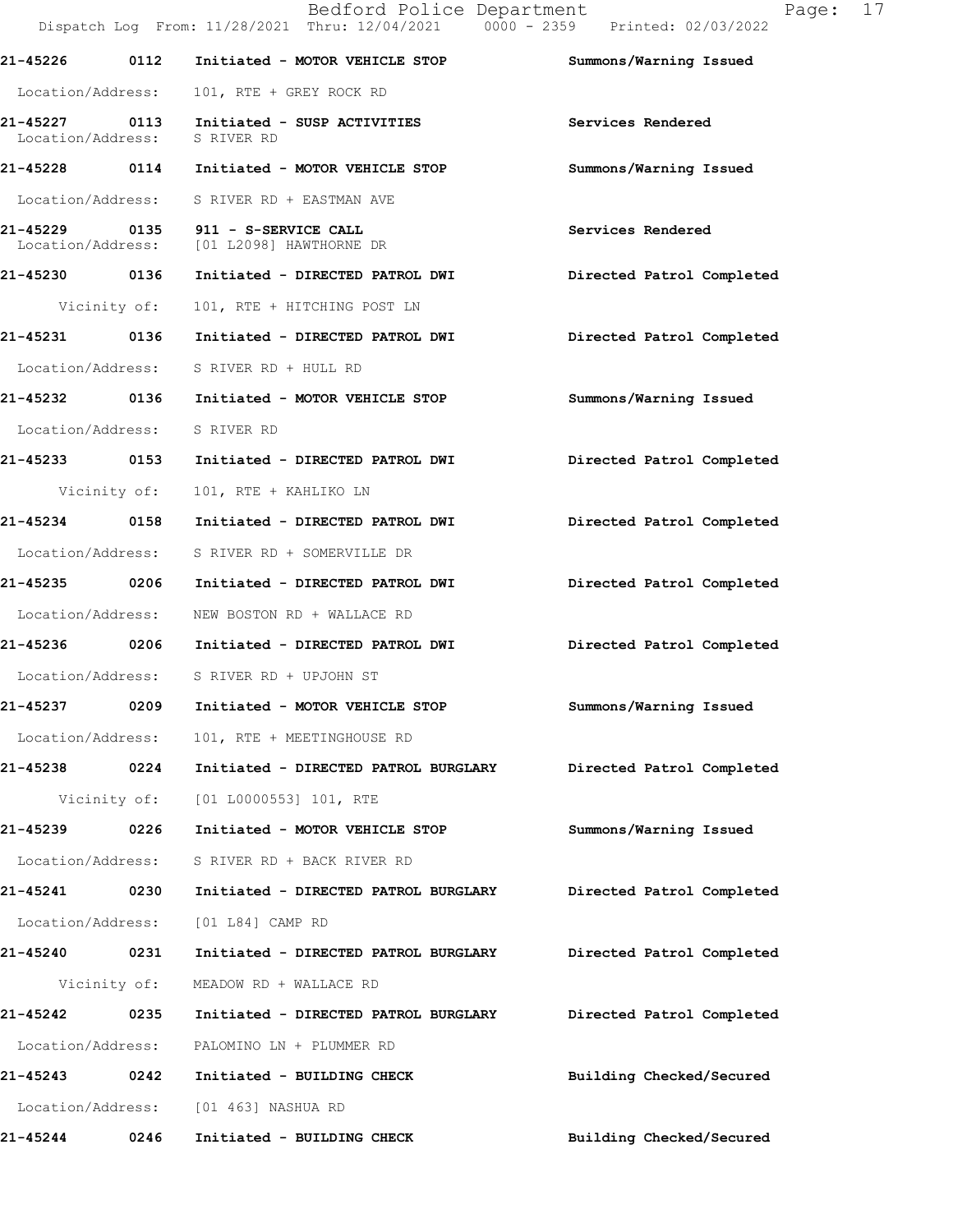|                                    |              | Bedford Police Department<br>Dispatch Log From: 11/28/2021 Thru: 12/04/2021 0000 - 2359 Printed: 02/03/2022 | Page:                     | 17 |
|------------------------------------|--------------|-------------------------------------------------------------------------------------------------------------|---------------------------|----|
|                                    |              | 21-45226 0112 Initiated - MOTOR VEHICLE STOP                                                                | Summons/Warning Issued    |    |
| Location/Address:                  |              | 101, RTE + GREY ROCK RD                                                                                     |                           |    |
| 21-45227 0113<br>Location/Address: |              | Initiated - SUSP ACTIVITIES<br>S RIVER RD                                                                   | Services Rendered         |    |
|                                    |              | 21-45228 0114 Initiated - MOTOR VEHICLE STOP                                                                | Summons/Warning Issued    |    |
|                                    |              | Location/Address: S RIVER RD + EASTMAN AVE                                                                  |                           |    |
|                                    |              | 21-45229 0135 911 - S-SERVICE CALL<br>Location/Address: [01 L2098] HAWTHORNE DR                             | Services Rendered         |    |
| 21-45230 0136                      |              | Initiated - DIRECTED PATROL DWI                                                                             | Directed Patrol Completed |    |
|                                    | Vicinity of: | 101, RTE + HITCHING POST LN                                                                                 |                           |    |
| 21-45231 0136                      |              | Initiated - DIRECTED PATROL DWI                                                                             | Directed Patrol Completed |    |
|                                    |              | Location/Address: S RIVER RD + HULL RD                                                                      |                           |    |
|                                    |              | 21-45232 0136 Initiated - MOTOR VEHICLE STOP                                                                | Summons/Warning Issued    |    |
|                                    |              | Location/Address: S RIVER RD                                                                                |                           |    |
|                                    |              |                                                                                                             | Directed Patrol Completed |    |
|                                    | Vicinity of: | 101, RTE + KAHLIKO LN                                                                                       |                           |    |
| 21-45234 0158                      |              | Initiated - DIRECTED PATROL DWI                                                                             | Directed Patrol Completed |    |
| Location/Address:                  |              | S RIVER RD + SOMERVILLE DR                                                                                  |                           |    |
| 21-45235 0206                      |              | Initiated - DIRECTED PATROL DWI                                                                             | Directed Patrol Completed |    |
| Location/Address:                  |              | NEW BOSTON RD + WALLACE RD                                                                                  |                           |    |
|                                    |              | 21-45236 0206 Initiated - DIRECTED PATROL DWI                                                               | Directed Patrol Completed |    |
|                                    |              | Location/Address: S RIVER RD + UPJOHN ST                                                                    |                           |    |
| 21-45237                           | 0209         | Initiated - MOTOR VEHICLE STOP                                                                              | Summons/Warning Issued    |    |
| Location/Address:                  |              | 101, RTE + MEETINGHOUSE RD                                                                                  |                           |    |
| 21-45238 0224                      |              | Initiated - DIRECTED PATROL BURGLARY                                                                        | Directed Patrol Completed |    |
|                                    | Vicinity of: | [01 L0000553] 101, RTE                                                                                      |                           |    |
| 21-45239 0226                      |              | Initiated - MOTOR VEHICLE STOP                                                                              | Summons/Warning Issued    |    |
| Location/Address:                  |              | S RIVER RD + BACK RIVER RD                                                                                  |                           |    |
| 21-45241                           | 0230         | Initiated - DIRECTED PATROL BURGLARY                                                                        | Directed Patrol Completed |    |
| Location/Address:                  |              | [01 L84] CAMP RD                                                                                            |                           |    |
| 21-45240 0231                      |              | Initiated - DIRECTED PATROL BURGLARY                                                                        | Directed Patrol Completed |    |
|                                    | Vicinity of: | MEADOW RD + WALLACE RD                                                                                      |                           |    |
| 21-45242 0235                      |              | Initiated - DIRECTED PATROL BURGLARY                                                                        | Directed Patrol Completed |    |
| Location/Address:                  |              | PALOMINO LN + PLUMMER RD                                                                                    |                           |    |
| 21-45243                           | 0242         | Initiated - BUILDING CHECK                                                                                  | Building Checked/Secured  |    |
| Location/Address:                  |              | [01 463] NASHUA RD                                                                                          |                           |    |
| 21-45244                           | 0246         | Initiated - BUILDING CHECK                                                                                  | Building Checked/Secured  |    |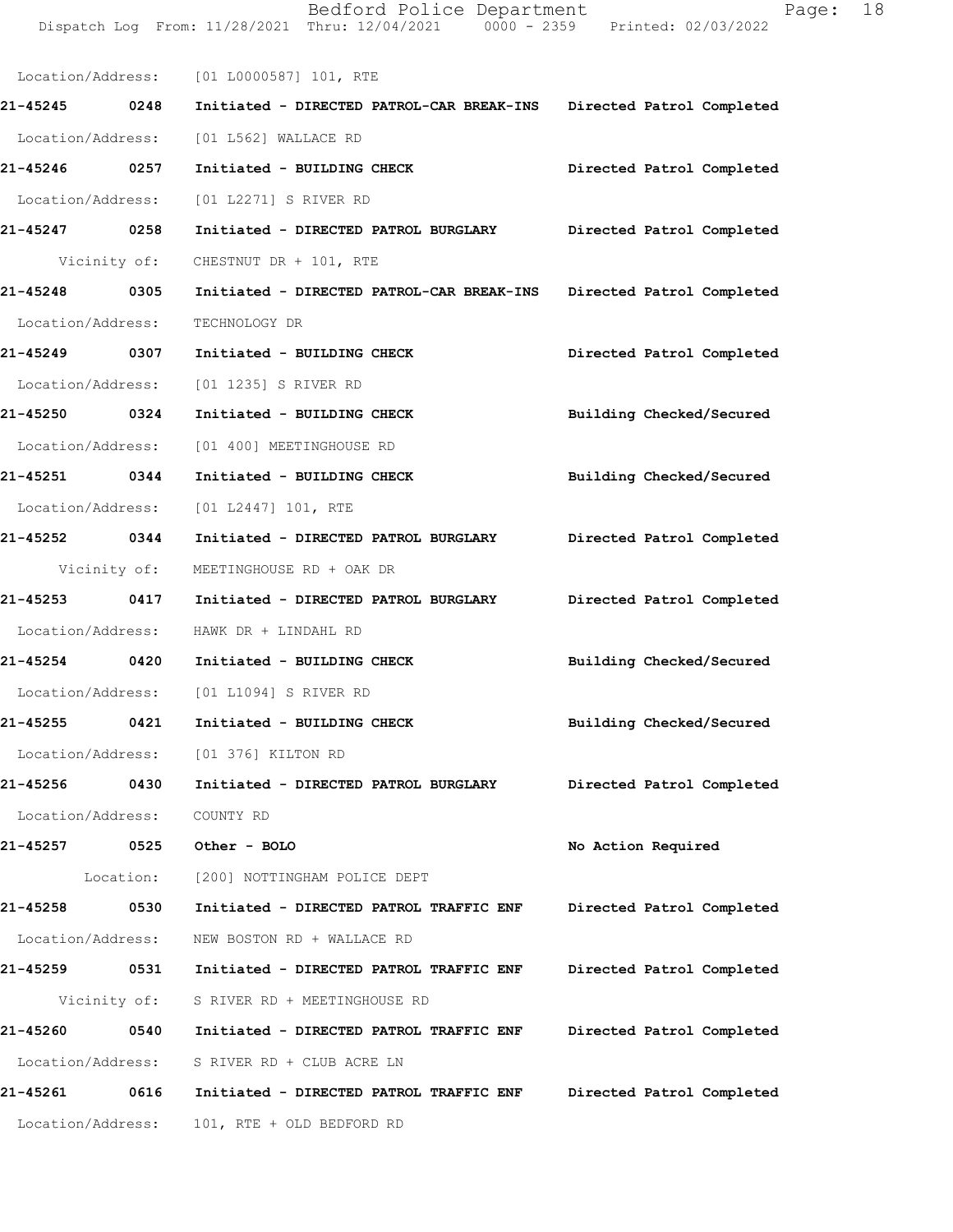|                             |      | Dispatch Log From: 11/28/2021 Thru: 12/04/2021 0000 - 2359 Printed: 02/03/2022 |                           |
|-----------------------------|------|--------------------------------------------------------------------------------|---------------------------|
|                             |      | Location/Address: [01 L0000587] 101, RTE                                       |                           |
| 21-45245 0248               |      | Initiated - DIRECTED PATROL-CAR BREAK-INS Directed Patrol Completed            |                           |
|                             |      | Location/Address: [01 L562] WALLACE RD                                         |                           |
| 21-45246 0257               |      | Initiated - BUILDING CHECK Directed Patrol Completed                           |                           |
|                             |      | Location/Address: [01 L2271] S RIVER RD                                        |                           |
| 21-45247 0258               |      | Initiated - DIRECTED PATROL BURGLARY Directed Patrol Completed                 |                           |
|                             |      | Vicinity of: CHESTNUT DR + 101, RTE                                            |                           |
| 21-45248 0305               |      | Initiated - DIRECTED PATROL-CAR BREAK-INS Directed Patrol Completed            |                           |
| Location/Address:           |      | TECHNOLOGY DR                                                                  |                           |
| 21-45249 0307               |      | Initiated - BUILDING CHECK                                                     | Directed Patrol Completed |
|                             |      | Location/Address: [01 1235] S RIVER RD                                         |                           |
| 21-45250 0324               |      | Initiated - BUILDING CHECK                                                     | Building Checked/Secured  |
| Location/Address:           |      | [01 400] MEETINGHOUSE RD                                                       |                           |
| 21-45251 0344               |      | Initiated - BUILDING CHECK                                                     | Building Checked/Secured  |
|                             |      | Location/Address: [01 L2447] 101, RTE                                          |                           |
| 21-45252 0344               |      | Initiated - DIRECTED PATROL BURGLARY Directed Patrol Completed                 |                           |
|                             |      | Vicinity of: MEETINGHOUSE RD + OAK DR                                          |                           |
| 21-45253 0417               |      | Initiated - DIRECTED PATROL BURGLARY Directed Patrol Completed                 |                           |
|                             |      | Location/Address: HAWK DR + LINDAHL RD                                         |                           |
|                             |      | 21-45254 0420 Initiated - BUILDING CHECK                                       | Building Checked/Secured  |
|                             |      | Location/Address: [01 L1094] S RIVER RD                                        |                           |
|                             |      | 21-45255 0421 Initiated - BUILDING CHECK                                       | Building Checked/Secured  |
|                             |      | Location/Address: [01 376] KILTON RD                                           |                           |
| 21-45256                    | 0430 | Initiated - DIRECTED PATROL BURGLARY                                           | Directed Patrol Completed |
| Location/Address: COUNTY RD |      |                                                                                |                           |
| 21-45257 0525               |      | Other - BOLO                                                                   | No Action Required        |
|                             |      | Location: [200] NOTTINGHAM POLICE DEPT                                         |                           |
| 21-45258                    | 0530 | Initiated - DIRECTED PATROL TRAFFIC ENF                                        | Directed Patrol Completed |
|                             |      | Location/Address: NEW BOSTON RD + WALLACE RD                                   |                           |
| 21-45259                    | 0531 | Initiated - DIRECTED PATROL TRAFFIC ENF                                        | Directed Patrol Completed |
|                             |      | Vicinity of: S RIVER RD + MEETINGHOUSE RD                                      |                           |
| 21-45260                    | 0540 | Initiated - DIRECTED PATROL TRAFFIC ENF                                        | Directed Patrol Completed |
|                             |      | Location/Address: S RIVER RD + CLUB ACRE LN                                    |                           |
| 21-45261                    | 0616 | Initiated - DIRECTED PATROL TRAFFIC ENF                                        | Directed Patrol Completed |
| Location/Address:           |      | 101, RTE + OLD BEDFORD RD                                                      |                           |
|                             |      |                                                                                |                           |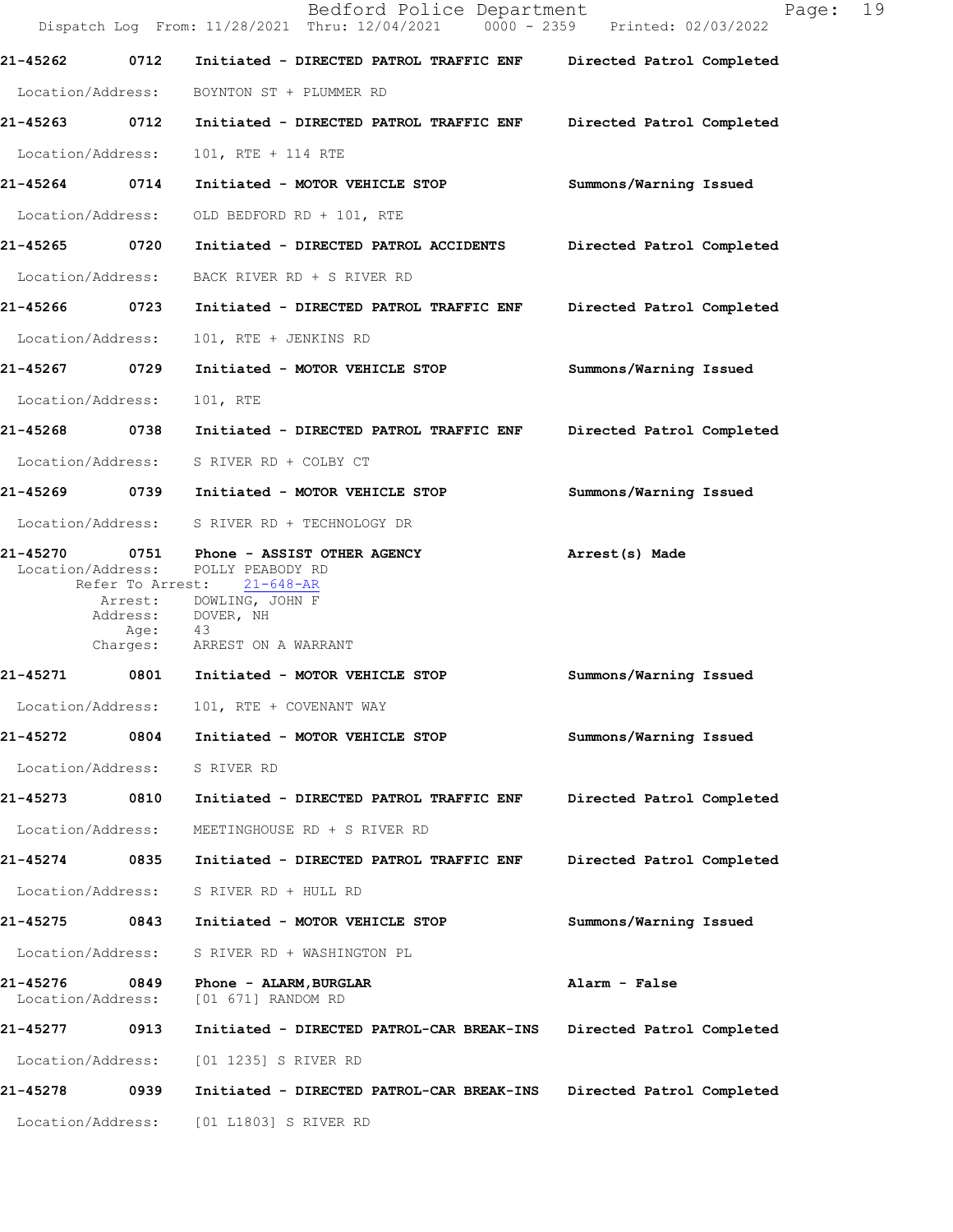| 19<br>Page:<br>Dispatch Log From: 11/28/2021 Thru: 12/04/2021 0000 - 2359 Printed: 02/03/2022 |
|-----------------------------------------------------------------------------------------------|
| Directed Patrol Completed                                                                     |
|                                                                                               |
| Directed Patrol Completed                                                                     |
|                                                                                               |
| Summons/Warning Issued                                                                        |
|                                                                                               |
| Directed Patrol Completed                                                                     |
|                                                                                               |
| Directed Patrol Completed                                                                     |
|                                                                                               |
| Summons/Warning Issued                                                                        |
|                                                                                               |
| Directed Patrol Completed                                                                     |
|                                                                                               |
| Summons/Warning Issued                                                                        |
|                                                                                               |
|                                                                                               |
|                                                                                               |
| Summons/Warning Issued                                                                        |
|                                                                                               |
| Summons/Warning Issued                                                                        |
|                                                                                               |
| Directed Patrol Completed                                                                     |
|                                                                                               |
| Directed Patrol Completed                                                                     |
|                                                                                               |
| Summons/Warning Issued                                                                        |
|                                                                                               |
|                                                                                               |
| Directed Patrol Completed                                                                     |
|                                                                                               |
| Directed Patrol Completed                                                                     |
|                                                                                               |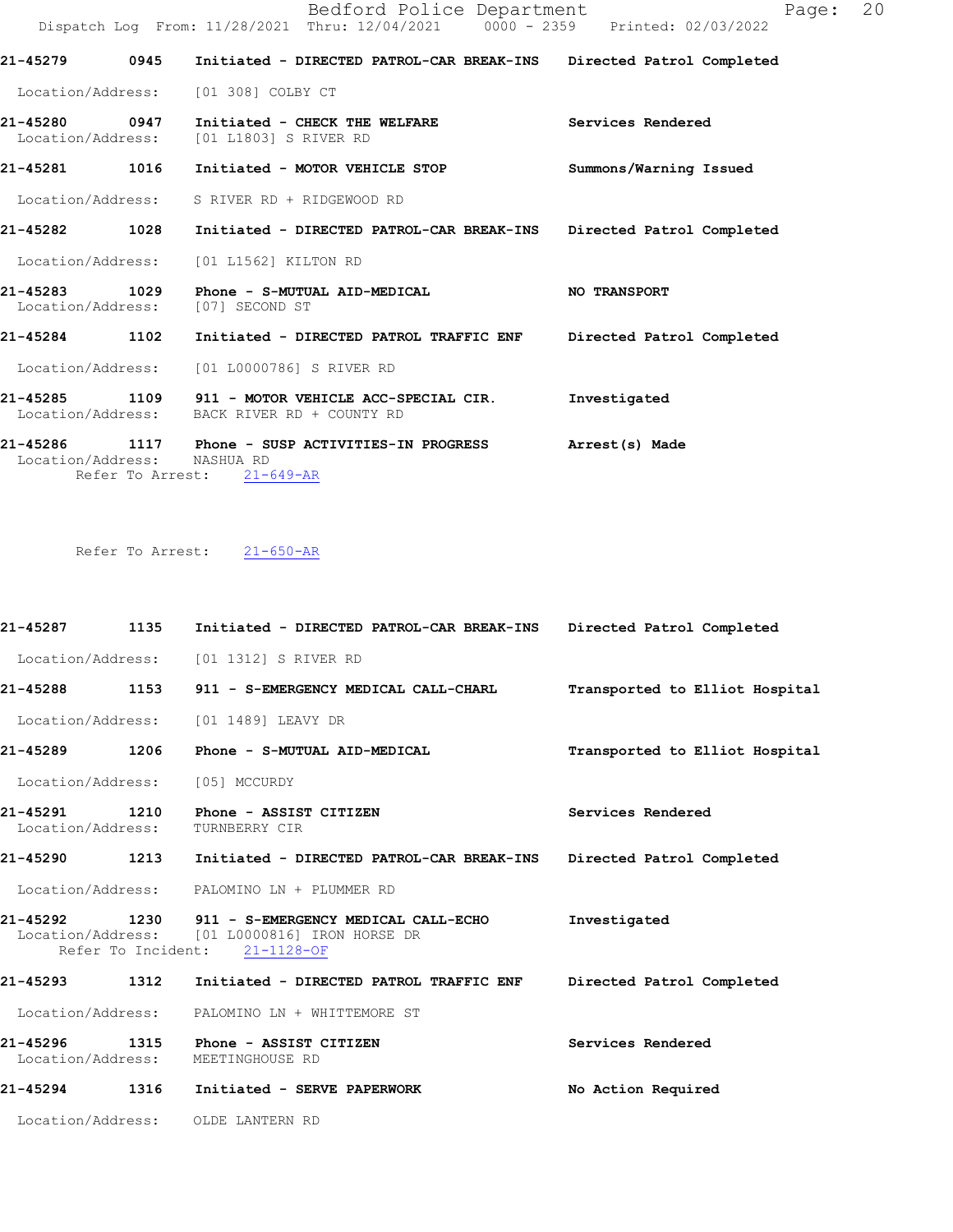Bedford Police Department Page: 20 Dispatch Log From: 11/28/2021 Thru: 12/04/2021 0000 - 2359 Printed: 02/03/2022 21-45279 0945 Initiated - DIRECTED PATROL-CAR BREAK-INS Directed Patrol Completed Location/Address: [01 308] COLBY CT 21-45280 0947 Initiated - CHECK THE WELFARE Services Rendered Location/Address: [01 L1803] S RIVER RD [01 L1803] S RIVER RD 21-45281 1016 Initiated - MOTOR VEHICLE STOP Summons/Warning Issued Location/Address: S RIVER RD + RIDGEWOOD RD 21-45282 1028 Initiated - DIRECTED PATROL-CAR BREAK-INS Directed Patrol Completed Location/Address: [01 L1562] KILTON RD 21-45283 1029 Phone - S-MUTUAL AID-MEDICAL NO TRANSPORT<br>Location/Address: [07] SECOND ST Location/Address: 21-45284 1102 Initiated - DIRECTED PATROL TRAFFIC ENF Directed Patrol Completed Location/Address: [01 L0000786] S RIVER RD 21-45285 1109 911 - MOTOR VEHICLE ACC-SPECIAL CIR. Investigated Location/Address: BACK RIVER RD + COUNTY RD 21-45286 1117 Phone - SUSP ACTIVITIES-IN PROGRESS Arrest(s) Made<br>Location/Address: NASHUA RD Location/Address:

Refer To Arrest: 21-649-AR

Refer To Arrest: 21-650-AR

21-45287 1135 Initiated - DIRECTED PATROL-CAR BREAK-INS Directed Patrol Completed Location/Address: [01 1312] S RIVER RD 21-45288 1153 911 - S-EMERGENCY MEDICAL CALL-CHARL Transported to Elliot Hospital Location/Address: [01 1489] LEAVY DR 21-45289 1206 Phone - S-MUTUAL AID-MEDICAL Transported to Elliot Hospital Location/Address: [05] MCCURDY 21-45291 1210 Phone - ASSIST CITIZEN Services Rendered Services Rendered Services Rendered Location/Address: 21-45290 1213 Initiated - DIRECTED PATROL-CAR BREAK-INS Directed Patrol Completed Location/Address: PALOMINO LN + PLUMMER RD 21-45292 1230 911 - S-EMERGENCY MEDICAL CALL-ECHO Investigated<br>Location/Address: [01 L0000816] IRON HORSE DR  $[01 L0000816]$  IRON HORSE DR<br>ht:  $21-1128-OF$ Refer To Incident: 21-45293 1312 Initiated - DIRECTED PATROL TRAFFIC ENF Directed Patrol Completed Location/Address: PALOMINO LN + WHITTEMORE ST 21-45296 1315 Phone - ASSIST CITIZEN Services Rendered Services Rendered Services Location/Address: 21-45294 1316 Initiated - SERVE PAPERWORK No Action Required Location/Address: OLDE LANTERN RD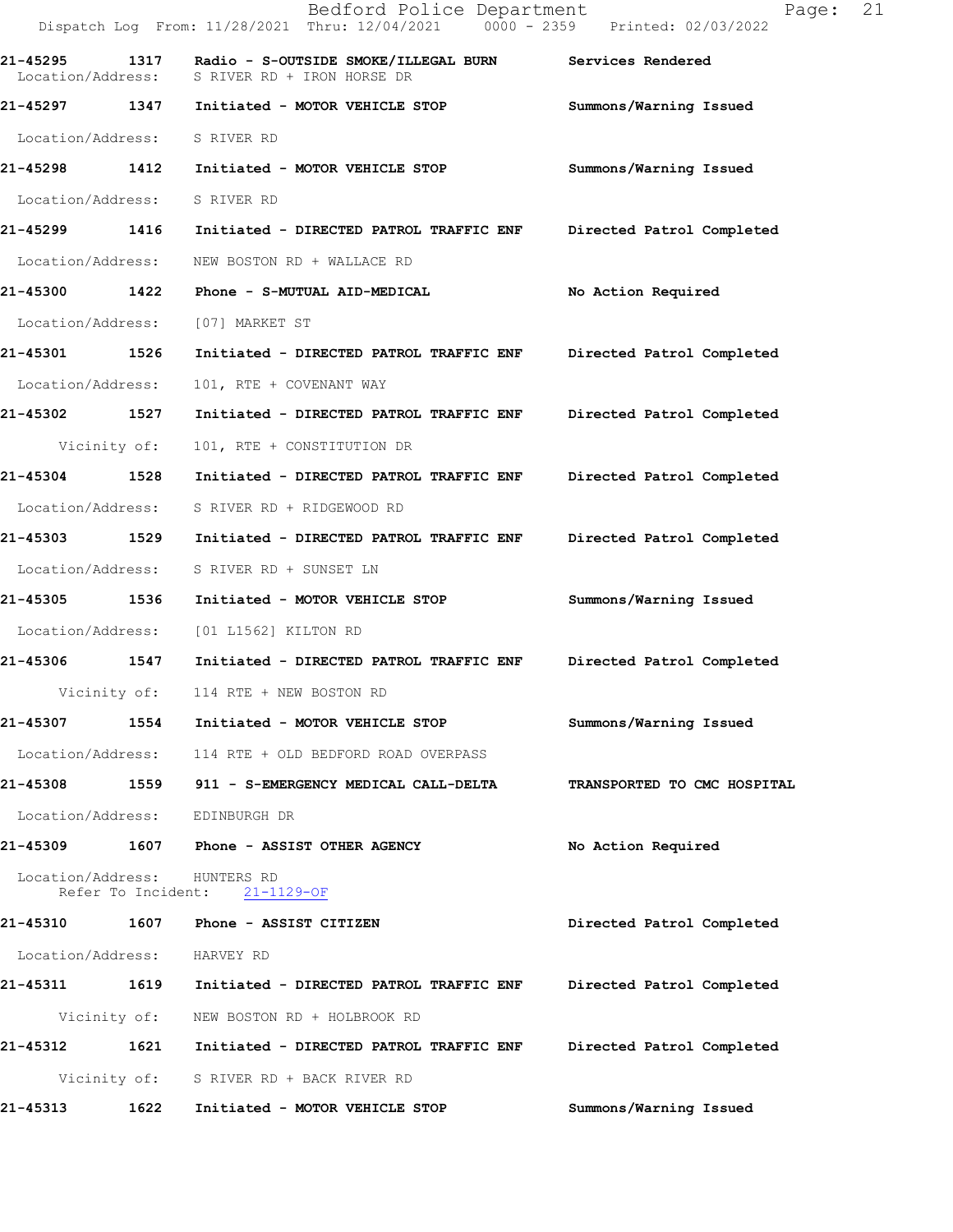|                              |                    | Bedford Police Department<br>Dispatch Log From: 11/28/2021 Thru: 12/04/2021 0000 - 2359 Printed: 02/03/2022 | 21<br>Page:                 |
|------------------------------|--------------------|-------------------------------------------------------------------------------------------------------------|-----------------------------|
| 21-45295 1317                |                    | Radio - S-OUTSIDE SMOKE/ILLEGAL BURN Services Rendered<br>Location/Address: S RIVER RD + IRON HORSE DR      |                             |
|                              |                    | 21-45297 1347 Initiated - MOTOR VEHICLE STOP                                                                | Summons/Warning Issued      |
| Location/Address: S RIVER RD |                    |                                                                                                             |                             |
| 21-45298 1412                |                    | Initiated - MOTOR VEHICLE STOP                                                                              | Summons/Warning Issued      |
| Location/Address: S RIVER RD |                    |                                                                                                             |                             |
| 21-45299 1416                |                    | Initiated - DIRECTED PATROL TRAFFIC ENF                                                                     | Directed Patrol Completed   |
| Location/Address:            |                    | NEW BOSTON RD + WALLACE RD                                                                                  |                             |
| 21-45300 1422                |                    | Phone - S-MUTUAL AID-MEDICAL                                                                                | No Action Required          |
| Location/Address:            |                    | [07] MARKET ST                                                                                              |                             |
| 21-45301 1526                |                    | Initiated - DIRECTED PATROL TRAFFIC ENF Directed Patrol Completed                                           |                             |
| Location/Address:            |                    | 101, RTE + COVENANT WAY                                                                                     |                             |
| 21-45302 1527                |                    | Initiated - DIRECTED PATROL TRAFFIC ENF                                                                     | Directed Patrol Completed   |
| Vicinity of:                 |                    | 101, RTE + CONSTITUTION DR                                                                                  |                             |
| 21-45304 1528                |                    | Initiated - DIRECTED PATROL TRAFFIC ENF                                                                     | Directed Patrol Completed   |
| Location/Address:            |                    | S RIVER RD + RIDGEWOOD RD                                                                                   |                             |
| 21-45303 1529                |                    | Initiated - DIRECTED PATROL TRAFFIC ENF                                                                     | Directed Patrol Completed   |
| Location/Address:            |                    | S RIVER RD + SUNSET LN                                                                                      |                             |
| 21-45305 1536                |                    | Initiated - MOTOR VEHICLE STOP                                                                              | Summons/Warning Issued      |
| Location/Address:            |                    | [01 L1562] KILTON RD                                                                                        |                             |
|                              |                    | 21-45306 1547 Initiated - DIRECTED PATROL TRAFFIC ENF                                                       | Directed Patrol Completed   |
| Vicinity of:                 |                    | 114 RTE + NEW BOSTON RD                                                                                     |                             |
| 21-45307                     | 1554               | Initiated - MOTOR VEHICLE STOP                                                                              | Summons/Warning Issued      |
| Location/Address:            |                    | 114 RTE + OLD BEDFORD ROAD OVERPASS                                                                         |                             |
| 21-45308                     | 1559               | 911 - S-EMERGENCY MEDICAL CALL-DELTA                                                                        | TRANSPORTED TO CMC HOSPITAL |
| Location/Address:            |                    | EDINBURGH DR                                                                                                |                             |
| 21-45309                     |                    | 1607 Phone - ASSIST OTHER AGENCY                                                                            | No Action Required          |
| Location/Address:            | Refer To Incident: | HUNTERS RD<br>$21 - 1129 - OF$                                                                              |                             |
| 21-45310                     | 1607               | Phone - ASSIST CITIZEN                                                                                      | Directed Patrol Completed   |
| Location/Address:            |                    | HARVEY RD                                                                                                   |                             |
| 21-45311                     | 1619               | Initiated - DIRECTED PATROL TRAFFIC ENF                                                                     | Directed Patrol Completed   |
| Vicinity of:                 |                    | NEW BOSTON RD + HOLBROOK RD                                                                                 |                             |
| 21-45312                     | 1621               | Initiated - DIRECTED PATROL TRAFFIC ENF                                                                     | Directed Patrol Completed   |
|                              | Vicinity of:       | S RIVER RD + BACK RIVER RD                                                                                  |                             |
| 21-45313                     | 1622               | Initiated - MOTOR VEHICLE STOP                                                                              | Summons/Warning Issued      |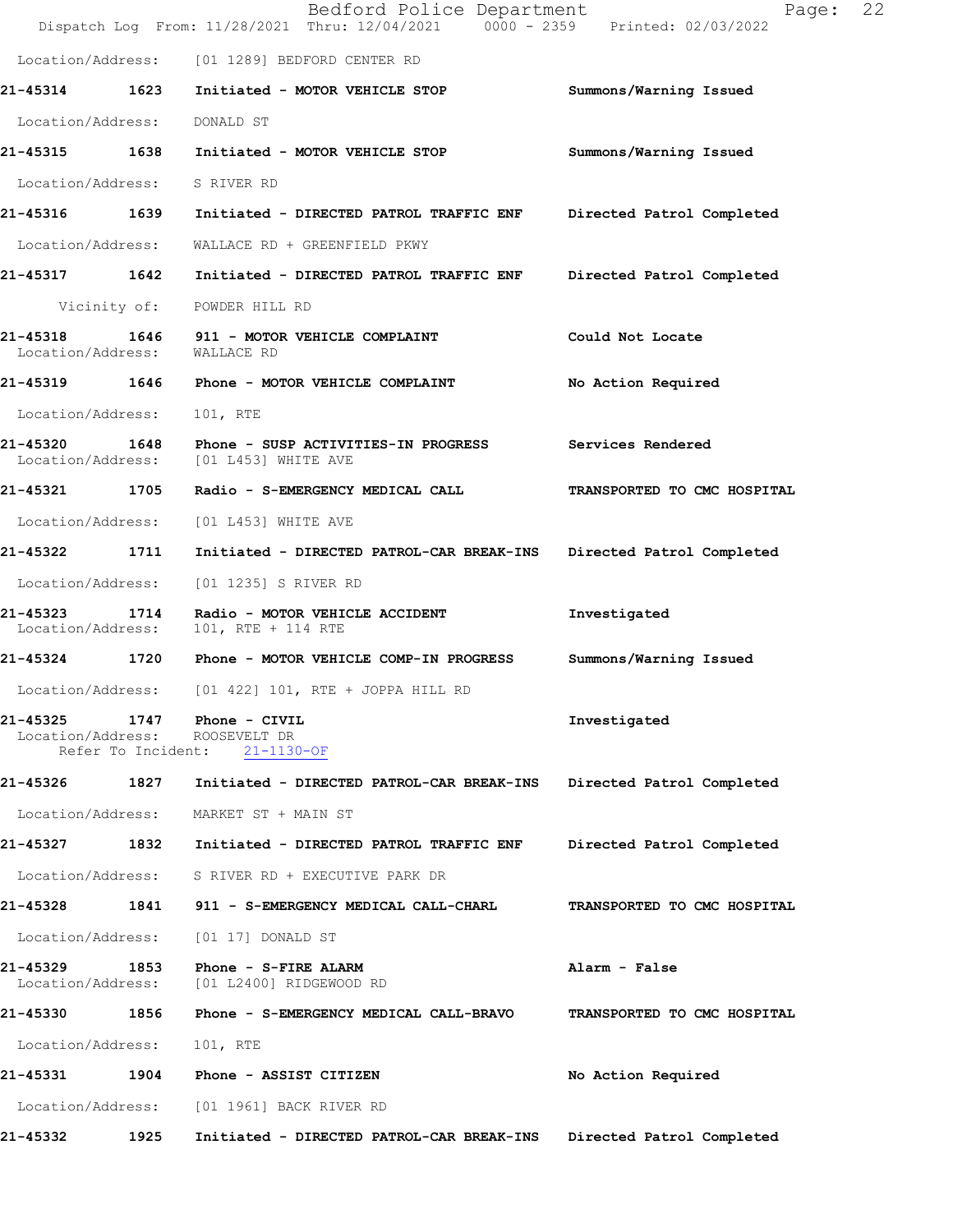|                                          |                    | Bedford Police Department<br>Dispatch Log From: 11/28/2021 Thru: 12/04/2021 0000 - 2359 Printed: 02/03/2022 | 22<br>Page:                 |  |
|------------------------------------------|--------------------|-------------------------------------------------------------------------------------------------------------|-----------------------------|--|
|                                          |                    | Location/Address: [01 1289] BEDFORD CENTER RD                                                               |                             |  |
|                                          |                    | 21-45314 1623 Initiated - MOTOR VEHICLE STOP                                                                | Summons/Warning Issued      |  |
| Location/Address:                        |                    | DONALD ST                                                                                                   |                             |  |
| 21-45315 1638                            |                    | Initiated - MOTOR VEHICLE STOP                                                                              | Summons/Warning Issued      |  |
| Location/Address:                        |                    | S RIVER RD                                                                                                  |                             |  |
| 21-45316 1639                            |                    | Initiated - DIRECTED PATROL TRAFFIC ENF                                                                     | Directed Patrol Completed   |  |
| Location/Address:                        |                    | WALLACE RD + GREENFIELD PKWY                                                                                |                             |  |
| 21-45317 1642                            |                    | Initiated - DIRECTED PATROL TRAFFIC ENF                                                                     | Directed Patrol Completed   |  |
|                                          |                    | Vicinity of: POWDER HILL RD                                                                                 |                             |  |
| 21-45318<br>Location/Address: WALLACE RD |                    | 1646 911 - MOTOR VEHICLE COMPLAINT                                                                          | Could Not Locate            |  |
|                                          |                    | 21-45319 1646 Phone - MOTOR VEHICLE COMPLAINT                                                               | No Action Required          |  |
| Location/Address:                        |                    | 101, RTE                                                                                                    |                             |  |
| 21-45320                                 |                    | 1648 Phone - SUSP ACTIVITIES-IN PROGRESS<br>Location/Address: [01 L453] WHITE AVE                           | Services Rendered           |  |
| 21-45321 1705                            |                    | Radio - S-EMERGENCY MEDICAL CALL                                                                            | TRANSPORTED TO CMC HOSPITAL |  |
|                                          |                    | Location/Address: [01 L453] WHITE AVE                                                                       |                             |  |
| 21-45322 1711                            |                    | Initiated - DIRECTED PATROL-CAR BREAK-INS                                                                   | Directed Patrol Completed   |  |
| Location/Address:                        |                    | [01 1235] S RIVER RD                                                                                        |                             |  |
| 21-45323<br>Location/Address:            | 1714               | Radio - MOTOR VEHICLE ACCIDENT<br>101, RTE + 114 RTE                                                        | Investigated                |  |
| 21-45324 1720                            |                    | Phone - MOTOR VEHICLE COMP-IN PROGRESS                                                                      | Summons/Warning Issued      |  |
| Location/Address:                        |                    | $[01 422] 101$ , RTE + JOPPA HILL RD                                                                        |                             |  |
| 21-45325                                 | Refer To Incident: | 1747 Phone - CIVIL<br>Location/Address: ROOSEVELT DR<br>$21 - 1130 - OF$                                    | Investigated                |  |
|                                          |                    | 21-45326 1827 Initiated - DIRECTED PATROL-CAR BREAK-INS                                                     | Directed Patrol Completed   |  |
| Location/Address:                        |                    | MARKET ST + MAIN ST                                                                                         |                             |  |
| 21-45327 1832                            |                    | Initiated - DIRECTED PATROL TRAFFIC ENF                                                                     | Directed Patrol Completed   |  |
| Location/Address:                        |                    | S RIVER RD + EXECUTIVE PARK DR                                                                              |                             |  |
| 21-45328                                 | 1841               | 911 - S-EMERGENCY MEDICAL CALL-CHARL                                                                        | TRANSPORTED TO CMC HOSPITAL |  |
| Location/Address:                        |                    | [01 17] DONALD ST                                                                                           |                             |  |
| 21-45329<br>Location/Address:            | 1853               | Phone - S-FIRE ALARM<br>[01 L2400] RIDGEWOOD RD                                                             | Alarm - False               |  |
| 21-45330                                 | 1856               | Phone - S-EMERGENCY MEDICAL CALL-BRAVO                                                                      | TRANSPORTED TO CMC HOSPITAL |  |
| Location/Address:                        |                    | 101, RTE                                                                                                    |                             |  |
| 21-45331                                 | 1904               | Phone - ASSIST CITIZEN                                                                                      | No Action Required          |  |
| Location/Address:                        |                    | [01 1961] BACK RIVER RD                                                                                     |                             |  |
| 21-45332                                 | 1925               | Initiated - DIRECTED PATROL-CAR BREAK-INS                                                                   | Directed Patrol Completed   |  |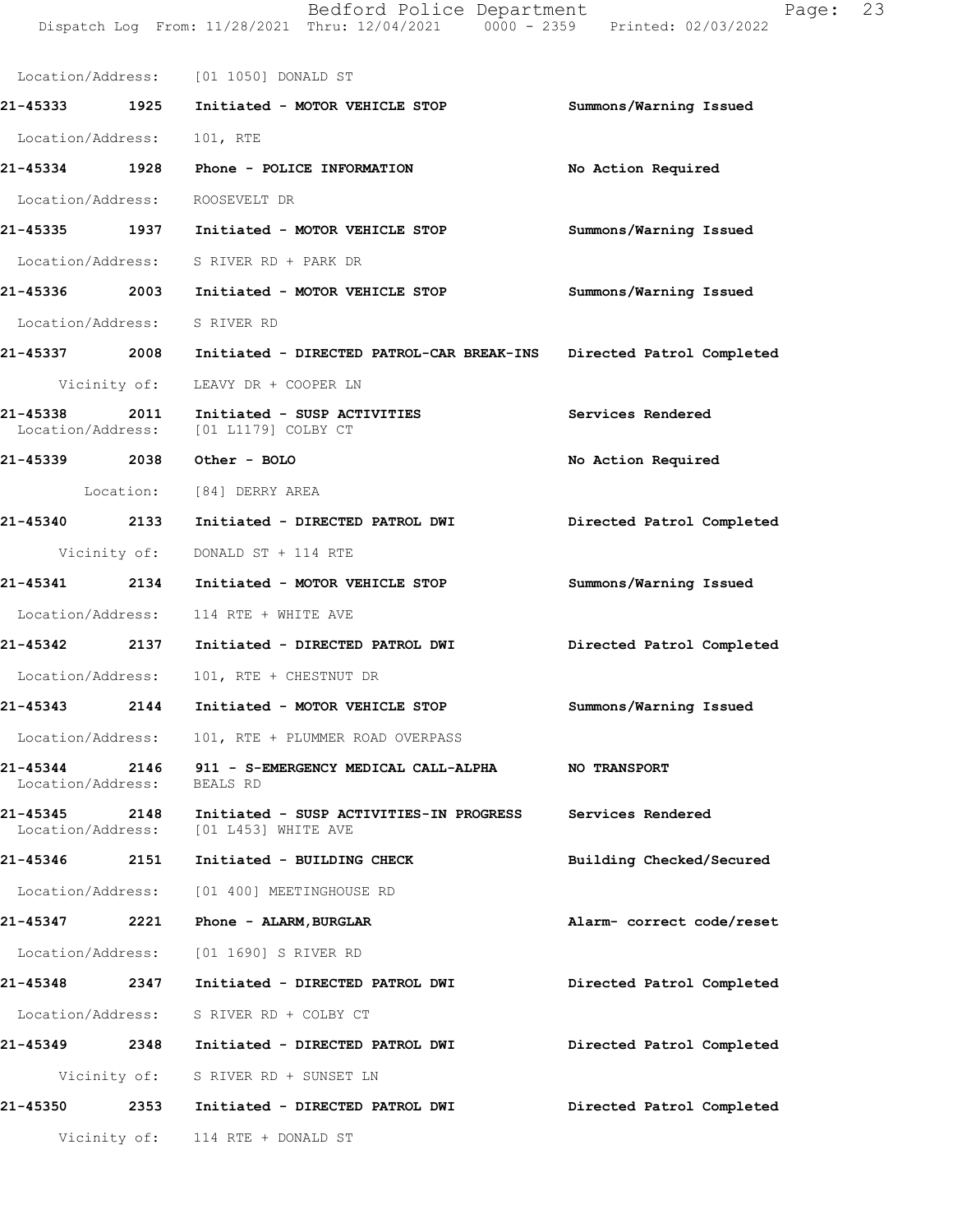|                               |      | Dispatch Log From: 11/28/2021 Thru: 12/04/2021 0000 - 2359 Printed: 02/03/2022 |                           |
|-------------------------------|------|--------------------------------------------------------------------------------|---------------------------|
|                               |      | Location/Address: [01 1050] DONALD ST                                          |                           |
|                               |      | 21-45333 1925 Initiated - MOTOR VEHICLE STOP                                   | Summons/Warning Issued    |
| Location/Address: 101, RTE    |      |                                                                                |                           |
|                               |      | 21-45334 1928 Phone - POLICE INFORMATION                                       | No Action Required        |
|                               |      | Location/Address: ROOSEVELT DR                                                 |                           |
|                               |      | 21-45335 1937 Initiated - MOTOR VEHICLE STOP                                   | Summons/Warning Issued    |
|                               |      | Location/Address: S RIVER RD + PARK DR                                         |                           |
|                               |      | 21-45336 2003 Initiated - MOTOR VEHICLE STOP                                   | Summons/Warning Issued    |
|                               |      | Location/Address: S RIVER RD                                                   |                           |
|                               |      | 21-45337 2008 Initiated - DIRECTED PATROL-CAR BREAK-INS                        | Directed Patrol Completed |
|                               |      | Vicinity of: LEAVY DR + COOPER LN                                              |                           |
| 21-45338 2011                 |      | Initiated - SUSP ACTIVITIES<br>Location/Address: [01 L1179] COLBY CT           | Services Rendered         |
|                               |      | 21-45339 2038 Other - BOLO                                                     | No Action Required        |
|                               |      | Location: [84] DERRY AREA                                                      |                           |
| 21-45340 2133                 |      | Initiated - DIRECTED PATROL DWI                                                | Directed Patrol Completed |
|                               |      | Vicinity of: DONALD ST + 114 RTE                                               |                           |
|                               |      | 21-45341  2134  Initiated - MOTOR VEHICLE STOP                                 | Summons/Warning Issued    |
|                               |      | Location/Address: 114 RTE + WHITE AVE                                          |                           |
|                               |      | 21-45342 2137 Initiated - DIRECTED PATROL DWI                                  | Directed Patrol Completed |
|                               |      | Location/Address: 101, RTE + CHESTNUT DR                                       |                           |
| 21-45343 2144                 |      | Initiated - MOTOR VEHICLE STOP                                                 | Summons/Warning Issued    |
| Location/Address:             |      | 101, RTE + PLUMMER ROAD OVERPASS                                               |                           |
| 21-45344<br>Location/Address: | 2146 | 911 - S-EMERGENCY MEDICAL CALL-ALPHA<br>BEALS RD                               | NO TRANSPORT              |
| 21-45345<br>Location/Address: | 2148 | Initiated - SUSP ACTIVITIES-IN PROGRESS<br>[01 L453] WHITE AVE                 | Services Rendered         |
| 21-45346                      | 2151 | Initiated - BUILDING CHECK                                                     | Building Checked/Secured  |
| Location/Address:             |      | [01 400] MEETINGHOUSE RD                                                       |                           |
| 21-45347                      | 2221 | Phone - ALARM, BURGLAR                                                         | Alarm- correct code/reset |
| Location/Address:             |      | [01 1690] S RIVER RD                                                           |                           |
| 21-45348                      | 2347 | Initiated - DIRECTED PATROL DWI                                                | Directed Patrol Completed |
| Location/Address:             |      | S RIVER RD + COLBY CT                                                          |                           |
| 21-45349                      | 2348 | Initiated - DIRECTED PATROL DWI                                                | Directed Patrol Completed |

Vicinity of: S RIVER RD + SUNSET LN

21-45350 2353 Initiated - DIRECTED PATROL DWI Directed Patrol Completed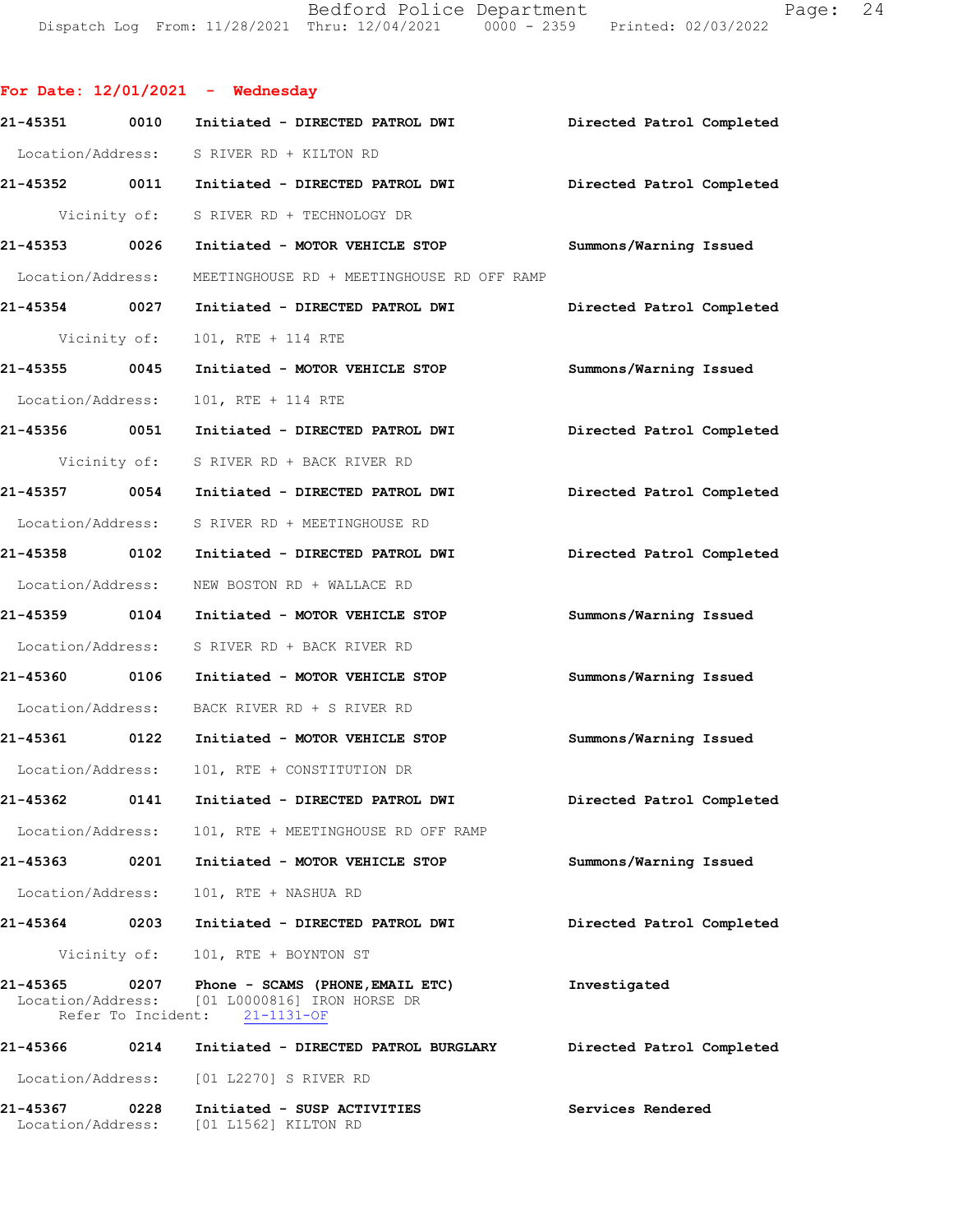Bedford Police Department Page: 24 Dispatch Log From: 11/28/2021 Thru: 12/04/2021 0000 - 2359 Printed: 02/03/2022

For Date:  $12/01/2021$  - Wednesday 21-45351 0010 Initiated - DIRECTED PATROL DWI Directed Patrol Completed Location/Address: S RIVER RD + KILTON RD 21-45352 0011 Initiated - DIRECTED PATROL DWI Directed Patrol Completed Vicinity of: S RIVER RD + TECHNOLOGY DR 21-45353 0026 Initiated - MOTOR VEHICLE STOP Summons/Warning Issued Location/Address: MEETINGHOUSE RD + MEETINGHOUSE RD OFF RAMP 21-45354 0027 Initiated - DIRECTED PATROL DWI Directed Patrol Completed Vicinity of: 101, RTE + 114 RTE 21-45355 0045 Initiated - MOTOR VEHICLE STOP Summons/Warning Issued Location/Address: 101, RTE + 114 RTE 21-45356 0051 Initiated - DIRECTED PATROL DWI Directed Patrol Completed Vicinity of: S RIVER RD + BACK RIVER RD 21-45357 0054 Initiated - DIRECTED PATROL DWI Directed Patrol Completed Location/Address: S RIVER RD + MEETINGHOUSE RD 21-45358 0102 Initiated - DIRECTED PATROL DWI Directed Patrol Completed Location/Address: NEW BOSTON RD + WALLACE RD 21-45359 0104 Initiated - MOTOR VEHICLE STOP Summons/Warning Issued Location/Address: S RIVER RD + BACK RIVER RD 21-45360 0106 Initiated - MOTOR VEHICLE STOP Summons/Warning Issued Location/Address: BACK RIVER RD + S RIVER RD 21-45361 0122 Initiated - MOTOR VEHICLE STOP Summons/Warning Issued Location/Address: 101, RTE + CONSTITUTION DR 21-45362 0141 Initiated - DIRECTED PATROL DWI Directed Patrol Completed Location/Address: 101, RTE + MEETINGHOUSE RD OFF RAMP 21-45363 0201 Initiated - MOTOR VEHICLE STOP Summons/Warning Issued Location/Address: 101, RTE + NASHUA RD 21-45364 0203 Initiated - DIRECTED PATROL DWI Directed Patrol Completed Vicinity of: 101, RTE + BOYNTON ST 21-45365 0207 Phone - SCAMS (PHONE, EMAIL ETC) Investigated Location/Address: [01 L0000816] IRON HORSE DR  $[01 L0000816]$  IRON HORSE DR<br>nt:  $21-1131$ -OF Refer To Incident: 21-45366 0214 Initiated - DIRECTED PATROL BURGLARY Directed Patrol Completed Location/Address: [01 L2270] S RIVER RD 21-45367 0228 Initiated - SUSP ACTIVITIES Services Rendered Location/Address: [01 L1562] KILTON RD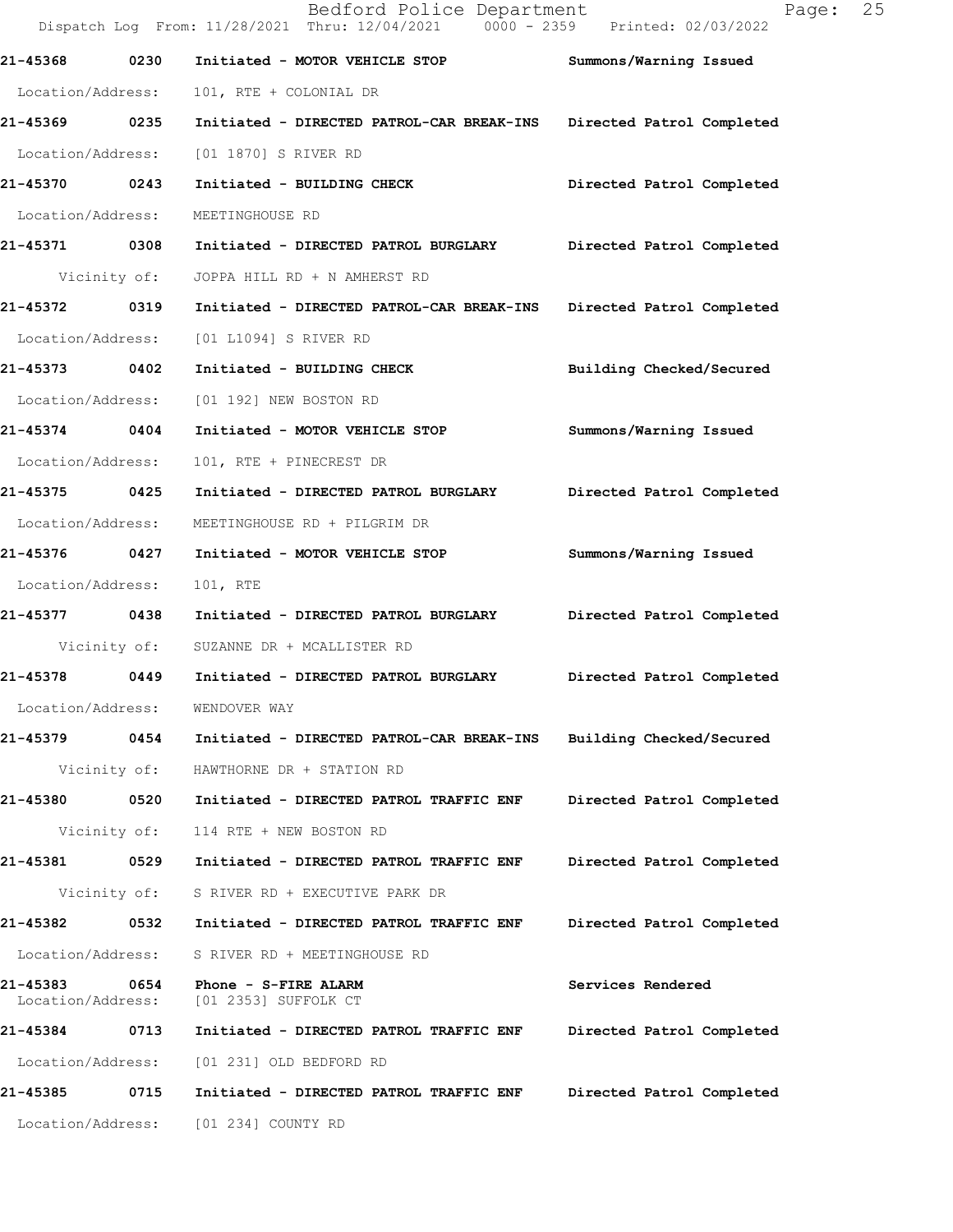|                               |              | Bedford Police Department<br>Dispatch Log From: 11/28/2021 Thru: 12/04/2021 0000 - 2359 Printed: 02/03/2022 | 25<br>Page:               |
|-------------------------------|--------------|-------------------------------------------------------------------------------------------------------------|---------------------------|
| 21-45368                      | 0230         | Initiated - MOTOR VEHICLE STOP                                                                              | Summons/Warning Issued    |
| Location/Address:             |              | 101, RTE + COLONIAL DR                                                                                      |                           |
| 21-45369 0235                 |              | Initiated - DIRECTED PATROL-CAR BREAK-INS                                                                   | Directed Patrol Completed |
| Location/Address:             |              | [01 1870] S RIVER RD                                                                                        |                           |
| 21-45370 0243                 |              | Initiated - BUILDING CHECK                                                                                  | Directed Patrol Completed |
| Location/Address:             |              | MEETINGHOUSE RD                                                                                             |                           |
| 21-45371 0308                 |              | Initiated - DIRECTED PATROL BURGLARY                                                                        | Directed Patrol Completed |
|                               | Vicinity of: | JOPPA HILL RD + N AMHERST RD                                                                                |                           |
| 21-45372                      | 0319         | Initiated - DIRECTED PATROL-CAR BREAK-INS                                                                   | Directed Patrol Completed |
| Location/Address:             |              | [01 L1094] S RIVER RD                                                                                       |                           |
| 21-45373 0402                 |              | Initiated - BUILDING CHECK                                                                                  | Building Checked/Secured  |
| Location/Address:             |              | [01 192] NEW BOSTON RD                                                                                      |                           |
| 21-45374                      | 0404         | Initiated - MOTOR VEHICLE STOP                                                                              | Summons/Warning Issued    |
| Location/Address:             |              | 101, RTE + PINECREST DR                                                                                     |                           |
| 21-45375 0425                 |              | Initiated - DIRECTED PATROL BURGLARY                                                                        | Directed Patrol Completed |
| Location/Address:             |              | MEETINGHOUSE RD + PILGRIM DR                                                                                |                           |
| 21-45376 0427                 |              | Initiated - MOTOR VEHICLE STOP                                                                              | Summons/Warning Issued    |
| Location/Address:             |              | 101, RTE                                                                                                    |                           |
| 21-45377 0438                 |              | Initiated - DIRECTED PATROL BURGLARY                                                                        | Directed Patrol Completed |
|                               | Vicinity of: | SUZANNE DR + MCALLISTER RD                                                                                  |                           |
| 21-45378                      | 0449         | Initiated - DIRECTED PATROL BURGLARY                                                                        | Directed Patrol Completed |
| Location/Address:             |              | WENDOVER WAY                                                                                                |                           |
| 21-45379                      | 0454         | Initiated - DIRECTED PATROL-CAR BREAK-INS                                                                   | Building Checked/Secured  |
|                               | Vicinity of: | HAWTHORNE DR + STATION RD                                                                                   |                           |
| 21-45380                      | 0520         | Initiated - DIRECTED PATROL TRAFFIC ENF                                                                     | Directed Patrol Completed |
|                               | Vicinity of: | 114 RTE + NEW BOSTON RD                                                                                     |                           |
| 21-45381                      | 0529         | Initiated - DIRECTED PATROL TRAFFIC ENF                                                                     | Directed Patrol Completed |
|                               | Vicinity of: | S RIVER RD + EXECUTIVE PARK DR                                                                              |                           |
| 21-45382                      | 0532         | Initiated - DIRECTED PATROL TRAFFIC ENF                                                                     | Directed Patrol Completed |
| Location/Address:             |              | S RIVER RD + MEETINGHOUSE RD                                                                                |                           |
| 21-45383<br>Location/Address: | 0654         | Phone - S-FIRE ALARM<br>[01 2353] SUFFOLK CT                                                                | Services Rendered         |
| 21-45384 0713                 |              | Initiated - DIRECTED PATROL TRAFFIC ENF                                                                     | Directed Patrol Completed |
| Location/Address:             |              | [01 231] OLD BEDFORD RD                                                                                     |                           |
| 21-45385                      | 0715         | Initiated - DIRECTED PATROL TRAFFIC ENF                                                                     | Directed Patrol Completed |
| Location/Address:             |              | [01 234] COUNTY RD                                                                                          |                           |
|                               |              |                                                                                                             |                           |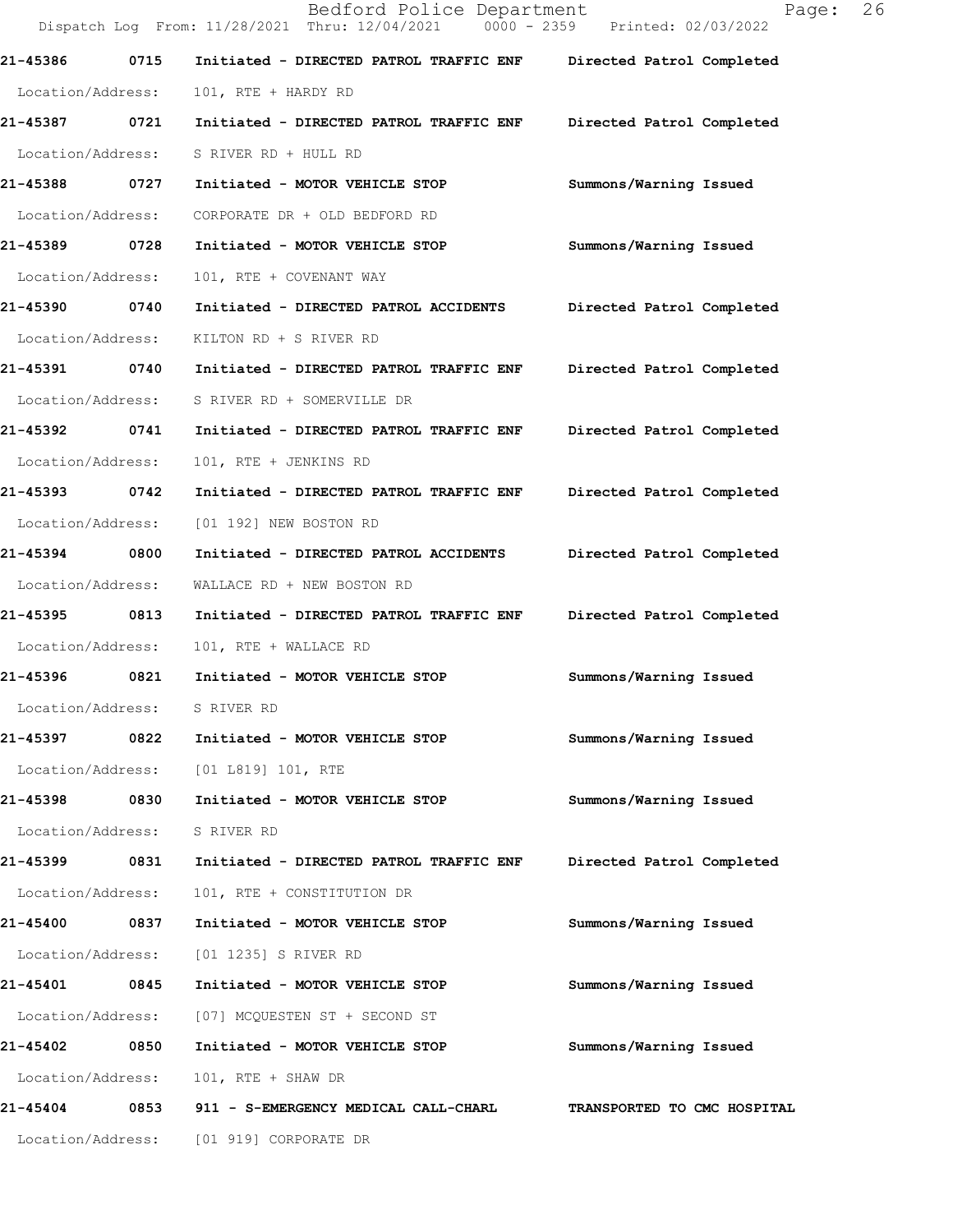|                   |      | Bedford Police Department<br>Dispatch Log From: 11/28/2021 Thru: 12/04/2021 0000 - 2359 Printed: 02/03/2022 | 26<br>Page:                 |
|-------------------|------|-------------------------------------------------------------------------------------------------------------|-----------------------------|
| 21-45386          | 0715 | Initiated - DIRECTED PATROL TRAFFIC ENF                                                                     | Directed Patrol Completed   |
| Location/Address: |      | 101, RTE + HARDY RD                                                                                         |                             |
| 21-45387 0721     |      | Initiated - DIRECTED PATROL TRAFFIC ENF                                                                     | Directed Patrol Completed   |
| Location/Address: |      | S RIVER RD + HULL RD                                                                                        |                             |
| 21-45388 0727     |      | Initiated - MOTOR VEHICLE STOP                                                                              | Summons/Warning Issued      |
| Location/Address: |      | CORPORATE DR + OLD BEDFORD RD                                                                               |                             |
| 21-45389 0728     |      | Initiated - MOTOR VEHICLE STOP                                                                              | Summons/Warning Issued      |
| Location/Address: |      | 101, RTE + COVENANT WAY                                                                                     |                             |
| 21-45390 0740     |      | Initiated - DIRECTED PATROL ACCIDENTS                                                                       | Directed Patrol Completed   |
| Location/Address: |      | KILTON RD + S RIVER RD                                                                                      |                             |
| 21-45391 0740     |      | Initiated - DIRECTED PATROL TRAFFIC ENF                                                                     | Directed Patrol Completed   |
| Location/Address: |      | S RIVER RD + SOMERVILLE DR                                                                                  |                             |
| 21-45392          | 0741 | Initiated - DIRECTED PATROL TRAFFIC ENF                                                                     | Directed Patrol Completed   |
| Location/Address: |      | 101, RTE + JENKINS RD                                                                                       |                             |
| 21-45393 0742     |      | Initiated - DIRECTED PATROL TRAFFIC ENF                                                                     | Directed Patrol Completed   |
| Location/Address: |      | [01 192] NEW BOSTON RD                                                                                      |                             |
| 21-45394 0800     |      | Initiated - DIRECTED PATROL ACCIDENTS                                                                       | Directed Patrol Completed   |
| Location/Address: |      | WALLACE RD + NEW BOSTON RD                                                                                  |                             |
| 21-45395          | 0813 | Initiated - DIRECTED PATROL TRAFFIC ENF                                                                     | Directed Patrol Completed   |
| Location/Address: |      | 101, RTE + WALLACE RD                                                                                       |                             |
| 21-45396          | 0821 | Initiated - MOTOR VEHICLE STOP                                                                              | Summons/Warning Issued      |
| Location/Address: |      | S RIVER RD                                                                                                  |                             |
| 21-45397          | 0822 | Initiated - MOTOR VEHICLE STOP                                                                              | Summons/Warning Issued      |
| Location/Address: |      | $[01 L819] 101$ , RTE                                                                                       |                             |
| 21-45398          | 0830 | Initiated - MOTOR VEHICLE STOP                                                                              | Summons/Warning Issued      |
| Location/Address: |      | S RIVER RD                                                                                                  |                             |
| 21-45399 0831     |      | Initiated - DIRECTED PATROL TRAFFIC ENF                                                                     | Directed Patrol Completed   |
| Location/Address: |      | 101, RTE + CONSTITUTION DR                                                                                  |                             |
| 21-45400          | 0837 | Initiated - MOTOR VEHICLE STOP                                                                              | Summons/Warning Issued      |
| Location/Address: |      | [01 1235] S RIVER RD                                                                                        |                             |
| 21-45401          | 0845 | Initiated - MOTOR VEHICLE STOP                                                                              | Summons/Warning Issued      |
| Location/Address: |      | [07] MCQUESTEN ST + SECOND ST                                                                               |                             |
| 21-45402          | 0850 | Initiated - MOTOR VEHICLE STOP                                                                              | Summons/Warning Issued      |
| Location/Address: |      | 101, RTE + SHAW DR                                                                                          |                             |
| 21-45404          | 0853 | 911 - S-EMERGENCY MEDICAL CALL-CHARL                                                                        | TRANSPORTED TO CMC HOSPITAL |
|                   |      | Location/Address: [01 919] CORPORATE DR                                                                     |                             |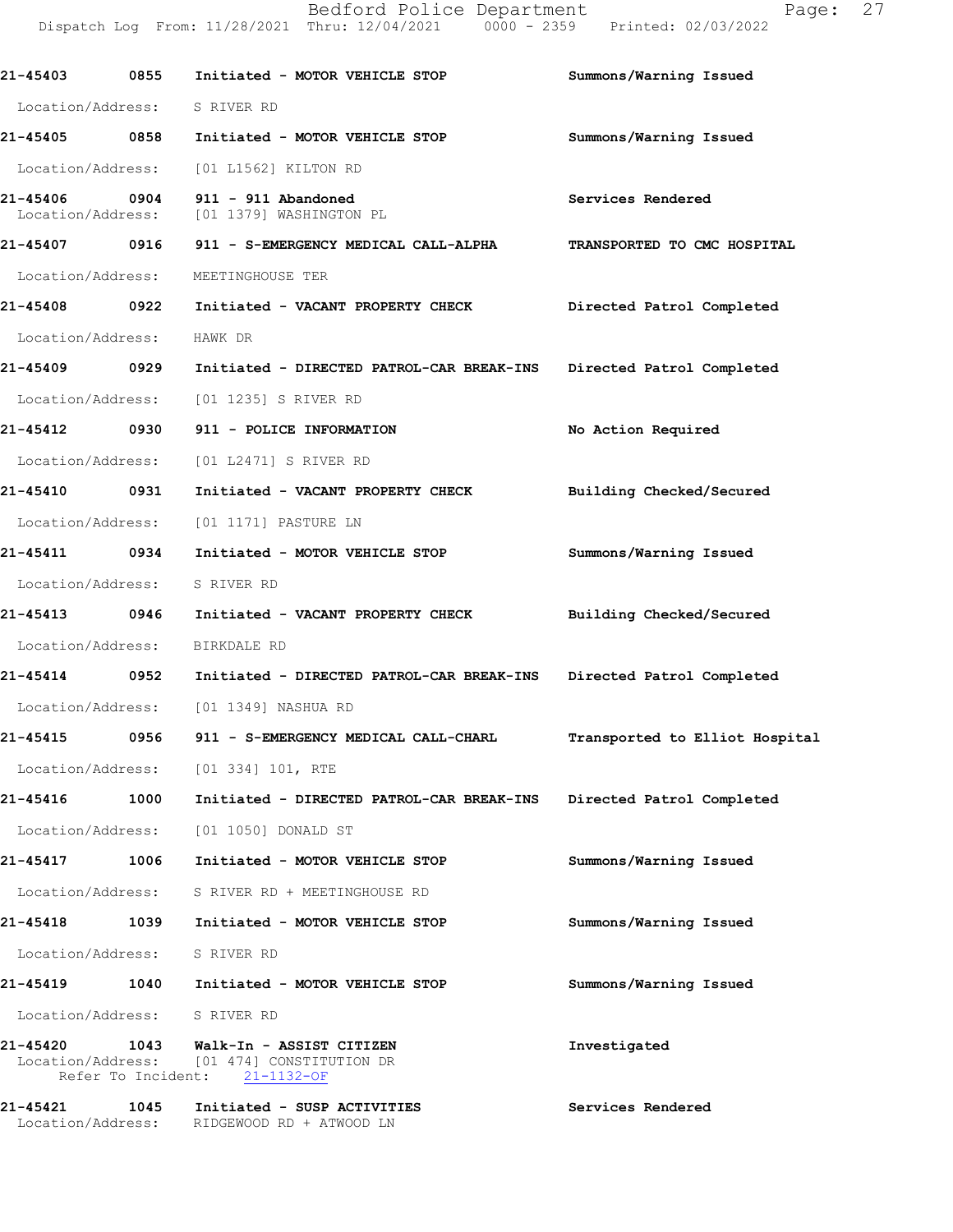21-45403 0855 Initiated - MOTOR VEHICLE STOP Summons/Warning Issued

Location/Address: S RIVER RD 21-45405 0858 Initiated - MOTOR VEHICLE STOP Summons/Warning Issued Location/Address: [01 L1562] KILTON RD 21-45406 0904 911 - 911 Abandoned<br>
Location/Address: [01 1379] WASHINGTON PL [01 1379] WASHINGTON PL 21-45407 0916 911 - S-EMERGENCY MEDICAL CALL-ALPHA TRANSPORTED TO CMC HOSPITAL Location/Address: MEETINGHOUSE TER 21-45408 0922 Initiated - VACANT PROPERTY CHECK Directed Patrol Completed Location/Address: HAWK DR 21-45409 0929 Initiated - DIRECTED PATROL-CAR BREAK-INS Directed Patrol Completed Location/Address: [01 1235] S RIVER RD 21-45412 0930 911 - POLICE INFORMATION No Action Required Location/Address: [01 L2471] S RIVER RD 21-45410 0931 Initiated - VACANT PROPERTY CHECK Building Checked/Secured Location/Address: [01 1171] PASTURE LN 21-45411 0934 Initiated - MOTOR VEHICLE STOP Summons/Warning Issued Location/Address: S RIVER RD 21-45413 0946 Initiated - VACANT PROPERTY CHECK Building Checked/Secured Location/Address: BIRKDALE RD 21-45414 0952 Initiated - DIRECTED PATROL-CAR BREAK-INS Directed Patrol Completed Location/Address: [01 1349] NASHUA RD 21-45415 0956 911 - S-EMERGENCY MEDICAL CALL-CHARL Transported to Elliot Hospital Location/Address: [01 334] 101, RTE 21-45416 1000 Initiated - DIRECTED PATROL-CAR BREAK-INS Directed Patrol Completed Location/Address: [01 1050] DONALD ST 21-45417 1006 Initiated - MOTOR VEHICLE STOP Summons/Warning Issued Location/Address: S RIVER RD + MEETINGHOUSE RD 21-45418 1039 Initiated - MOTOR VEHICLE STOP Summons/Warning Issued Location/Address: S RIVER RD 21-45419 1040 Initiated - MOTOR VEHICLE STOP Summons/Warning Issued Location/Address: S RIVER RD 21-45420 1043 Walk-In - ASSIST CITIZEN Investigated<br>
Location/Address: [01 474] CONSTITUTION DR [01 474] CONSTITUTION DR<br>ent:  $21-1132-OF$ Refer To Incident: 21-454211045 Initiated-SUSPACTIVITIES ServicesRendered Location/Address: RIDGEWOODRD + ATWOOD LN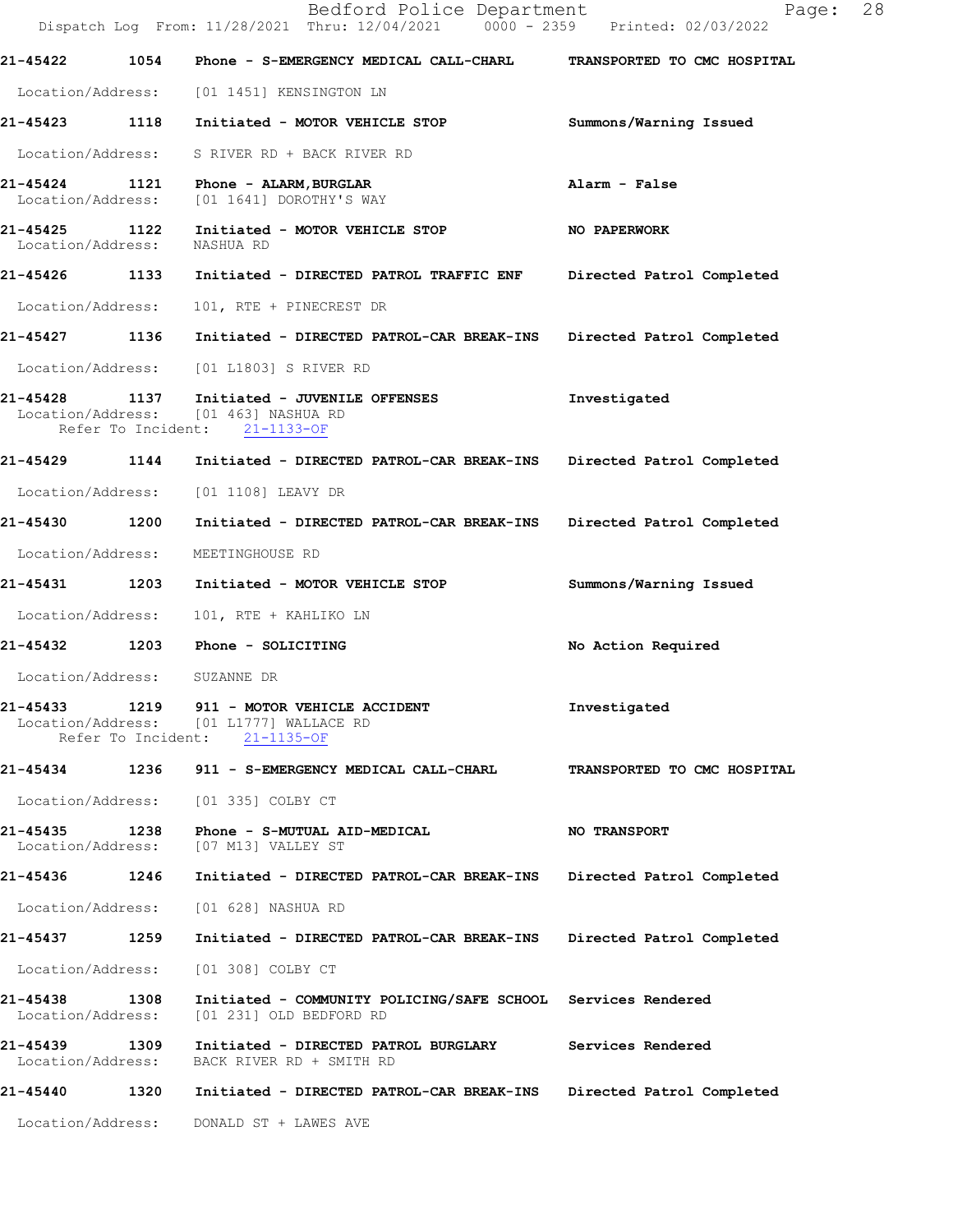|                                    |      | Bedford Police Department<br>Dispatch Log From: 11/28/2021 Thru: 12/04/2021 0000 - 2359 Printed: 02/03/2022   | 28<br>Page:                 |
|------------------------------------|------|---------------------------------------------------------------------------------------------------------------|-----------------------------|
| 21-45422                           | 1054 | Phone - S-EMERGENCY MEDICAL CALL-CHARL                                                                        | TRANSPORTED TO CMC HOSPITAL |
|                                    |      | Location/Address: [01 1451] KENSINGTON LN                                                                     |                             |
| 21-45423 1118                      |      | Initiated - MOTOR VEHICLE STOP                                                                                | Summons/Warning Issued      |
| Location/Address:                  |      | S RIVER RD + BACK RIVER RD                                                                                    |                             |
| 21-45424<br>Location/Address:      | 1121 | Phone - ALARM, BURGLAR<br>[01 1641] DOROTHY'S WAY                                                             | Alarm - False               |
| 21-45425 1122<br>Location/Address: |      | Initiated - MOTOR VEHICLE STOP<br>NASHUA RD                                                                   | NO PAPERWORK                |
| 21-45426 1133                      |      | Initiated - DIRECTED PATROL TRAFFIC ENF                                                                       | Directed Patrol Completed   |
| Location/Address:                  |      | 101, RTE + PINECREST DR                                                                                       |                             |
| 21-45427                           | 1136 | Initiated - DIRECTED PATROL-CAR BREAK-INS                                                                     | Directed Patrol Completed   |
| Location/Address:                  |      | [01 L1803] S RIVER RD                                                                                         |                             |
| 21-45428                           | 1137 | Initiated - JUVENILE OFFENSES<br>Location/Address: [01 463] NASHUA RD<br>Refer To Incident: 21-1133-OF        | Investigated                |
| 21-45429 1144                      |      | Initiated - DIRECTED PATROL-CAR BREAK-INS                                                                     | Directed Patrol Completed   |
| Location/Address:                  |      | [01 1108] LEAVY DR                                                                                            |                             |
| 21-45430                           | 1200 | Initiated - DIRECTED PATROL-CAR BREAK-INS                                                                     | Directed Patrol Completed   |
| Location/Address:                  |      | MEETINGHOUSE RD                                                                                               |                             |
| 21-45431                           | 1203 | Initiated - MOTOR VEHICLE STOP                                                                                | Summons/Warning Issued      |
| Location/Address:                  |      | 101, RTE + KAHLIKO LN                                                                                         |                             |
| 21-45432 1203                      |      | Phone - SOLICITING                                                                                            | No Action Required          |
| Location/Address:                  |      | SUZANNE DR                                                                                                    |                             |
| 21-45433                           |      | 1219 911 - MOTOR VEHICLE ACCIDENT<br>Location/Address: [01 L1777] WALLACE RD<br>Refer To Incident: 21-1135-OF | Investigated                |
|                                    |      | 21-45434 1236 911 - S-EMERGENCY MEDICAL CALL-CHARL                                                            | TRANSPORTED TO CMC HOSPITAL |
| Location/Address:                  |      | [01 335] COLBY CT                                                                                             |                             |
| 21-45435<br>Location/Address:      |      | 1238     Phone – S-MUTUAL AID-MEDICAL<br>[07 M13] VALLEY ST                                                   | <b>NO TRANSPORT</b>         |
| 21-45436 1246                      |      | Initiated - DIRECTED PATROL-CAR BREAK-INS Directed Patrol Completed                                           |                             |
| Location/Address:                  |      | [01 628] NASHUA RD                                                                                            |                             |
| 21-45437 1259                      |      | Initiated - DIRECTED PATROL-CAR BREAK-INS                                                                     | Directed Patrol Completed   |
| Location/Address:                  |      | [01 308] COLBY CT                                                                                             |                             |
| 21-45438<br>Location/Address:      | 1308 | Initiated - COMMUNITY POLICING/SAFE SCHOOL Services Rendered<br>[01 231] OLD BEDFORD RD                       |                             |
| 21-45439 1309<br>Location/Address: |      | Initiated - DIRECTED PATROL BURGLARY<br>BACK RIVER RD + SMITH RD                                              | Services Rendered           |
| 21-45440                           | 1320 | Initiated - DIRECTED PATROL-CAR BREAK-INS                                                                     | Directed Patrol Completed   |
| Location/Address:                  |      | DONALD ST + LAWES AVE                                                                                         |                             |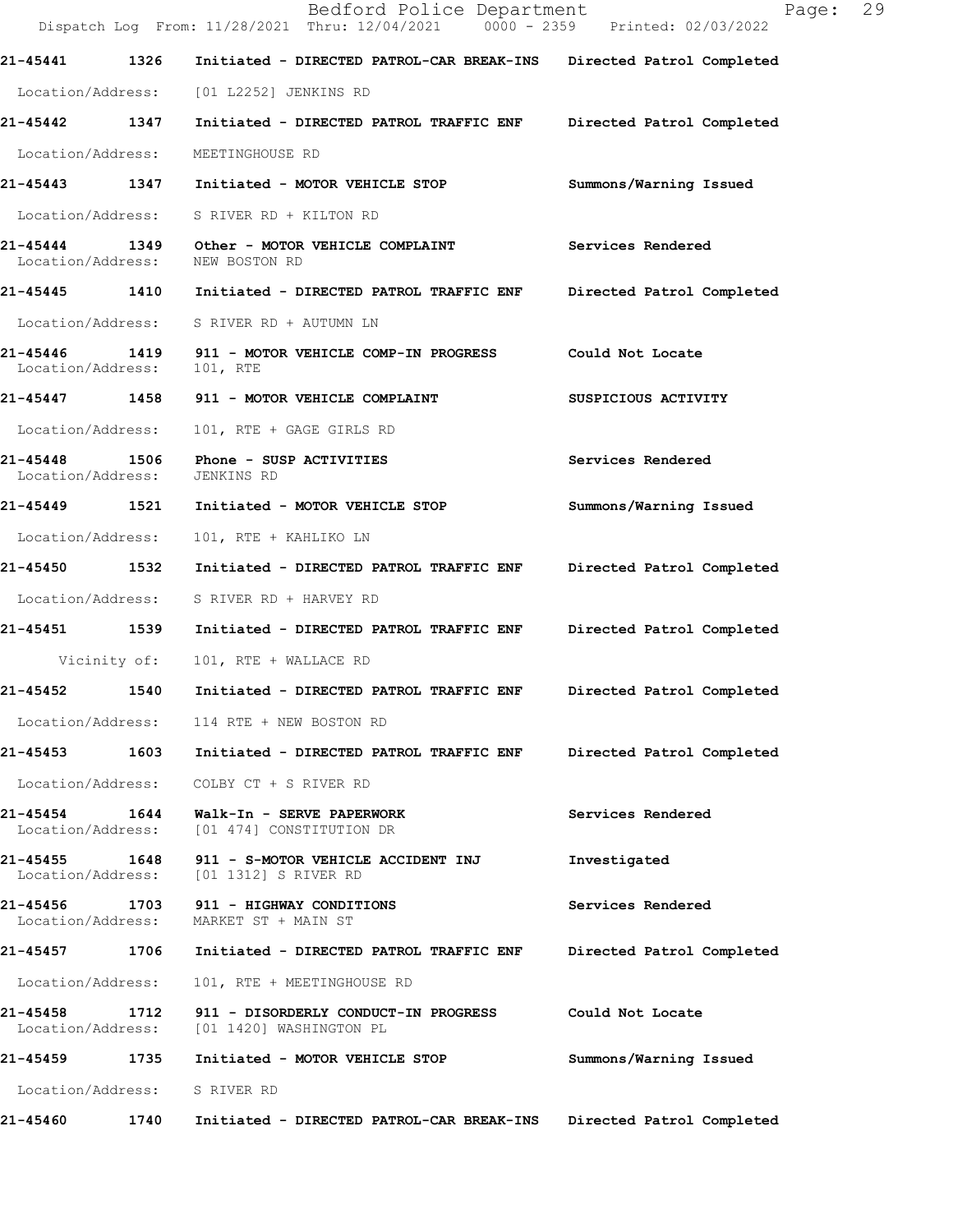|                                    |              | Bedford Police Department<br>Dispatch Log From: 11/28/2021 Thru: 12/04/2021 0000 - 2359 Printed: 02/03/2022 | 29<br>Page:               |
|------------------------------------|--------------|-------------------------------------------------------------------------------------------------------------|---------------------------|
| 21-45441                           | 1326         | Initiated - DIRECTED PATROL-CAR BREAK-INS                                                                   | Directed Patrol Completed |
|                                    |              | Location/Address: [01 L2252] JENKINS RD                                                                     |                           |
| 21-45442 1347                      |              | Initiated - DIRECTED PATROL TRAFFIC ENF                                                                     | Directed Patrol Completed |
| Location/Address:                  |              | MEETINGHOUSE RD                                                                                             |                           |
|                                    |              | 21-45443 1347 Initiated - MOTOR VEHICLE STOP                                                                | Summons/Warning Issued    |
|                                    |              | Location/Address: S RIVER RD + KILTON RD                                                                    |                           |
| 21-45444 1349<br>Location/Address: |              | Other - MOTOR VEHICLE COMPLAINT<br>NEW BOSTON RD                                                            | Services Rendered         |
|                                    |              | 21-45445 1410 Initiated - DIRECTED PATROL TRAFFIC ENF                                                       | Directed Patrol Completed |
|                                    |              | Location/Address: S RIVER RD + AUTUMN LN                                                                    |                           |
| 21-45446<br>Location/Address:      |              | 1419 911 - MOTOR VEHICLE COMP-IN PROGRESS<br>101, RTE                                                       | Could Not Locate          |
|                                    |              | 21-45447 1458 911 - MOTOR VEHICLE COMPLAINT                                                                 | SUSPICIOUS ACTIVITY       |
| Location/Address:                  |              | 101, RTE + GAGE GIRLS RD                                                                                    |                           |
| 21-45448 1506<br>Location/Address: |              | Phone - SUSP ACTIVITIES<br>JENKINS RD                                                                       | Services Rendered         |
| 21-45449 1521                      |              | Initiated - MOTOR VEHICLE STOP                                                                              | Summons/Warning Issued    |
| Location/Address:                  |              | 101, RTE + KAHLIKO LN                                                                                       |                           |
|                                    |              | 21-45450  1532  Initiated - DIRECTED PATROL TRAFFIC ENF                                                     | Directed Patrol Completed |
| Location/Address:                  |              | S RIVER RD + HARVEY RD                                                                                      |                           |
|                                    |              | 21-45451 1539 Initiated - DIRECTED PATROL TRAFFIC ENF                                                       | Directed Patrol Completed |
|                                    | Vicinity of: | 101, RTE + WALLACE RD                                                                                       |                           |
| 21-45452                           | 1540         | Initiated - DIRECTED PATROL TRAFFIC ENF                                                                     | Directed Patrol Completed |
|                                    |              | Location/Address: 114 RTE + NEW BOSTON RD                                                                   |                           |
| 21-45453                           |              | 1603 Initiated - DIRECTED PATROL TRAFFIC ENF                                                                | Directed Patrol Completed |
| Location/Address:                  |              | COLBY CT + S RIVER RD                                                                                       |                           |
| 21-45454<br>Location/Address:      | 1644         | Walk-In - SERVE PAPERWORK<br>[01 474] CONSTITUTION DR                                                       | Services Rendered         |
| 21-45455<br>Location/Address:      | 1648         | 911 - S-MOTOR VEHICLE ACCIDENT INJ<br>[01 1312] S RIVER RD                                                  | Investigated              |
| 21-45456<br>Location/Address:      | 1703         | 911 - HIGHWAY CONDITIONS<br>MARKET ST + MAIN ST                                                             | Services Rendered         |
| 21-45457                           | 1706         | Initiated - DIRECTED PATROL TRAFFIC ENF                                                                     | Directed Patrol Completed |
| Location/Address:                  |              | 101, RTE + MEETINGHOUSE RD                                                                                  |                           |
| 21-45458<br>Location/Address:      | 1712         | 911 - DISORDERLY CONDUCT-IN PROGRESS<br>[01 1420] WASHINGTON PL                                             | Could Not Locate          |
| 21-45459                           | 1735         | Initiated - MOTOR VEHICLE STOP                                                                              | Summons/Warning Issued    |
| Location/Address:                  |              | S RIVER RD                                                                                                  |                           |
| 21-45460                           | 1740         | Initiated - DIRECTED PATROL-CAR BREAK-INS                                                                   | Directed Patrol Completed |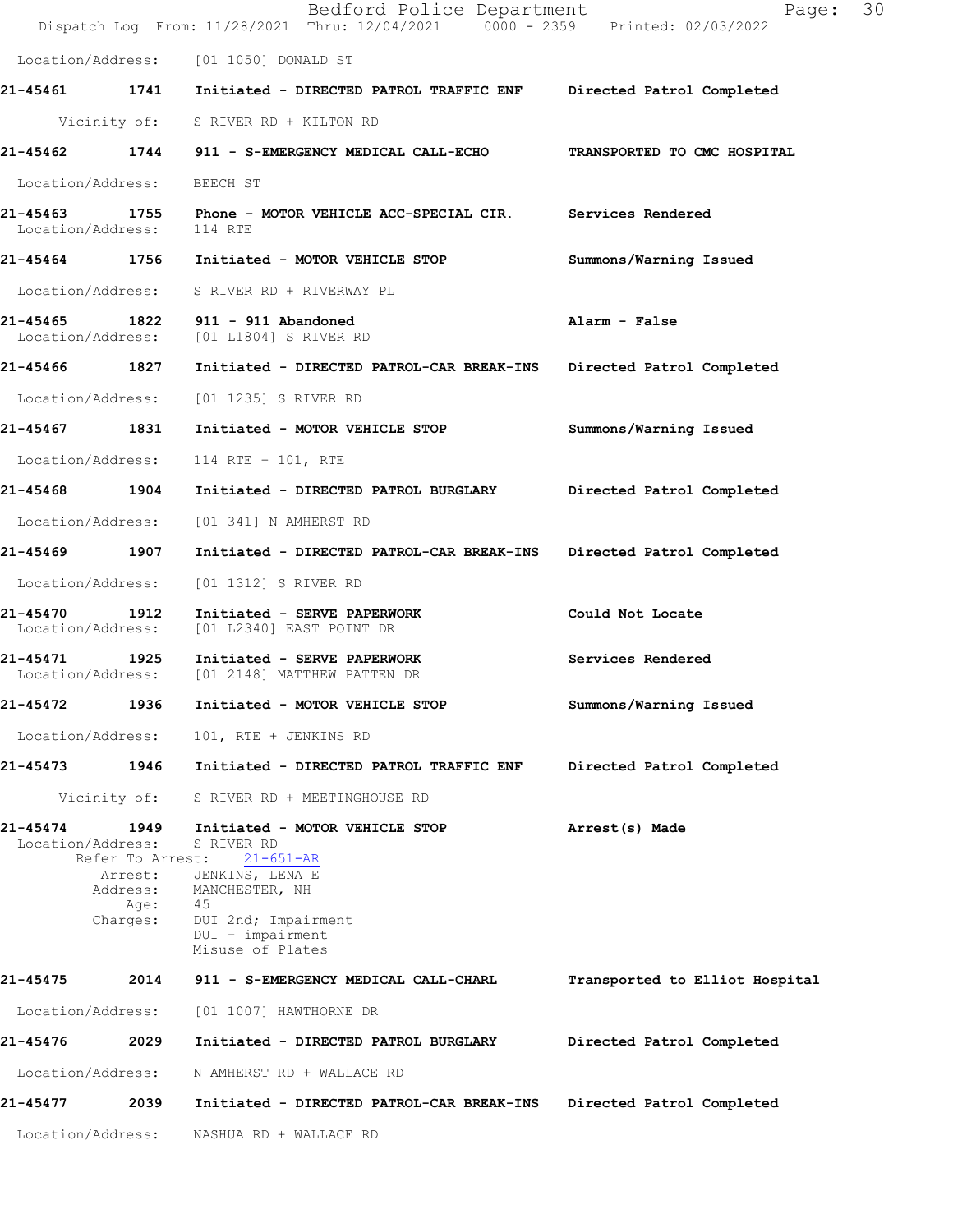|                               |                             | Bedford Police Department<br>Dispatch Log From: 11/28/2021 Thru: 12/04/2021 0000 - 2359 Printed: 02/03/2022 | Page: 30                       |
|-------------------------------|-----------------------------|-------------------------------------------------------------------------------------------------------------|--------------------------------|
|                               |                             | Location/Address: [01 1050] DONALD ST                                                                       |                                |
|                               |                             | 21-45461 1741 Initiated - DIRECTED PATROL TRAFFIC ENF                                                       | Directed Patrol Completed      |
|                               |                             | Vicinity of: S RIVER RD + KILTON RD                                                                         |                                |
|                               |                             | 21-45462 1744 911 - S-EMERGENCY MEDICAL CALL-ECHO                                                           | TRANSPORTED TO CMC HOSPITAL    |
| Location/Address:             |                             | BEECH ST                                                                                                    |                                |
| Location/Address:             |                             | 21-45463 1755 Phone - MOTOR VEHICLE ACC-SPECIAL CIR. Services Rendered<br>114 RTE                           |                                |
|                               |                             | 21-45464 1756 Initiated - MOTOR VEHICLE STOP                                                                | Summons/Warning Issued         |
| Location/Address:             |                             | S RIVER RD + RIVERWAY PL                                                                                    |                                |
|                               |                             | 21-45465 1822 911 - 911 Abandoned<br>Location/Address: [01 L1804] S RIVER RD                                | Alarm - False                  |
| 21-45466 1827                 |                             | Initiated - DIRECTED PATROL-CAR BREAK-INS                                                                   | Directed Patrol Completed      |
| Location/Address:             |                             | [01 1235] S RIVER RD                                                                                        |                                |
| 21-45467 1831                 |                             | Initiated - MOTOR VEHICLE STOP                                                                              | Summons/Warning Issued         |
| Location/Address:             |                             | 114 RTE + 101, RTE                                                                                          |                                |
| 21-45468 1904                 |                             | Initiated - DIRECTED PATROL BURGLARY                                                                        | Directed Patrol Completed      |
| Location/Address:             |                             | [01 341] N AMHERST RD                                                                                       |                                |
| 21-45469 1907                 |                             | Initiated - DIRECTED PATROL-CAR BREAK-INS                                                                   | Directed Patrol Completed      |
| Location/Address:             |                             | [01 1312] S RIVER RD                                                                                        |                                |
| 21-45470<br>Location/Address: | 1912                        | Initiated - SERVE PAPERWORK<br>[01 L2340] EAST POINT DR                                                     | Could Not Locate               |
| 21-45471 1925                 |                             | Initiated - SERVE PAPERWORK<br>Location/Address: [01 2148] MATTHEW PATTEN DR                                | Services Rendered              |
| 21-45472                      | 1936                        | Initiated - MOTOR VEHICLE STOP                                                                              | Summons/Warning Issued         |
| Location/Address:             |                             | 101, RTE + JENKINS RD                                                                                       |                                |
| 21-45473                      | 1946                        | Initiated - DIRECTED PATROL TRAFFIC ENF                                                                     | Directed Patrol Completed      |
|                               | Vicinity of:                | S RIVER RD + MEETINGHOUSE RD                                                                                |                                |
| 21-45474<br>Location/Address: | 1949<br>Refer To Arrest:    | Initiated - MOTOR VEHICLE STOP<br>S RIVER RD<br>$21 - 651 - AR$                                             | Arrest(s) Made                 |
|                               | Arrest:<br>Address:<br>Age: | JENKINS, LENA E<br>MANCHESTER, NH<br>45                                                                     |                                |
|                               | Charges:                    | DUI 2nd; Impairment<br>DUI - impairment<br>Misuse of Plates                                                 |                                |
| 21-45475                      | 2014                        | 911 - S-EMERGENCY MEDICAL CALL-CHARL                                                                        | Transported to Elliot Hospital |
| Location/Address:             |                             | [01 1007] HAWTHORNE DR                                                                                      |                                |
| 21-45476                      | 2029                        | Initiated - DIRECTED PATROL BURGLARY                                                                        | Directed Patrol Completed      |
| Location/Address:             |                             | N AMHERST RD + WALLACE RD                                                                                   |                                |
| 21-45477                      | 2039                        | Initiated - DIRECTED PATROL-CAR BREAK-INS                                                                   | Directed Patrol Completed      |
| Location/Address:             |                             | NASHUA RD + WALLACE RD                                                                                      |                                |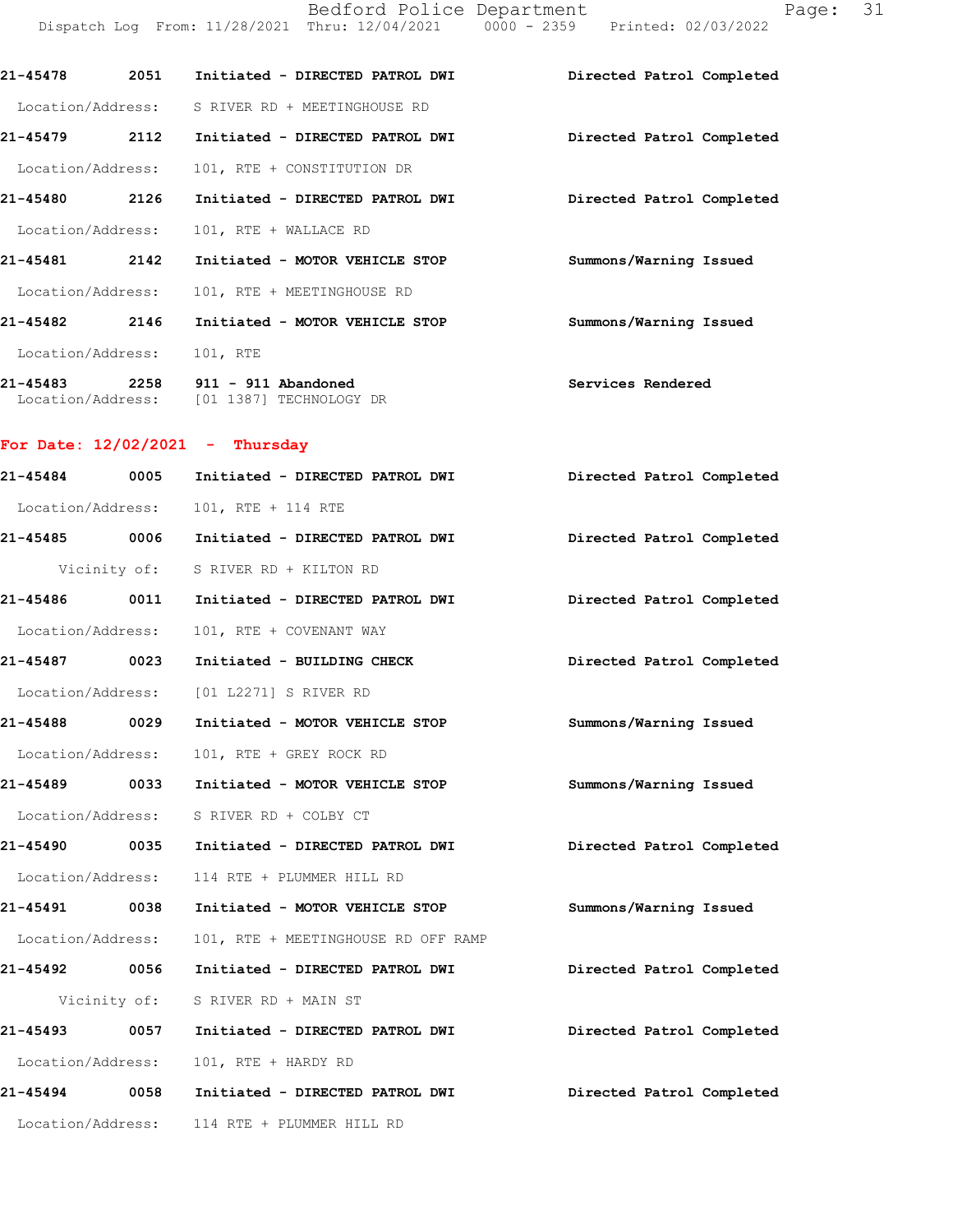|                   |      |                                                                                | Bedford Police Department<br>Page:<br>Dispatch Log From: 11/28/2021 Thru: 12/04/2021 0000 - 2359 Printed: 02/03/2022 | 31 |
|-------------------|------|--------------------------------------------------------------------------------|----------------------------------------------------------------------------------------------------------------------|----|
| 21-45478 2051     |      | Initiated - DIRECTED PATROL DWI                                                | Directed Patrol Completed                                                                                            |    |
| Location/Address: |      | S RIVER RD + MEETINGHOUSE RD                                                   |                                                                                                                      |    |
| 21-45479 2112     |      | Initiated - DIRECTED PATROL DWI                                                | Directed Patrol Completed                                                                                            |    |
| Location/Address: |      | 101, RTE + CONSTITUTION DR                                                     |                                                                                                                      |    |
| 21-45480 2126     |      | Initiated - DIRECTED PATROL DWI                                                | Directed Patrol Completed                                                                                            |    |
| Location/Address: |      | 101, RTE + WALLACE RD                                                          |                                                                                                                      |    |
| 21-45481 2142     |      | Initiated - MOTOR VEHICLE STOP                                                 | Summons/Warning Issued                                                                                               |    |
| Location/Address: |      | 101, RTE + MEETINGHOUSE RD                                                     |                                                                                                                      |    |
| 21-45482          | 2146 | Initiated - MOTOR VEHICLE STOP                                                 | Summons/Warning Issued                                                                                               |    |
| Location/Address: |      | 101, RTE                                                                       |                                                                                                                      |    |
|                   |      | 21-45483 2258 911 - 911 Abandoned<br>Location/Address: [01 1387] TECHNOLOGY DR | Services Rendered                                                                                                    |    |
|                   |      | For Date: $12/02/2021$ - Thursday                                              |                                                                                                                      |    |
| 21-45484 0005     |      | Initiated - DIRECTED PATROL DWI                                                | Directed Patrol Completed                                                                                            |    |
| Location/Address: |      | 101, RTE + 114 RTE                                                             |                                                                                                                      |    |
| 21-45485 0006     |      | Initiated - DIRECTED PATROL DWI                                                | Directed Patrol Completed                                                                                            |    |
|                   |      | Vicinity of: S RIVER RD + KILTON RD                                            |                                                                                                                      |    |
| 21-45486          | 0011 | Initiated - DIRECTED PATROL DWI                                                | Directed Patrol Completed                                                                                            |    |

Location/Address: 101, RTE + COVENANT WAY

21-45487 0023 Initiated - BUILDING CHECK **Directed Patrol Completed** Location/Address: [01 L2271] S RIVER RD

21-45488 0029 Initiated - MOTOR VEHICLE STOP Summons/Warning Issued Location/Address: 101, RTE + GREY ROCK RD

21-45489 0033 Initiated - MOTOR VEHICLE STOP Summons/Warning Issued Location/Address: S RIVER RD + COLBY CT 21-45490 0035 Initiated - DIRECTED PATROL DWI Directed Patrol Completed

Location/Address: 114 RTE + PLUMMER HILL RD

21-45491 0038 Initiated - MOTOR VEHICLE STOP Summons/Warning Issued

Location/Address: 101, RTE + MEETINGHOUSE RD OFF RAMP 21-45492 0056 Initiated - DIRECTED PATROL DWI Directed Patrol Completed

Vicinity of: S RIVER RD + MAIN ST

21-45493 0057 Initiated - DIRECTED PATROL DWI Directed Patrol Completed Location/Address: 101, RTE + HARDY RD

21-45494 0058 Initiated - DIRECTED PATROL DWI Directed Patrol Completed Location/Address: 114 RTE + PLUMMER HILL RD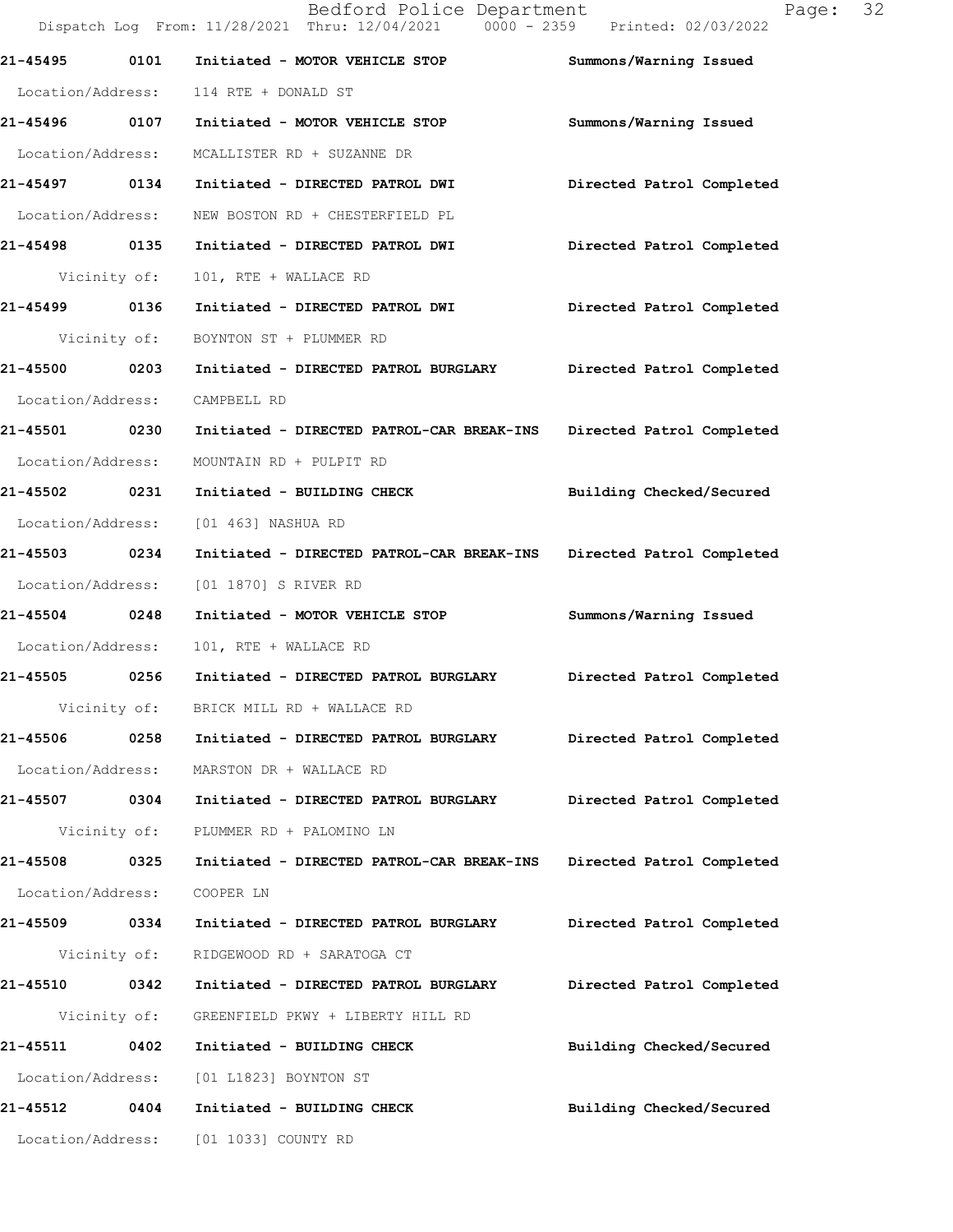|                   |      | Dispatch Log From: 11/28/2021 Thru: 12/04/2021 0000 - 2359 Printed: 02/03/2022    |                           |
|-------------------|------|-----------------------------------------------------------------------------------|---------------------------|
| 21-45495 0101     |      | Initiated - MOTOR VEHICLE STOP                                                    | Summons/Warning Issued    |
|                   |      | Location/Address: 114 RTE + DONALD ST                                             |                           |
| 21-45496 0107     |      | Initiated - MOTOR VEHICLE STOP                                                    | Summons/Warning Issued    |
|                   |      | Location/Address: MCALLISTER RD + SUZANNE DR                                      |                           |
|                   |      | 21-45497 0134 Initiated - DIRECTED PATROL DWI       Directed Patrol Completed     |                           |
|                   |      | Location/Address: NEW BOSTON RD + CHESTERFIELD PL                                 |                           |
| 21-45498 0135     |      | Initiated - DIRECTED PATROL DWI                                                   | Directed Patrol Completed |
| Vicinity of:      |      | 101, RTE + WALLACE RD                                                             |                           |
| 21-45499 0136     |      | Initiated - DIRECTED PATROL DWI                                                   | Directed Patrol Completed |
|                   |      | Vicinity of: BOYNTON ST + PLUMMER RD                                              |                           |
| 21-45500 0203     |      | Initiated - DIRECTED PATROL BURGLARY Directed Patrol Completed                    |                           |
| Location/Address: |      | CAMPBELL RD                                                                       |                           |
| 21-45501 0230     |      | Initiated - DIRECTED PATROL-CAR BREAK-INS Directed Patrol Completed               |                           |
| Location/Address: |      | MOUNTAIN RD + PULPIT RD                                                           |                           |
| 21-45502 0231     |      | Initiated - BUILDING CHECK                                                        | Building Checked/Secured  |
|                   |      | Location/Address: [01 463] NASHUA RD                                              |                           |
| 21-45503 0234     |      | Initiated - DIRECTED PATROL-CAR BREAK-INS Directed Patrol Completed               |                           |
|                   |      | Location/Address: [01 1870] S RIVER RD                                            |                           |
| 21-45504 0248     |      | Initiated - MOTOR VEHICLE STOP                                                    | Summons/Warning Issued    |
| Location/Address: |      | 101, RTE + WALLACE RD                                                             |                           |
|                   |      | 21-45505 0256 Initiated - DIRECTED PATROL BURGLARY                                | Directed Patrol Completed |
|                   |      | Vicinity of: BRICK MILL RD + WALLACE RD                                           |                           |
| 21-45506          | 0258 | Initiated - DIRECTED PATROL BURGLARY Directed Patrol Completed                    |                           |
|                   |      | Location/Address: MARSTON DR + WALLACE RD                                         |                           |
| 21-45507 0304     |      | Initiated - DIRECTED PATROL BURGLARY                                              | Directed Patrol Completed |
|                   |      | Vicinity of: PLUMMER RD + PALOMINO LN                                             |                           |
|                   |      | 21-45508 0325 Initiated - DIRECTED PATROL-CAR BREAK-INS Directed Patrol Completed |                           |
| Location/Address: |      | COOPER LN                                                                         |                           |
| 21-45509 0334     |      | Initiated - DIRECTED PATROL BURGLARY                                              | Directed Patrol Completed |
|                   |      | Vicinity of: RIDGEWOOD RD + SARATOGA CT                                           |                           |
| 21-45510 0342     |      | Initiated - DIRECTED PATROL BURGLARY                                              | Directed Patrol Completed |
|                   |      | Vicinity of: GREENFIELD PKWY + LIBERTY HILL RD                                    |                           |
| 21-45511          | 0402 | Initiated - BUILDING CHECK                                                        | Building Checked/Secured  |
|                   |      | Location/Address: [01 L1823] BOYNTON ST                                           |                           |
| 21-45512 0404     |      | Initiated - BUILDING CHECK                                                        | Building Checked/Secured  |
|                   |      | Location/Address: [01 1033] COUNTY RD                                             |                           |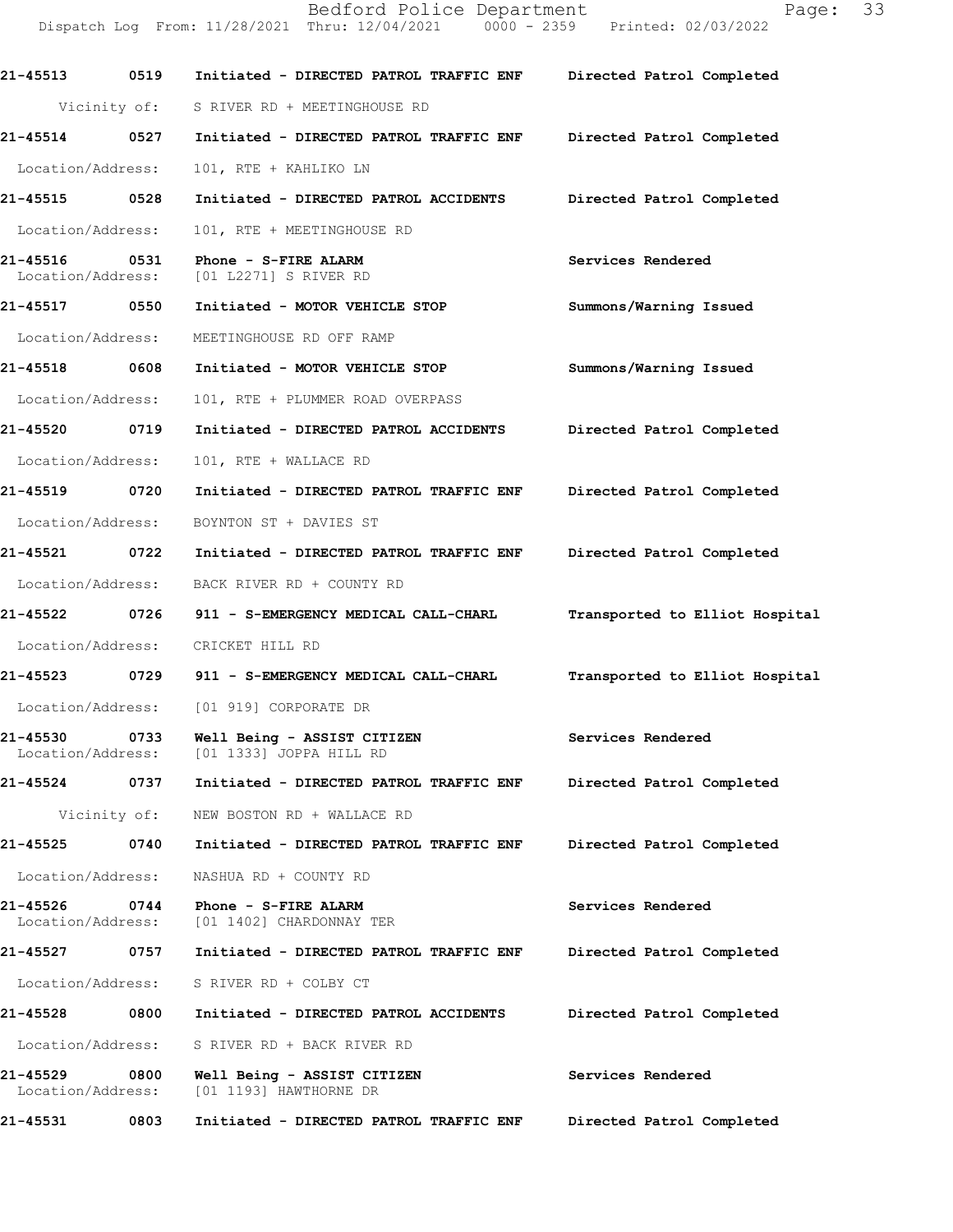Bedford Police Department Page: 33<br>
Thru: 12/04/2021 0000 - 2359 Printed: 02/03/2022 Dispatch Log From: 11/28/2021 Thru: 12/04/2021 21-45513 0519 Initiated - DIRECTED PATROL TRAFFICENF Directed Patrol Completed Vicinity of: S RIVER RD + MEETINGHOUSE RD 21-45514 0527 Initiated - DIRECTED PATROL TRAFFIC ENF Directed Patrol Completed Location/Address: 101, RTE + KAHLIKO LN 21-45515 0528 Initiated - DIRECTED PATROL ACCIDENTS Directed Patrol Completed Location/Address: 101, RTE + MEETINGHOUSE RD 21-45516 0531 Phone - S-FIRE ALARM Services Rendered Services Rendered Services Rendered [01 L2271] S RIVER RD 21-45517 0550 Initiated - MOTOR VEHICLE STOP Summons/Warning Issued Location/Address: MEETINGHOUSE RD OFF RAMP 21-45518 0608 Initiated - MOTOR VEHICLE STOP Summons/Warning Issued Location/Address: 101, RTE + PLUMMER ROAD OVERPASS 21-45520 0719 Initiated - DIRECTED PATROL ACCIDENTS Directed Patrol Completed Location/Address: 101, RTE + WALLACE RD 21-45519 0720 Initiated - DIRECTED PATROL TRAFFIC ENF Directed Patrol Completed Location/Address: BOYNTON ST + DAVIES ST 21-45521 0722 Initiated - DIRECTED PATROL TRAFFIC ENF Directed Patrol Completed Location/Address: BACK RIVER RD + COUNTY RD 21-45522 0726 911 - S-EMERGENCY MEDICAL CALL-CHARL Transported to Elliot Hospital Location/Address: CRICKET HILL RD 21-45523 0729 911 - S-EMERGENCY MEDICAL CALL-CHARL Transported to Elliot Hospital Location/Address: [01 919] CORPORATE DR 21-45530 0733 Well Being - ASSIST CITIZEN Services Rendered<br>Location/Address: [01 1333] JOPPA HILL RD [01 1333] JOPPA HILL RD 21-45524 0737 Initiated - DIRECTED PATROL TRAFFIC ENF Directed Patrol Completed Vicinity of: NEW BOSTON RD + WALLACE RD 21-45525 0740 Initiated - DIRECTED PATROL TRAFFIC ENF Directed Patrol Completed Location/Address: NASHUA RD + COUNTY RD 21-45526 0744 Phone - S-FIRE ALARM CHREE SERVICES Rendered Location/Address: [01 1402] CHARDONNAY TER [01 1402] CHARDONNAY TER 21-45527 0757 Initiated - DIRECTED PATROL TRAFFIC ENF Directed Patrol Completed Location/Address: S RIVER RD + COLBY CT 21-45528 0800 Initiated - DIRECTED PATROL ACCIDENTS Directed Patrol Completed Location/Address: S RIVER RD + BACK RIVER RD 21-45529 0800 Well Being - ASSIST CITIZEN Services Rendered Location/Address: [01 1193] HAWTHORNE DR 21-45531 0803 Initiated - DIRECTED PATROL TRAFFIC ENF Directed Patrol Completed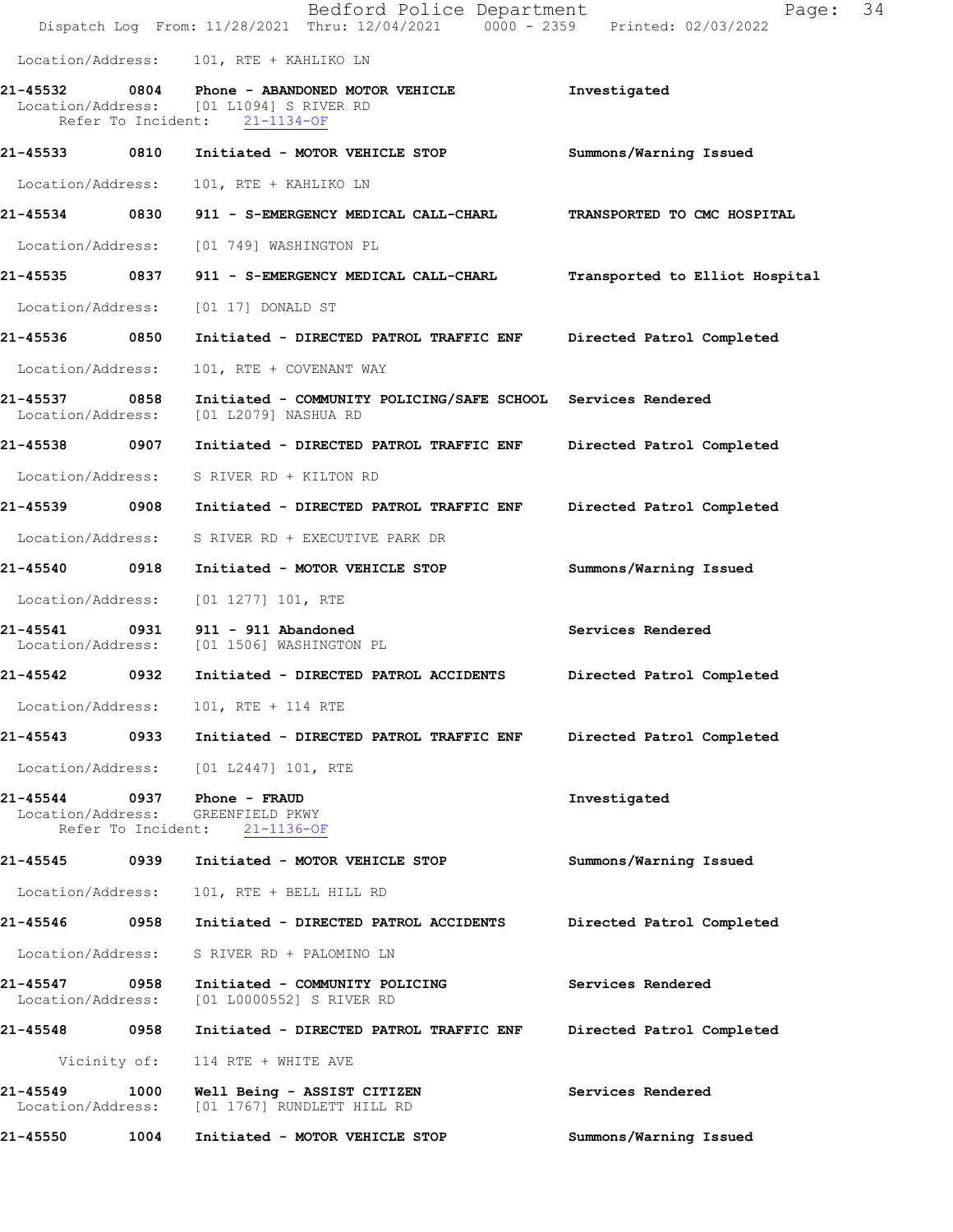|                                    |      | Bedford Police Department<br>Dispatch Log From: 11/28/2021 Thru: 12/04/2021 0000 - 2359 Printed: 02/03/2022               | Page: 34                       |
|------------------------------------|------|---------------------------------------------------------------------------------------------------------------------------|--------------------------------|
|                                    |      | Location/Address: 101, RTE + KAHLIKO LN                                                                                   |                                |
|                                    |      | 21-45532 0804 Phone - ABANDONED MOTOR VEHICLE<br>Location/Address: [01 L1094] S RIVER RD<br>Refer To Incident: 21-1134-OF | Investigated                   |
| 21-45533 0810                      |      | Initiated - MOTOR VEHICLE STOP                                                                                            | Summons/Warning Issued         |
| Location/Address:                  |      | 101, RTE + KAHLIKO LN                                                                                                     |                                |
|                                    |      | 21-45534 0830 911 - S-EMERGENCY MEDICAL CALL-CHARL                                                                        | TRANSPORTED TO CMC HOSPITAL    |
| Location/Address:                  |      | [01 749] WASHINGTON PL                                                                                                    |                                |
| 21-45535 0837                      |      | 911 - S-EMERGENCY MEDICAL CALL-CHARL                                                                                      | Transported to Elliot Hospital |
| Location/Address:                  |      | [01 17] DONALD ST                                                                                                         |                                |
| 21-45536                           | 0850 | Initiated - DIRECTED PATROL TRAFFIC ENF                                                                                   | Directed Patrol Completed      |
| Location/Address:                  |      | 101, RTE + COVENANT WAY                                                                                                   |                                |
| 21-45537 0858<br>Location/Address: |      | Initiated - COMMUNITY POLICING/SAFE SCHOOL Services Rendered<br>[01 L2079] NASHUA RD                                      |                                |
| 21-45538 0907                      |      | Initiated - DIRECTED PATROL TRAFFIC ENF                                                                                   | Directed Patrol Completed      |
| Location/Address:                  |      | S RIVER RD + KILTON RD                                                                                                    |                                |
| 21-45539 0908                      |      | Initiated - DIRECTED PATROL TRAFFIC ENF                                                                                   | Directed Patrol Completed      |
| Location/Address:                  |      | S RIVER RD + EXECUTIVE PARK DR                                                                                            |                                |
| 21-45540 0918                      |      | Initiated - MOTOR VEHICLE STOP                                                                                            | Summons/Warning Issued         |
| Location/Address:                  |      | $[01 1277] 101$ , RTE                                                                                                     |                                |
| 21-45541                           |      | 0931 911 - 911 Abandoned<br>Location/Address: [01 1506] WASHINGTON PL                                                     | Services Rendered              |
| 21-45542 0932                      |      | Initiated - DIRECTED PATROL ACCIDENTS                                                                                     | Directed Patrol Completed      |
| Location/Address:                  |      | 101, RTE + 114 RTE                                                                                                        |                                |
| 21-45543                           | 0933 | Initiated - DIRECTED PATROL TRAFFIC ENF                                                                                   | Directed Patrol Completed      |
| Location/Address:                  |      | [01 L2447] 101, RTE                                                                                                       |                                |
|                                    |      | Location/Address: GREENFIELD PKWY<br>Refer To Incident: 21-1136-OF                                                        | Investigated                   |
| 21-45545 0939                      |      | Initiated - MOTOR VEHICLE STOP                                                                                            | Summons/Warning Issued         |
| Location/Address:                  |      | 101, RTE + BELL HILL RD                                                                                                   |                                |
| 21-45546                           | 0958 | Initiated - DIRECTED PATROL ACCIDENTS                                                                                     | Directed Patrol Completed      |
| Location/Address:                  |      | S RIVER RD + PALOMINO LN                                                                                                  |                                |
| 21-45547 0958<br>Location/Address: |      | Initiated - COMMUNITY POLICING<br>[01 L0000552] S RIVER RD                                                                | Services Rendered              |
| 21-45548 0958                      |      | Initiated - DIRECTED PATROL TRAFFIC ENF                                                                                   | Directed Patrol Completed      |
| Vicinity of:                       |      | 114 RTE + WHITE AVE                                                                                                       |                                |
| 21-45549<br>Location/Address:      | 1000 | Well Being - ASSIST CITIZEN<br>[01 1767] RUNDLETT HILL RD                                                                 | Services Rendered              |
| 21-45550                           | 1004 | Initiated - MOTOR VEHICLE STOP                                                                                            | Summons/Warning Issued         |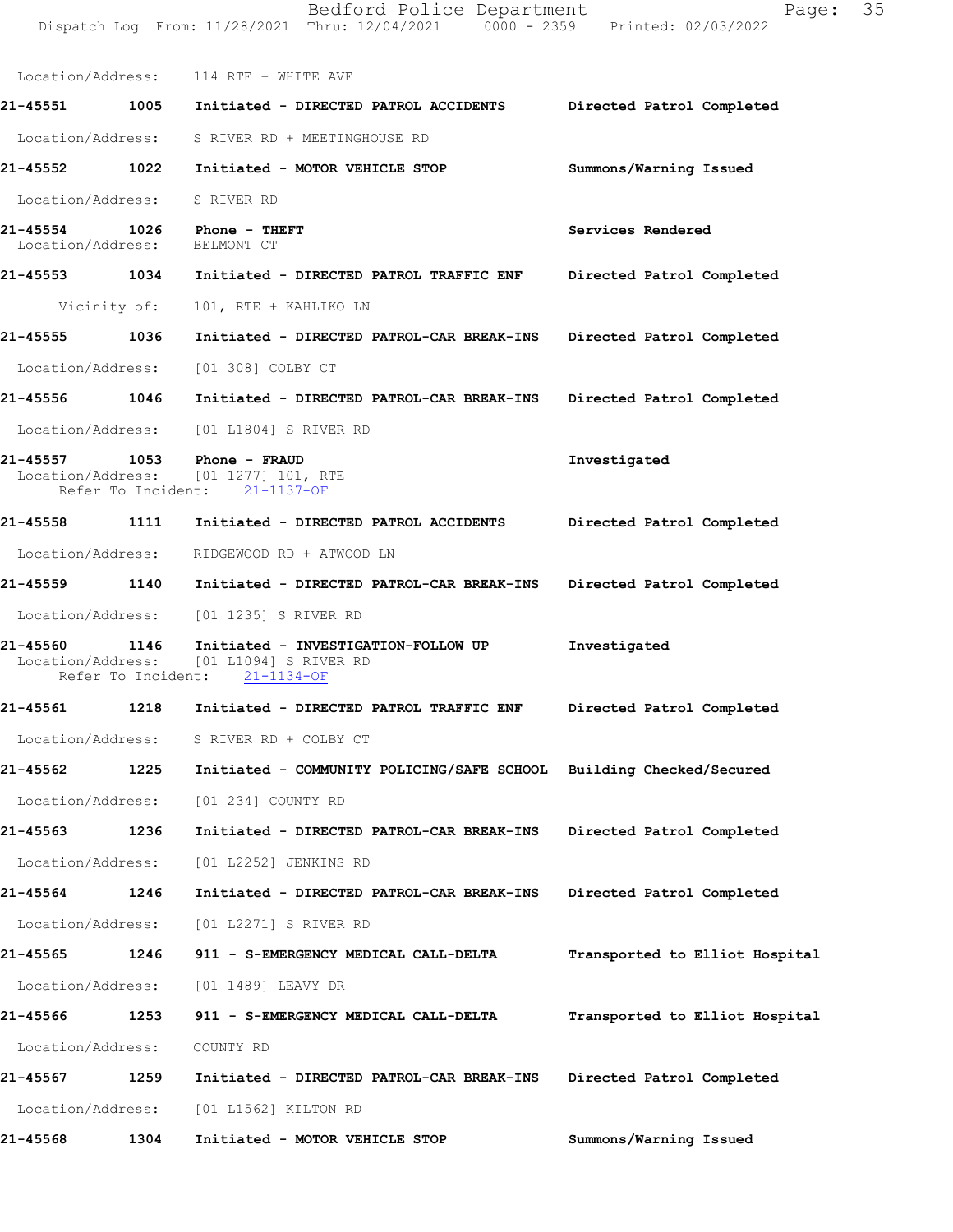Location/Address: 114 RTE + WHITE AVE 21-45551 1005 Initiated - DIRECTED PATROL ACCIDENTS Directed Patrol Completed Location/Address: S RIVER RD + MEETINGHOUSE RD 21-45552 1022 Initiated - MOTOR VEHICLE STOP Summons/Warning Issued Location/Address: S RIVER RD 21-45554 1026 Phone - THEFT Services Rendered Services Rendered Services Rendered Services Rendered Location/Address: 21-45553 1034 Initiated - DIRECTED PATROL TRAFFIC ENF Directed Patrol Completed Vicinity of: 101, RTE + KAHLIKO LN 21-45555 1036 Initiated - DIRECTED PATROL-CAR BREAK-INS Directed Patrol Completed Location/Address: [01 308] COLBY CT 21-45556 1046 Initiated - DIRECTED PATROL-CAR BREAK-INS Directed Patrol Completed Location/Address: [01 L1804] S RIVER RD 21-45557 1053 Phone - FRAUD Investigated Investigated Investigated Investigated Investigated (01 1277) 101, RTE<br>ht: 21-1137-OF Refer To Incident: 21-45558 1111 Initiated - DIRECTED PATROL ACCIDENTS Directed Patrol Completed Location/Address: RIDGEWOOD RD + ATWOOD LN 21-45559 1140 Initiated - DIRECTED PATROL-CAR BREAK-INS Directed Patrol Completed Location/Address: [01 1235] S RIVER RD 21-45560 1146 Initiated - INVESTIGATION-FOLLOWUP Investigated<br>Location/Address: [01 L1094] S RIVER RD [01 L1094] S RIVER RD<br>ent: 21-1134-OF Refer To Incident: 21-45561 1218 Initiated - DIRECTED PATROL TRAFFIC ENF Directed Patrol Completed Location/Address: S RIVER RD + COLBY CT 21-45562 1225 Initiated - COMMUNITY POLICING/SAFE SCHOOL Building Checked/Secured Location/Address: [01 234] COUNTY RD 21-45563 1236 Initiated - DIRECTED PATROL-CAR BREAK-INS Directed Patrol Completed Location/Address: [01 L2252] JENKINS RD 21-45564 1246 Initiated - DIRECTED PATROL-CAR BREAK-INS Directed Patrol Completed Location/Address: [01 L2271] S RIVER RD 21-45565 1246 911 - S-EMERGENCY MEDICAL CALL-DELTA Transported to Elliot Hospital Location/Address: [01 1489] LEAVY DR 21-45566 1253 911 - S-EMERGENCY MEDICAL CALL-DELTA Transported to Elliot Hospital Location/Address: COUNTY RD 21-45567 1259 Initiated - DIRECTED PATROL-CAR BREAK-INS Directed Patrol Completed Location/Address: [01 L1562] KILTON RD 21-45568 1304 Initiated - MOTOR VEHICLE STOP Summons/Warning Issued

Dispatch Log From: 11/28/2021 Thru: 12/04/2021 0000 - 2359 Printed: 02/03/2022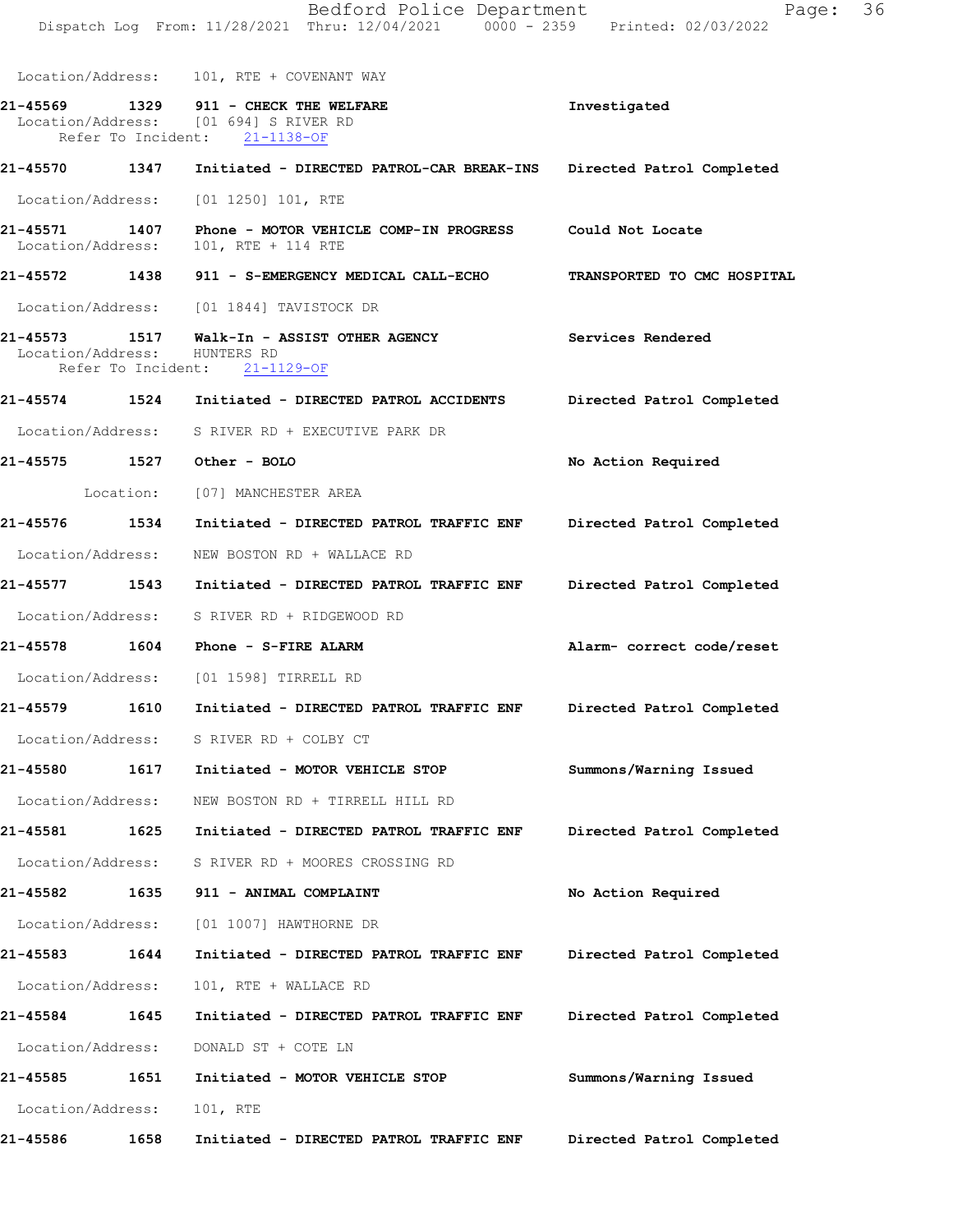Dispatch Log From: 11/28/2021 Thru: 12/04/2021 0000 - 2359 Printed: 02/03/2022 Location/Address: 101, RTE + COVENANT WAY 21-45569 1329 911 - CHECK THE WELFARE Investigated Location/Address: [01 694] S RIVER RD Refer To Incident: 21-1138-OF 21-45570 1347 Initiated - DIRECTED PATROL-CAR BREAK-INS Directed Patrol Completed Location/Address: [01 1250] 101, RTE 21-45571 1407 Phone - MOTOR VEHICLE COMP-IN PROGRESS Could Not Locate<br>Location/Address: 101, RTE + 114 RTE Location/Address: 21-45572 1438 911 - S-EMERGENCY MEDICAL CALL-ECHO TRANSPORTED TO CMC HOSPITAL Location/Address: [01 1844] TAVISTOCK DR 21-45573 1517 Walk-In - ASSIST OTHER AGENCY Services Rendered<br>Location/Address: HUNTERS RD Location/Address: HUNTERS RD<br>Refer To Incident: 21-1129-OF Refer To Incident: 21-45574 1524 Initiated - DIRECTED PATROL ACCIDENTS Directed Patrol Completed Location/Address: S RIVER RD + EXECUTIVE PARK DR 21-45575 1527 Other-BOLO 120 No Action Required Location: [07] MANCHESTER AREA 21-45576 1534 Initiated - DIRECTED PATROL TRAFFIC ENF Directed Patrol Completed Location/Address: NEW BOSTON RD + WALLACE RD 21-45577 1543 Initiated - DIRECTED PATROL TRAFFIC ENF Directed Patrol Completed Location/Address: S RIVER RD + RIDGEWOOD RD 21-45578 1604 Phone - S-FIREALARM Alarm-correctcode/reset Location/Address: [01 1598] TIRRELL RD 21-45579 1610 Initiated - DIRECTED PATROL TRAFFIC ENF Directed Patrol Completed Location/Address: S RIVER RD + COLBY CT 21-45580 1617 Initiated - MOTOR VEHICLE STOP Summons/Warning Issued Location/Address: NEW BOSTON RD + TIRRELL HILL RD 21-45581 1625 Initiated - DIRECTED PATROL TRAFFIC ENF Directed Patrol Completed Location/Address: S RIVER RD + MOORES CROSSING RD 21-45582 1635 911 - ANIMAL COMPLAINT No Action Required Location/Address: [01 1007] HAWTHORNE DR 21-45583 1644 Initiated - DIRECTED PATROL TRAFFIC ENF Directed Patrol Completed Location/Address: 101, RTE + WALLACE RD 21-45584 1645 Initiated - DIRECTED PATROL TRAFFIC ENF Directed Patrol Completed Location/Address: DONALD ST + COTE LN 21-45585 1651 Initiated - MOTOR VEHICLE STOP Summons/Warning Issued Location/Address: 101, RTE 21-45586 1658 Initiated - DIRECTED PATROL TRAFFIC ENF Directed Patrol Completed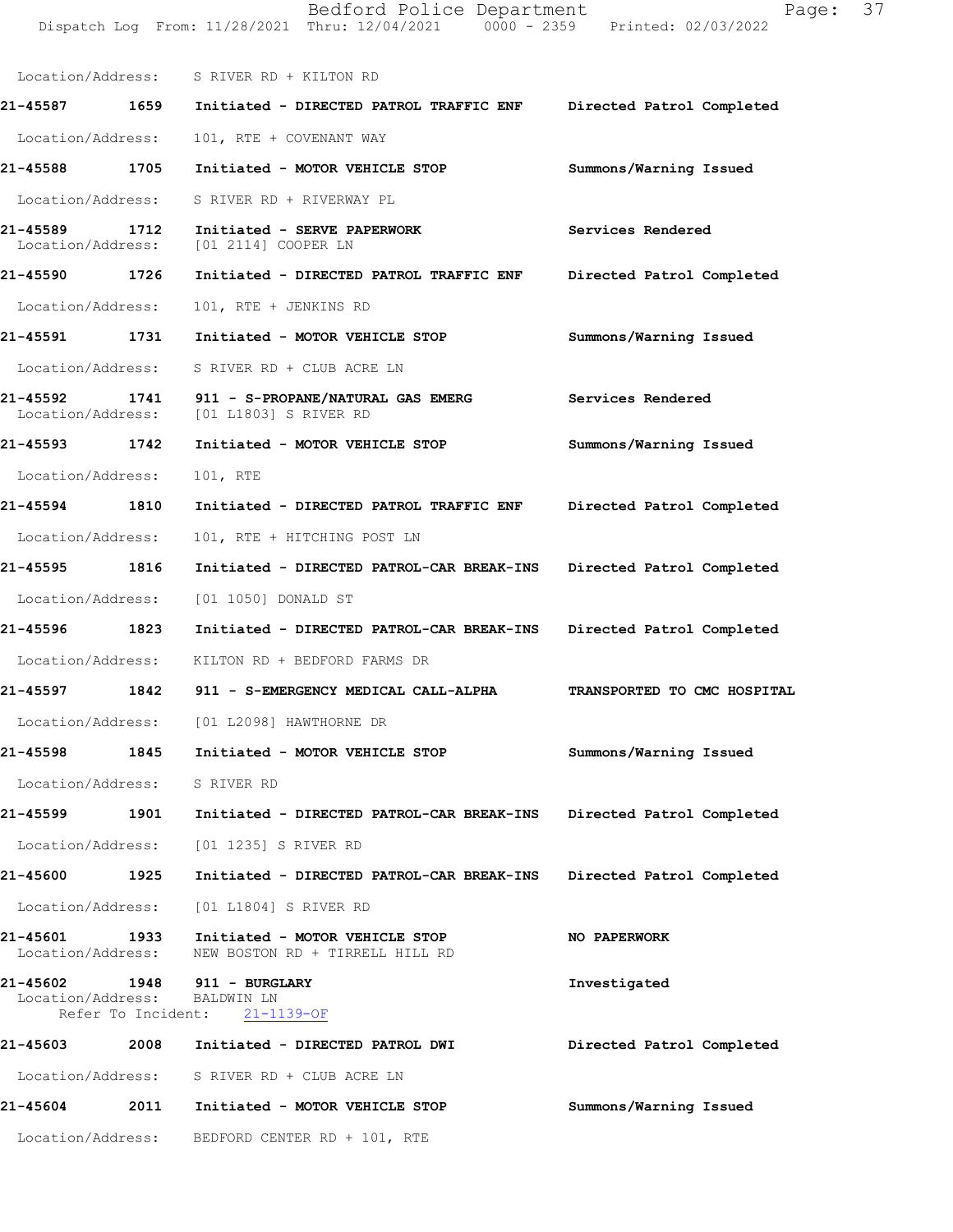|                               |      | Location/Address: S RIVER RD + KILTON RD                                                          |                             |
|-------------------------------|------|---------------------------------------------------------------------------------------------------|-----------------------------|
| 21-45587                      | 1659 | Initiated - DIRECTED PATROL TRAFFIC ENF                                                           | Directed Patrol Completed   |
| Location/Address:             |      | 101, RTE + COVENANT WAY                                                                           |                             |
| 21-45588                      | 1705 | Initiated - MOTOR VEHICLE STOP                                                                    | Summons/Warning Issued      |
| Location/Address:             |      | S RIVER RD + RIVERWAY PL                                                                          |                             |
| 21-45589<br>Location/Address: | 1712 | Initiated - SERVE PAPERWORK<br>[01 2114] COOPER LN                                                | Services Rendered           |
| 21-45590                      | 1726 | Initiated - DIRECTED PATROL TRAFFIC ENF                                                           | Directed Patrol Completed   |
| Location/Address:             |      | 101, RTE + JENKINS RD                                                                             |                             |
| 21-45591                      | 1731 | Initiated - MOTOR VEHICLE STOP                                                                    | Summons/Warning Issued      |
| Location/Address:             |      | S RIVER RD + CLUB ACRE LN                                                                         |                             |
| 21-45592<br>Location/Address: | 1741 | 911 - S-PROPANE/NATURAL GAS EMERG<br>[01 L1803] S RIVER RD                                        | Services Rendered           |
| 21-45593                      | 1742 | Initiated - MOTOR VEHICLE STOP                                                                    | Summons/Warning Issued      |
| Location/Address:             |      | 101, RTE                                                                                          |                             |
| 21-45594                      | 1810 | Initiated - DIRECTED PATROL TRAFFIC ENF                                                           | Directed Patrol Completed   |
| Location/Address:             |      | 101, RTE + HITCHING POST LN                                                                       |                             |
| 21-45595                      | 1816 | Initiated - DIRECTED PATROL-CAR BREAK-INS                                                         | Directed Patrol Completed   |
| Location/Address:             |      | [01 1050] DONALD ST                                                                               |                             |
| 21-45596                      | 1823 | Initiated - DIRECTED PATROL-CAR BREAK-INS                                                         | Directed Patrol Completed   |
| Location/Address:             |      | KILTON RD + BEDFORD FARMS DR                                                                      |                             |
| 21-45597                      | 1842 | 911 - S-EMERGENCY MEDICAL CALL-ALPHA                                                              | TRANSPORTED TO CMC HOSPITAL |
|                               |      | Location/Address: [01 L2098] HAWTHORNE DR                                                         |                             |
| 21-45598                      |      | 1845 Initiated - MOTOR VEHICLE STOP                                                               | Summons/Warning Issued      |
|                               |      | Location/Address: S RIVER RD                                                                      |                             |
|                               |      | 21-45599 1901 Initiated - DIRECTED PATROL-CAR BREAK-INS Directed Patrol Completed                 |                             |
|                               |      | Location/Address: [01 1235] S RIVER RD                                                            |                             |
| <b>21-45600</b>               | 1925 | Initiated - DIRECTED PATROL-CAR BREAK-INS                                                         | Directed Patrol Completed   |
|                               |      | Location/Address: [01 L1804] S RIVER RD                                                           |                             |
|                               |      | 21-45601 1933 Initiated - MOTOR VEHICLE STOP<br>Location/Address: NEW BOSTON RD + TIRRELL HILL RD | NO PAPERWORK                |
|                               |      | 21-45602 1948 911 - BURGLARY<br>Location/Address: BALDWIN LN<br>Refer To Incident: 21-1139-OF     | Investigated                |
| 21-45603                      | 2008 | Initiated - DIRECTED PATROL DWI                                                                   | Directed Patrol Completed   |
|                               |      | Location/Address: S RIVER RD + CLUB ACRE LN                                                       |                             |
|                               |      | 21-45604 2011 Initiated - MOTOR VEHICLE STOP                                                      | Summons/Warning Issued      |
|                               |      | Location/Address: BEDFORD CENTER RD + 101, RTE                                                    |                             |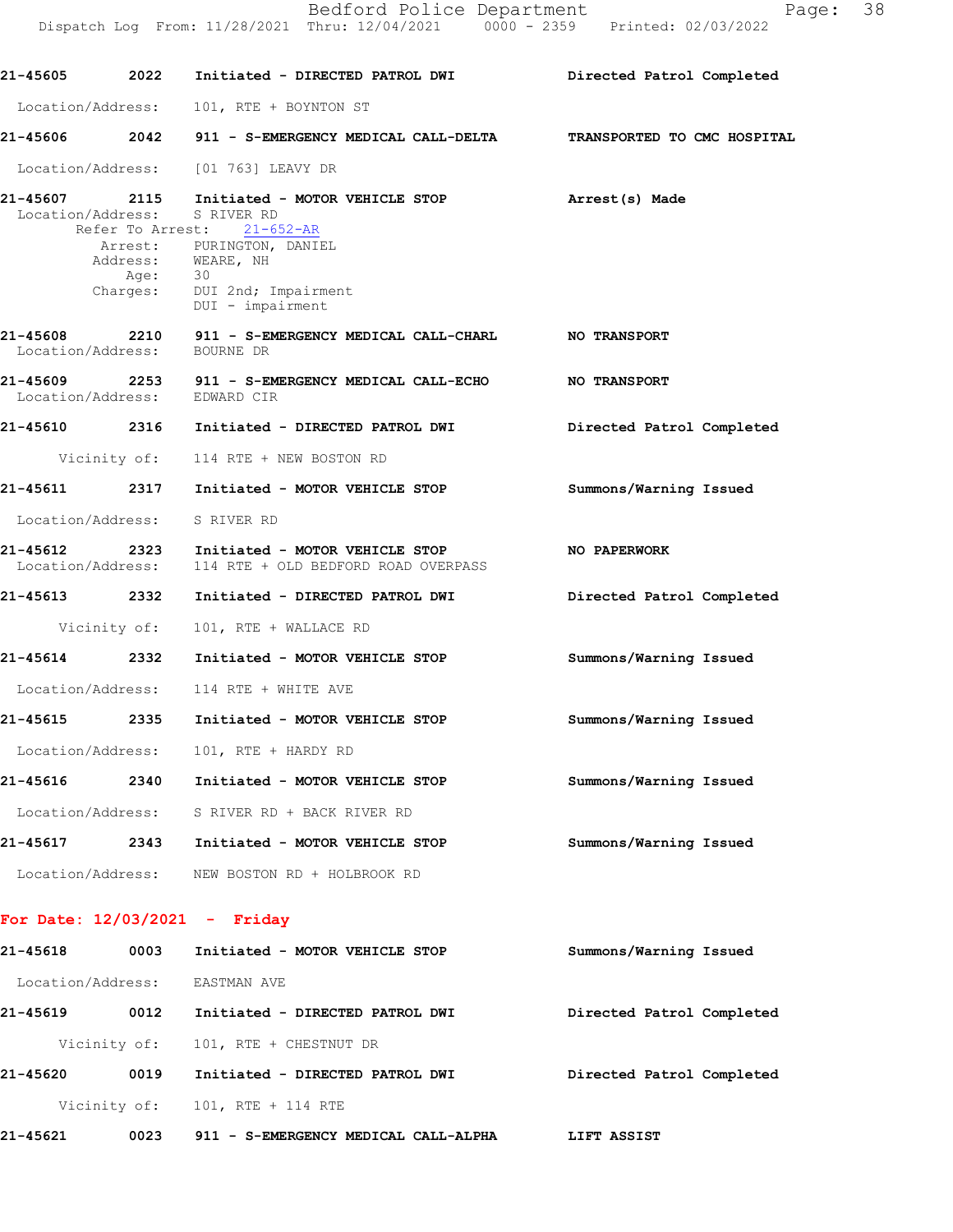|                                    |      | 21-45605 2022 Initiated - DIRECTED PATROL DWI Directed Patrol Completed                        |                           |
|------------------------------------|------|------------------------------------------------------------------------------------------------|---------------------------|
| Location/Address:                  |      | 101, RTE + BOYNTON ST                                                                          |                           |
|                                    |      | 21-45606 2042 911 - S-EMERGENCY MEDICAL CALL-DELTA TRANSPORTED TO CMC HOSPITAL                 |                           |
|                                    |      | Location/Address: [01 763] LEAVY DR                                                            |                           |
| 21-45607 2115                      |      | Initiated - MOTOR VEHICLE STOP<br>Location/Address: S RIVER RD<br>Refer To Arrest: 21-652-AR   | Arrest(s) Made            |
|                                    |      | Arrest: PURINGTON, DANIEL<br>Address: WEARE, NH<br>Age: 30<br>Charges: DUI 2nd; Impairment     |                           |
|                                    |      | DUI - impairment                                                                               |                           |
| 21-45608 2210<br>Location/Address: |      | 911 - S-EMERGENCY MEDICAL CALL-CHARL NO TRANSPORT<br>BOURNE DR                                 |                           |
|                                    |      | 21-45609 2253 911 - S-EMERGENCY MEDICAL CALL-ECHO NO TRANSPORT<br>Location/Address: EDWARD CIR |                           |
|                                    |      | 21-45610 2316 Initiated - DIRECTED PATROL DWI                                                  | Directed Patrol Completed |
|                                    |      | Vicinity of: 114 RTE + NEW BOSTON RD                                                           |                           |
|                                    |      | 21-45611 2317 Initiated - MOTOR VEHICLE STOP                                                   | Summons/Warning Issued    |
|                                    |      | Location/Address: S RIVER RD                                                                   |                           |
| 21-45612                           | 2323 | Initiated - MOTOR VEHICLE STOP<br>Location/Address: 114 RTE + OLD BEDFORD ROAD OVERPASS        | NO PAPERWORK              |
| 21-45613 2332                      |      | Initiated - DIRECTED PATROL DWI                                                                | Directed Patrol Completed |
|                                    |      | Vicinity of: 101, RTE + WALLACE RD                                                             |                           |
| 21-45614 2332                      |      | Initiated - MOTOR VEHICLE STOP                                                                 | Summons/Warning Issued    |
|                                    |      | Location/Address: 114 RTE + WHITE AVE                                                          |                           |
|                                    |      | 21-45615 2335 Initiated - MOTOR VEHICLE STOP                                                   | Summons/Warning Issued    |
|                                    |      | Location/Address: 101, RTE + HARDY RD                                                          |                           |
| 21-45616                           | 2340 | Initiated - MOTOR VEHICLE STOP                                                                 | Summons/Warning Issued    |
|                                    |      | Location/Address: S RIVER RD + BACK RIVER RD                                                   |                           |
| 21-45617                           |      | 2343 Initiated - MOTOR VEHICLE STOP                                                            | Summons/Warning Issued    |
|                                    |      | Location/Address: NEW BOSTON RD + HOLBROOK RD                                                  |                           |
|                                    |      | For Date: $12/03/2021$ - Friday                                                                |                           |
| 21-45618                           | 0003 | Initiated - MOTOR VEHICLE STOP                                                                 | Summons/Warning Issued    |
|                                    |      | Location/Address: EASTMAN AVE                                                                  |                           |
| 21-45619                           | 0012 | Initiated - DIRECTED PATROL DWI                                                                | Directed Patrol Completed |
|                                    |      |                                                                                                |                           |

Vicinity of: 101, RTE + CHESTNUT DR

DirectedPatrolCompleted 21-456200019 Initiated-DIRECTEDPATROLDWI LIFTASSIST 21-456210023 911-S-EMERGENCYMEDICALCALL-ALPHAVicinity of: 101, RTE + 114 RTE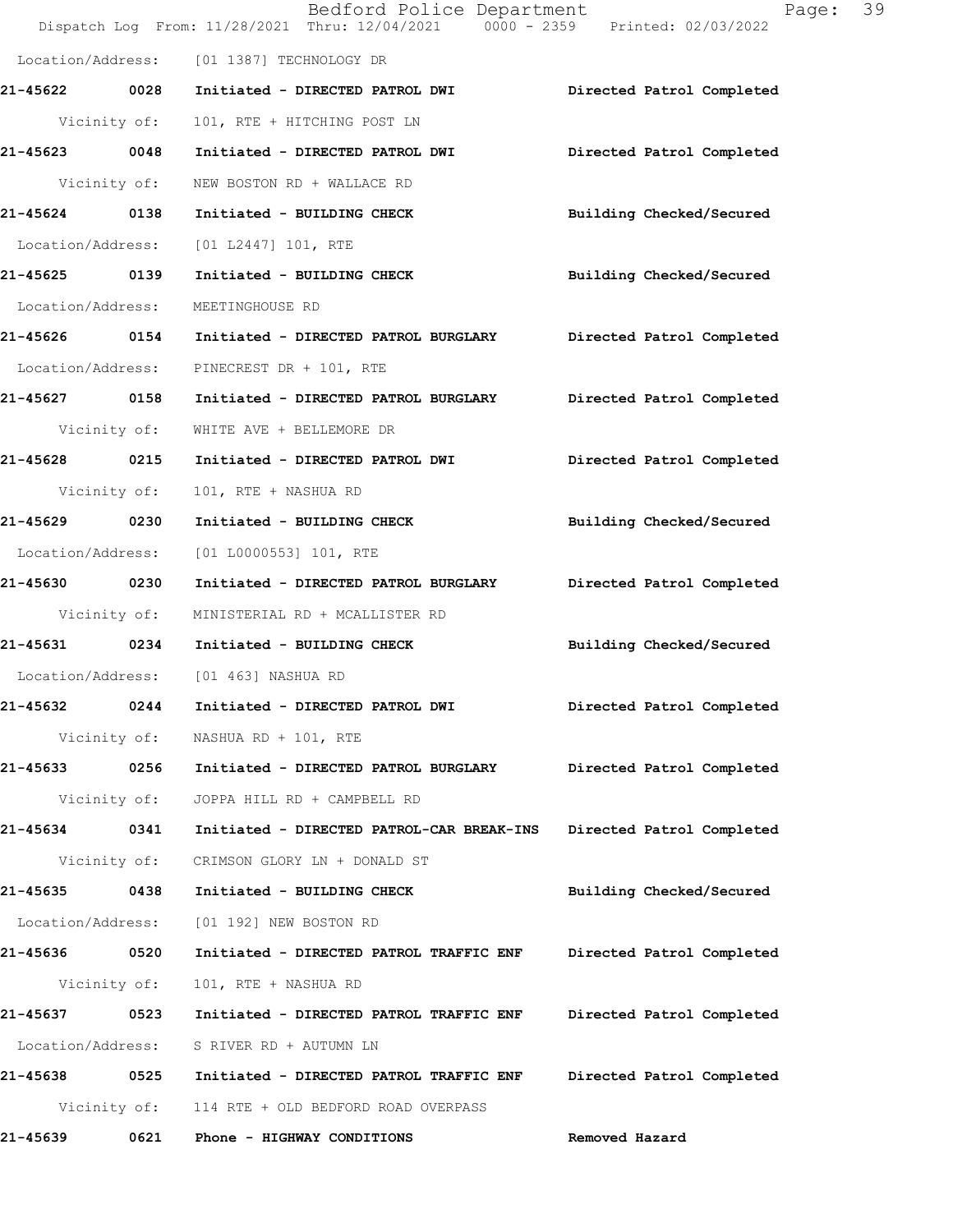|                   |      |                                                    | Bedford Police Department<br>Dispatch Log From: 11/28/2021 Thru: 12/04/2021 0000 - 2359 Printed: 02/03/2022 |                           | 39<br>Page: |
|-------------------|------|----------------------------------------------------|-------------------------------------------------------------------------------------------------------------|---------------------------|-------------|
|                   |      | Location/Address: [01 1387] TECHNOLOGY DR          |                                                                                                             |                           |             |
| 21-45622 0028     |      |                                                    | Initiated - DIRECTED PATROL DWI Directed Patrol Completed                                                   |                           |             |
| Vicinity of:      |      | 101, RTE + HITCHING POST LN                        |                                                                                                             |                           |             |
| 21-45623 0048     |      | Initiated - DIRECTED PATROL DWI                    |                                                                                                             | Directed Patrol Completed |             |
| Vicinity of:      |      | NEW BOSTON RD + WALLACE RD                         |                                                                                                             |                           |             |
| 21-45624 0138     |      | Initiated - BUILDING CHECK                         |                                                                                                             | Building Checked/Secured  |             |
|                   |      | Location/Address: [01 L2447] 101, RTE              |                                                                                                             |                           |             |
| 21-45625 0139     |      | Initiated - BUILDING CHECK                         |                                                                                                             | Building Checked/Secured  |             |
| Location/Address: |      | MEETINGHOUSE RD                                    |                                                                                                             |                           |             |
| 21-45626 0154     |      |                                                    | Initiated - DIRECTED PATROL BURGLARY Directed Patrol Completed                                              |                           |             |
| Location/Address: |      | PINECREST DR + 101, RTE                            |                                                                                                             |                           |             |
| 21-45627 0158     |      | Initiated - DIRECTED PATROL BURGLARY               |                                                                                                             | Directed Patrol Completed |             |
| Vicinity of:      |      | WHITE AVE + BELLEMORE DR                           |                                                                                                             |                           |             |
| 21-45628 0215     |      | Initiated - DIRECTED PATROL DWI                    |                                                                                                             | Directed Patrol Completed |             |
| Vicinity of:      |      | 101, RTE + NASHUA RD                               |                                                                                                             |                           |             |
| 21-45629 0230     |      | Initiated - BUILDING CHECK                         |                                                                                                             | Building Checked/Secured  |             |
| Location/Address: |      | [01 L0000553] 101, RTE                             |                                                                                                             |                           |             |
| 21-45630 0230     |      | Initiated - DIRECTED PATROL BURGLARY               |                                                                                                             | Directed Patrol Completed |             |
| Vicinity of:      |      | MINISTERIAL RD + MCALLISTER RD                     |                                                                                                             |                           |             |
|                   |      | 21-45631 0234 Initiated - BUILDING CHECK           |                                                                                                             | Building Checked/Secured  |             |
|                   |      | Location/Address: [01 463] NASHUA RD               |                                                                                                             |                           |             |
| 21-45632<br>0244  |      | Initiated - DIRECTED PATROL DWI                    |                                                                                                             | Directed Patrol Completed |             |
| Vicinity of:      |      | NASHUA RD + 101, RTE                               |                                                                                                             |                           |             |
|                   |      | 21-45633 0256 Initiated - DIRECTED PATROL BURGLARY |                                                                                                             | Directed Patrol Completed |             |
| Vicinity of:      |      | JOPPA HILL RD + CAMPBELL RD                        |                                                                                                             |                           |             |
| 21-45634 0341     |      | Initiated - DIRECTED PATROL-CAR BREAK-INS          |                                                                                                             | Directed Patrol Completed |             |
|                   |      | Vicinity of: CRIMSON GLORY LN + DONALD ST          |                                                                                                             |                           |             |
| 21-45635 0438     |      | Initiated - BUILDING CHECK                         |                                                                                                             | Building Checked/Secured  |             |
| Location/Address: |      | [01 192] NEW BOSTON RD                             |                                                                                                             |                           |             |
| 21-45636 0520     |      |                                                    | Initiated - DIRECTED PATROL TRAFFIC ENF Directed Patrol Completed                                           |                           |             |
| Vicinity of:      |      | 101, RTE + NASHUA RD                               |                                                                                                             |                           |             |
| 21-45637 0523     |      | Initiated - DIRECTED PATROL TRAFFIC ENF            |                                                                                                             | Directed Patrol Completed |             |
| Location/Address: |      | S RIVER RD + AUTUMN LN                             |                                                                                                             |                           |             |
|                   |      |                                                    |                                                                                                             | Directed Patrol Completed |             |
|                   |      | Vicinity of: 114 RTE + OLD BEDFORD ROAD OVERPASS   |                                                                                                             |                           |             |
| 21-45639          | 0621 | Phone - HIGHWAY CONDITIONS                         |                                                                                                             | Removed Hazard            |             |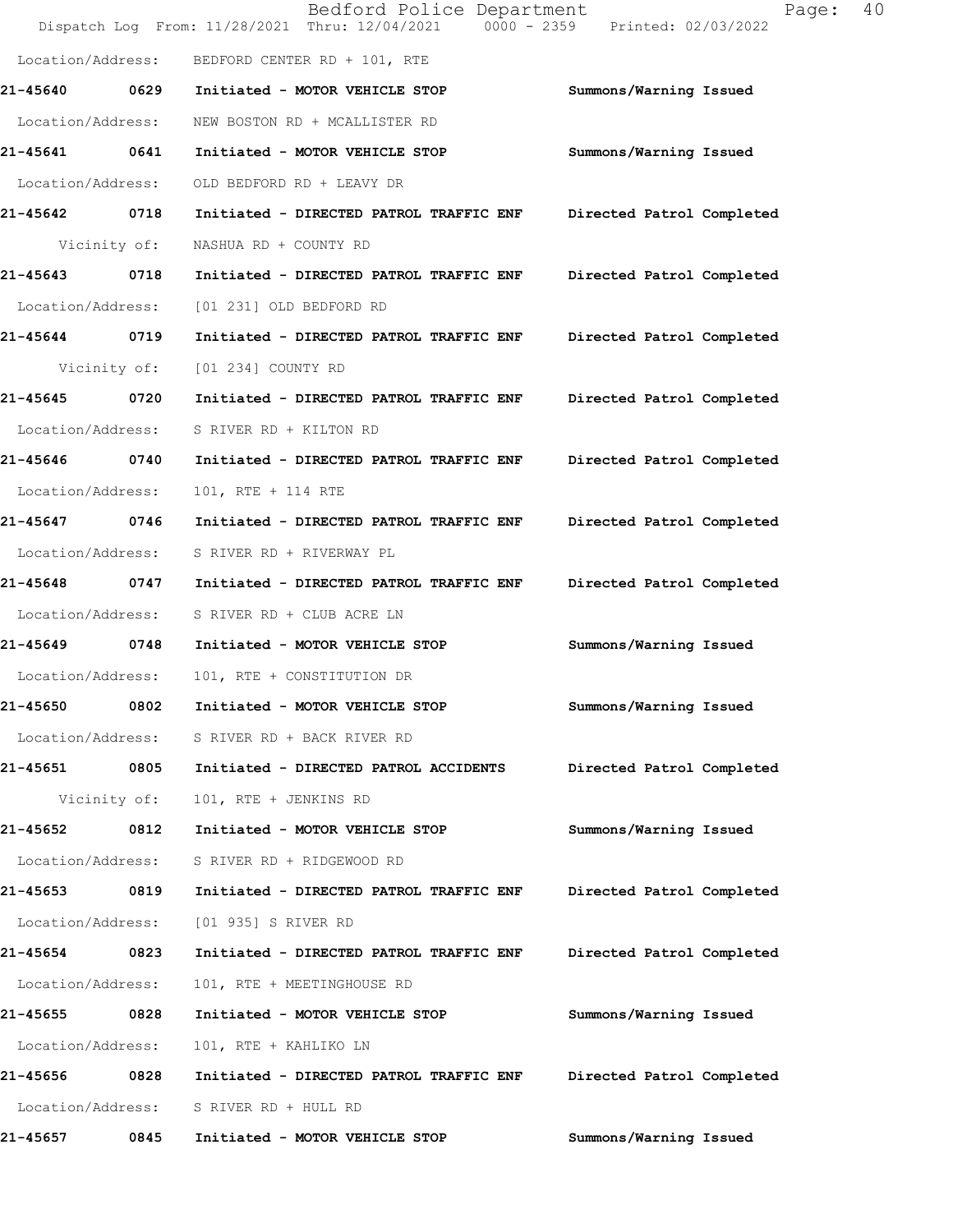|                   |              | Bedford Police Department<br>Dispatch Log From: 11/28/2021 Thru: 12/04/2021 0000 - 2359 Printed: 02/03/2022 | Page:                     | 40 |
|-------------------|--------------|-------------------------------------------------------------------------------------------------------------|---------------------------|----|
| Location/Address: |              | BEDFORD CENTER RD + 101, RTE                                                                                |                           |    |
| 21-45640          | 0629         | Initiated - MOTOR VEHICLE STOP                                                                              | Summons/Warning Issued    |    |
| Location/Address: |              | NEW BOSTON RD + MCALLISTER RD                                                                               |                           |    |
| 21-45641          | 0641         | Initiated - MOTOR VEHICLE STOP                                                                              | Summons/Warning Issued    |    |
| Location/Address: |              | OLD BEDFORD RD + LEAVY DR                                                                                   |                           |    |
| 21-45642 0718     |              | Initiated - DIRECTED PATROL TRAFFIC ENF                                                                     | Directed Patrol Completed |    |
|                   | Vicinity of: | NASHUA RD + COUNTY RD                                                                                       |                           |    |
| 21-45643          | 0718         | Initiated - DIRECTED PATROL TRAFFIC ENF                                                                     | Directed Patrol Completed |    |
| Location/Address: |              | [01 231] OLD BEDFORD RD                                                                                     |                           |    |
| 21-45644          | 0719         | Initiated - DIRECTED PATROL TRAFFIC ENF                                                                     | Directed Patrol Completed |    |
|                   | Vicinity of: | [01 234] COUNTY RD                                                                                          |                           |    |
| 21-45645          | 0720         | Initiated - DIRECTED PATROL TRAFFIC ENF                                                                     | Directed Patrol Completed |    |
| Location/Address: |              | S RIVER RD + KILTON RD                                                                                      |                           |    |
| 21-45646 0740     |              | Initiated - DIRECTED PATROL TRAFFIC ENF                                                                     | Directed Patrol Completed |    |
| Location/Address: |              | 101, RTE + 114 RTE                                                                                          |                           |    |
| 21-45647          | 0746         | Initiated - DIRECTED PATROL TRAFFIC ENF                                                                     | Directed Patrol Completed |    |
| Location/Address: |              | S RIVER RD + RIVERWAY PL                                                                                    |                           |    |
| 21-45648          | 0747         | Initiated - DIRECTED PATROL TRAFFIC ENF                                                                     | Directed Patrol Completed |    |
| Location/Address: |              | S RIVER RD + CLUB ACRE LN                                                                                   |                           |    |
| 21-45649 0748     |              | Initiated - MOTOR VEHICLE STOP                                                                              | Summons/Warning Issued    |    |
| Location/Address: |              | 101, RTE + CONSTITUTION DR                                                                                  |                           |    |
| 21-45650          | 0802         | Initiated - MOTOR VEHICLE STOP                                                                              | Summons/Warning Issued    |    |
| Location/Address: |              | S RIVER RD + BACK RIVER RD                                                                                  |                           |    |
| 21-45651 0805     |              | Initiated - DIRECTED PATROL ACCIDENTS                                                                       | Directed Patrol Completed |    |
|                   | Vicinity of: | 101, RTE + JENKINS RD                                                                                       |                           |    |
| 21-45652          | 0812         | Initiated - MOTOR VEHICLE STOP                                                                              | Summons/Warning Issued    |    |
| Location/Address: |              | S RIVER RD + RIDGEWOOD RD                                                                                   |                           |    |
| 21-45653          | 0819         | Initiated - DIRECTED PATROL TRAFFIC ENF                                                                     | Directed Patrol Completed |    |
| Location/Address: |              | [01 935] S RIVER RD                                                                                         |                           |    |
| 21-45654          | 0823         | Initiated - DIRECTED PATROL TRAFFIC ENF                                                                     | Directed Patrol Completed |    |
| Location/Address: |              | 101, RTE + MEETINGHOUSE RD                                                                                  |                           |    |
| 21-45655          | 0828         | Initiated - MOTOR VEHICLE STOP                                                                              | Summons/Warning Issued    |    |
| Location/Address: |              | 101, RTE + KAHLIKO LN                                                                                       |                           |    |
| 21-45656          | 0828         | Initiated - DIRECTED PATROL TRAFFIC ENF                                                                     | Directed Patrol Completed |    |
| Location/Address: |              | S RIVER RD + HULL RD                                                                                        |                           |    |
| 21-45657          | 0845         | Initiated - MOTOR VEHICLE STOP                                                                              | Summons/Warning Issued    |    |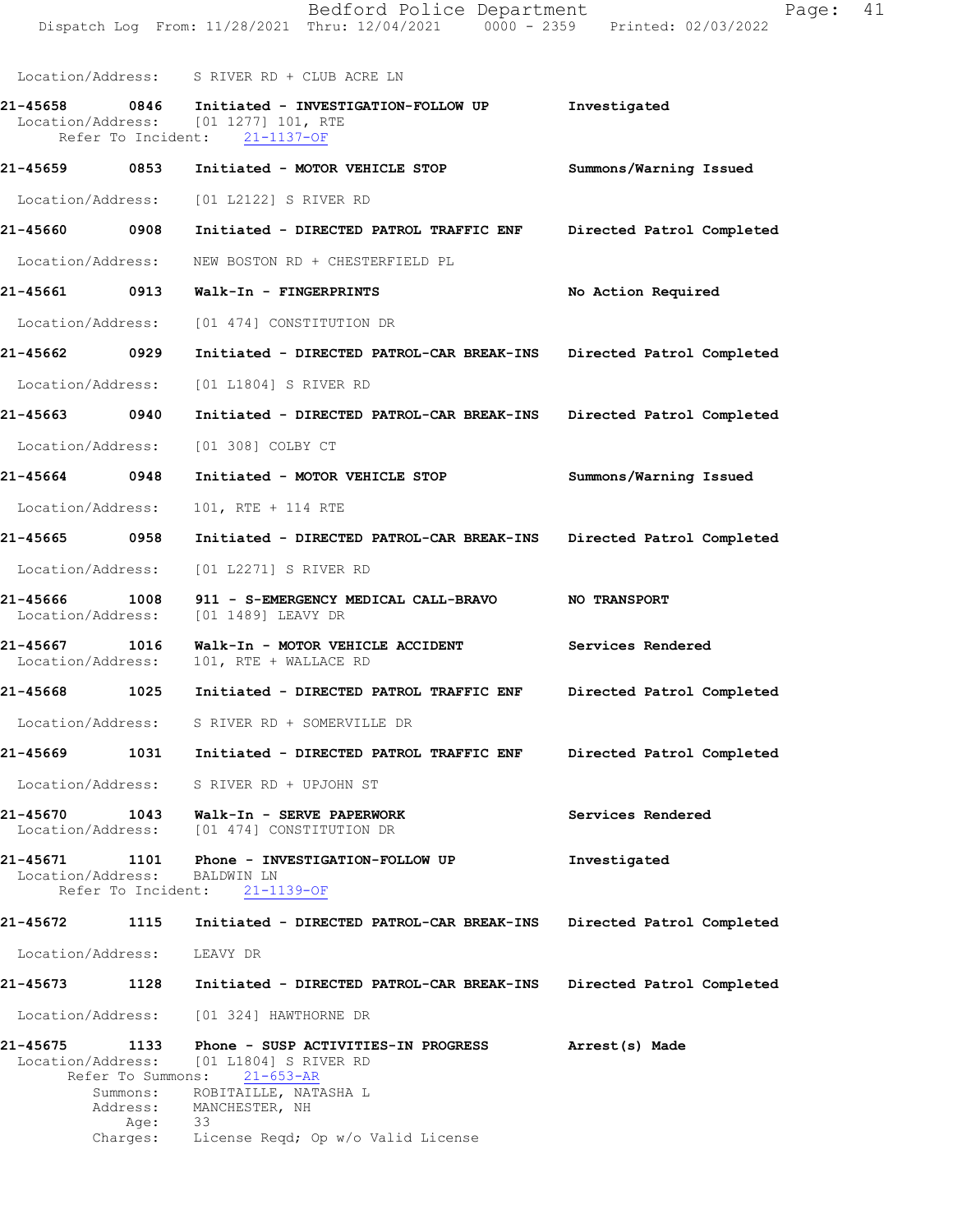Location/Address: S RIVER RD + CLUB ACRE LN

21-45658 0846 Initiated - INVESTIGATION-FOLLOWUP Investigated Location/Address: [01 1277] 101, RTE Initiated \_\_\_<br>[01 1277] 101, RTE<br>lent: 21-1137-OF Refer To Incident: 21-45659 0853 Initiated - MOTOR VEHICLE STOP Summons/Warning Issued Location/Address: [01 L2122] S RIVER RD 21-45660 0908 Initiated - DIRECTED PATROL TRAFFIC ENF Directed Patrol Completed Location/Address: NEW BOSTON RD + CHESTERFIELD PL 21-45661 0913 Walk-In - FINGERPRINTS No Action Required Location/Address: [01 474] CONSTITUTION DR 21-45662 0929 Initiated - DIRECTED PATROL-CAR BREAK-INS Directed Patrol Completed Location/Address: [01 L1804] S RIVER RD 21-45663 0940 Initiated - DIRECTED PATROL-CAR BREAK-INS Directed Patrol Completed Location/Address: [01 308] COLBY CT 21-45664 0948 Initiated - MOTOR VEHICLE STOP Summons/Warning Issued Location/Address: 101, RTE + 114 RTE 21-45665 0958 Initiated - DIRECTED PATROL-CAR BREAK-INS Directed Patrol Completed Location/Address: [01 L2271] S RIVER RD 21-45666 1008 911 - S-EMERGENCY MEDICAL CALL-BRAVO NO TRANSPORT<br>Location/Address: [01 1489] LEAVY DR Location/Address: 21-45667 1016 Walk-In - MOTOR VEHICLE ACCIDENT Services Rendered Location/Address: 101, RTE + WALLACE RD 101, RTE + WALLACE RD 21-45668 1025 Initiated - DIRECTED PATROL TRAFFIC ENF Directed Patrol Completed Location/Address: S RIVER RD + SOMERVILLE DR 21-45669 1031 Initiated - DIRECTED PATROL TRAFFIC ENF Directed Patrol Completed Location/Address: S RIVER RD + UPJOHN ST 21-45670 1043 Walk-In - SERVE PAPERWORK Services Rendered<br>
Location/Address: [01 474] CONSTITUTION DR [01 474] CONSTITUTION DR 21-45671 1101 Phone - INVESTIGATION-FOLLOWUP Investigated Location/Address: BALDWIN LN Location/Address: Refer To Incident: 21-1139-OF 21-45672 1115 Initiated - DIRECTED PATROL-CAR BREAK-INS Directed Patrol Completed Location/Address: LEAVY DR 21-45673 1128 Initiated - DIRECTED PATROL-CAR BREAK-INS Directed Patrol Completed Location/Address: [01 324] HAWTHORNE DR 21-456751133 Arrest(s)Made Phone-SUSPACTIVITIES-INPROGRESS [01 L1804] S RIVER RD<br>
ons: 21-653-AR Refer To Summons:<br>Summons: ROB Summons: ROBITAILLE, NATASHA L<br>Address: MANCHESTER, NH MANCHESTER, NH<br>33 Age:<br>:Charges

License Reqd; Op w/o Valid License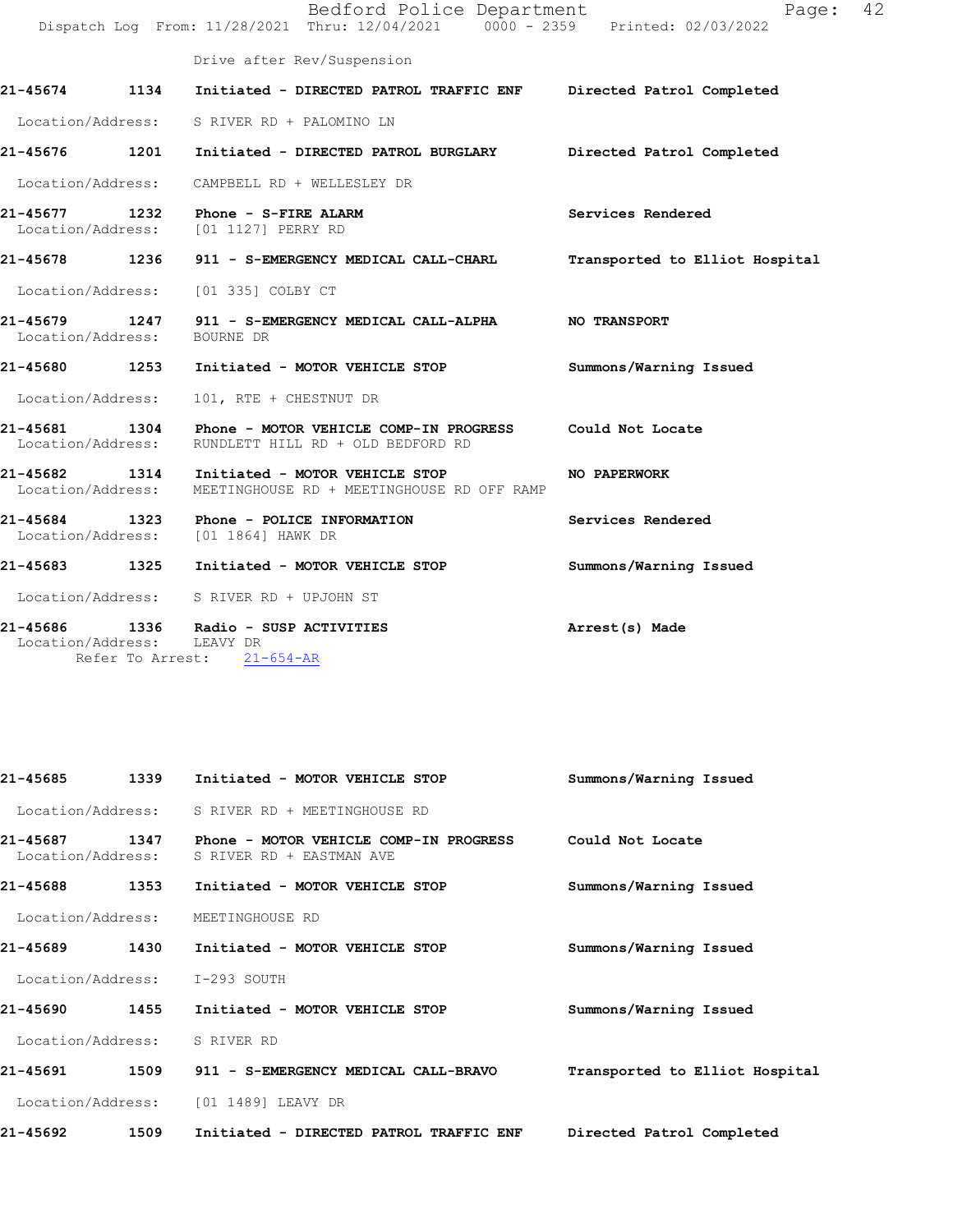|                             |                                                                                 | Bedford Police Department                                                                  | Page:<br>Dispatch Log From: 11/28/2021 Thru: 12/04/2021 0000 - 2359 Printed: 02/03/2022 | 42 |
|-----------------------------|---------------------------------------------------------------------------------|--------------------------------------------------------------------------------------------|-----------------------------------------------------------------------------------------|----|
|                             | Drive after Rev/Suspension                                                      |                                                                                            |                                                                                         |    |
| 21-45674 1134               |                                                                                 |                                                                                            | Initiated - DIRECTED PATROL TRAFFIC ENF Directed Patrol Completed                       |    |
|                             | Location/Address: S RIVER RD + PALOMINO LN                                      |                                                                                            |                                                                                         |    |
| 21-45676 1201               |                                                                                 | Initiated - DIRECTED PATROL BURGLARY                                                       | Directed Patrol Completed                                                               |    |
| Location/Address:           | CAMPBELL RD + WELLESLEY DR                                                      |                                                                                            |                                                                                         |    |
|                             | 21-45677 1232 Phone - S-FIRE ALARM<br>Location/Address: [01 1127] PERRY RD      |                                                                                            | Services Rendered                                                                       |    |
|                             |                                                                                 | 21-45678 1236 911 - S-EMERGENCY MEDICAL CALL-CHARL                                         | Transported to Elliot Hospital                                                          |    |
| Location/Address:           | [01 335] COLBY CT                                                               |                                                                                            |                                                                                         |    |
| Location/Address: BOURNE DR |                                                                                 | 21-45679 1247 911 - S-EMERGENCY MEDICAL CALL-ALPHA NO TRANSPORT                            |                                                                                         |    |
|                             |                                                                                 | 21-45680 1253 Initiated - MOTOR VEHICLE STOP                                               | Summons/Warning Issued                                                                  |    |
| Location/Address:           | 101, RTE + CHESTNUT DR                                                          |                                                                                            |                                                                                         |    |
| Location/Address:           |                                                                                 | RUNDLETT HILL RD + OLD BEDFORD RD                                                          | Could Not Locate                                                                        |    |
| Location/Address:           |                                                                                 | 21-45682 1314 Initiated - MOTOR VEHICLE STOP<br>MEETINGHOUSE RD + MEETINGHOUSE RD OFF RAMP | NO PAPERWORK                                                                            |    |
|                             | 21-45684 1323 Phone - POLICE INFORMATION<br>Location/Address: [01 1864] HAWK DR |                                                                                            | Services Rendered                                                                       |    |
|                             |                                                                                 | 21-45683 1325 Initiated - MOTOR VEHICLE STOP                                               | Summons/Warning Issued                                                                  |    |
|                             | Location/Address: S RIVER RD + UPJOHN ST                                        |                                                                                            |                                                                                         |    |
| Location/Address: LEAVY DR  | 21-45686 1336 Radio - SUSP ACTIVITIES<br>Refer To Arrest: 21-654-AR             |                                                                                            | Arrest(s) Made                                                                          |    |

| 21-45685<br>1339                      | Initiated - MOTOR VEHICLE STOP                                     | Summons/Warning Issued         |
|---------------------------------------|--------------------------------------------------------------------|--------------------------------|
| Location/Address:                     | S RIVER RD + MEETINGHOUSE RD                                       |                                |
| 1347<br>21-45687<br>Location/Address: | Phone - MOTOR VEHICLE COMP-IN PROGRESS<br>S RIVER RD + EASTMAN AVE | Could Not Locate               |
| 1353<br>21-45688                      | Initiated - MOTOR VEHICLE STOP                                     | Summons/Warning Issued         |
| Location/Address:                     | MEETINGHOUSE RD                                                    |                                |
| 1430<br>21-45689                      | Initiated - MOTOR VEHICLE STOP                                     | Summons/Warning Issued         |
| Location/Address:                     | I-293 SOUTH                                                        |                                |
| 1455<br>21-45690                      | Initiated - MOTOR VEHICLE STOP                                     | Summons/Warning Issued         |
| Location/Address:                     | S RIVER RD                                                         |                                |
| 21-45691<br>1509                      | 911 - S-EMERGENCY MEDICAL CALL-BRAVO                               | Transported to Elliot Hospital |
| Location/Address:                     | [01 1489] LEAVY DR                                                 |                                |
| 21-45692<br>1509                      | Initiated - DIRECTED PATROL TRAFFIC ENF                            | Directed Patrol Completed      |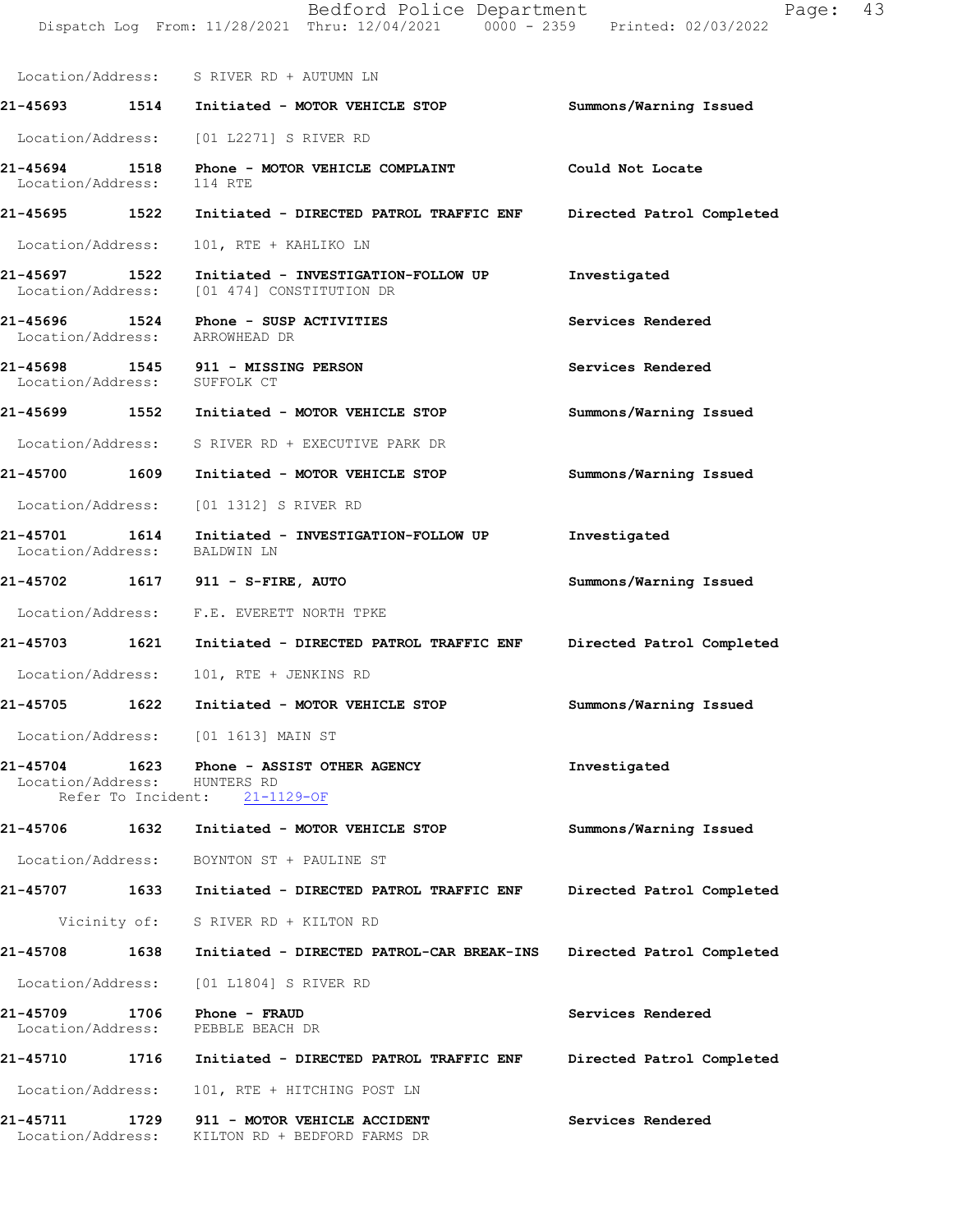|                                                    |      | Bedford Police Department<br>Dispatch Log From: 11/28/2021 Thru: 12/04/2021 0000 - 2359 Printed: 02/03/2022 | 43<br>Page:               |
|----------------------------------------------------|------|-------------------------------------------------------------------------------------------------------------|---------------------------|
|                                                    |      | Location/Address: S RIVER RD + AUTUMN LN                                                                    |                           |
|                                                    |      | 21-45693 1514 Initiated - MOTOR VEHICLE STOP                                                                | Summons/Warning Issued    |
|                                                    |      | Location/Address: [01 L2271] S RIVER RD                                                                     |                           |
| 21-45694<br>Location/Address:                      |      | 1518 Phone - MOTOR VEHICLE COMPLAINT<br>114 RTE                                                             | Could Not Locate          |
|                                                    |      | 21-45695 1522 Initiated - DIRECTED PATROL TRAFFIC ENF                                                       | Directed Patrol Completed |
| Location/Address:                                  |      | 101, RTE + KAHLIKO LN                                                                                       |                           |
| 21-45697 1522<br>Location/Address:                 |      | Initiated - INVESTIGATION-FOLLOW UP<br>[01 474] CONSTITUTION DR                                             | Investigated              |
| Location/Address: ARROWHEAD DR                     |      | 21-45696 1524 Phone - SUSP ACTIVITIES                                                                       | Services Rendered         |
| Location/Address: SUFFOLK CT                       |      | 21-45698 1545 911 - MISSING PERSON                                                                          | Services Rendered         |
|                                                    |      | 21-45699 1552 Initiated - MOTOR VEHICLE STOP                                                                | Summons/Warning Issued    |
|                                                    |      | Location/Address: S RIVER RD + EXECUTIVE PARK DR                                                            |                           |
| 21-45700 1609                                      |      | Initiated - MOTOR VEHICLE STOP                                                                              | Summons/Warning Issued    |
| Location/Address:                                  |      | [01 1312] S RIVER RD                                                                                        |                           |
| 1614<br>21-45701<br>Location/Address:              |      | Initiated - INVESTIGATION-FOLLOW UP<br>BALDWIN LN                                                           | Investigated              |
|                                                    |      | 21-45702 1617 911 - S-FIRE, AUTO                                                                            | Summons/Warning Issued    |
|                                                    |      | Location/Address: F.E. EVERETT NORTH TPKE                                                                   |                           |
|                                                    |      | 21-45703 1621 Initiated - DIRECTED PATROL TRAFFIC ENF                                                       | Directed Patrol Completed |
| Location/Address:                                  |      | 101, RTE + JENKINS RD                                                                                       |                           |
| 21-45705                                           | 1622 | Initiated - MOTOR VEHICLE STOP                                                                              | Summons/Warning Issued    |
|                                                    |      | Location/Address: [01 1613] MAIN ST                                                                         |                           |
| Location/Address: HUNTERS RD                       |      | 21-45704 1623 Phone - ASSIST OTHER AGENCY<br>Refer To Incident: 21-1129-OF                                  | Investigated              |
|                                                    |      | 21-45706 1632 Initiated - MOTOR VEHICLE STOP                                                                | Summons/Warning Issued    |
|                                                    |      | Location/Address: BOYNTON ST + PAULINE ST                                                                   |                           |
|                                                    |      | 21-45707 1633 Initiated - DIRECTED PATROL TRAFFIC ENF                                                       | Directed Patrol Completed |
|                                                    |      | Vicinity of: S RIVER RD + KILTON RD                                                                         |                           |
| 21-45708 1638                                      |      | Initiated - DIRECTED PATROL-CAR BREAK-INS                                                                   | Directed Patrol Completed |
| Location/Address:                                  |      | [01 L1804] S RIVER RD                                                                                       |                           |
| 21-45709 1706<br>Location/Address: PEBBLE BEACH DR |      | Phone - FRAUD                                                                                               | Services Rendered         |
|                                                    |      | 21-45710 1716 Initiated - DIRECTED PATROL TRAFFIC ENF                                                       | Directed Patrol Completed |
| Location/Address:                                  |      | 101, RTE + HITCHING POST LN                                                                                 |                           |
| 21-45711 1729<br>Location/Address:                 |      | 911 - MOTOR VEHICLE ACCIDENT<br>KILTON RD + BEDFORD FARMS DR                                                | Services Rendered         |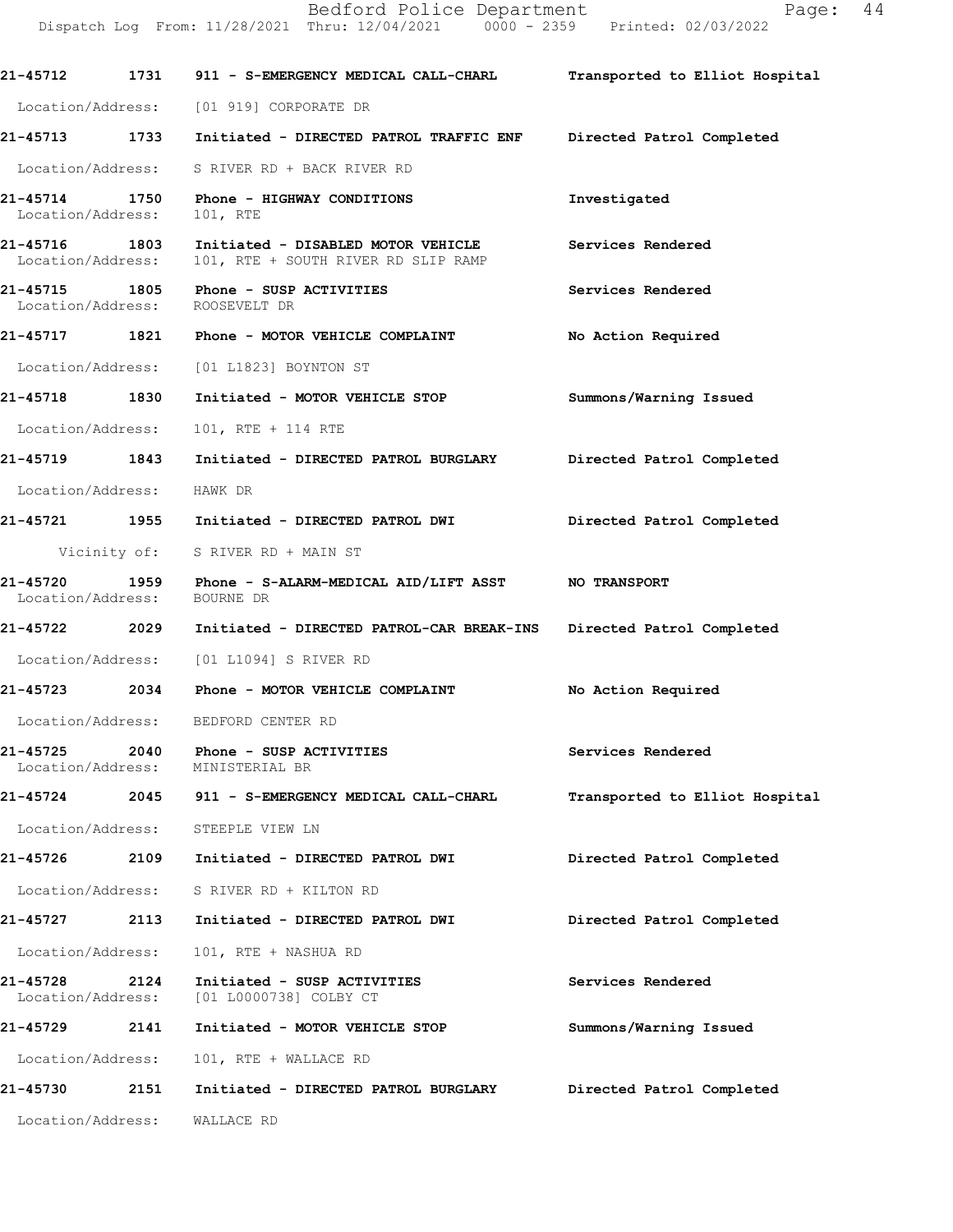|                                    |      | 21-45712 1731 911 - S-EMERGENCY MEDICAL CALL-CHARL                              | Transported to Elliot Hospital |
|------------------------------------|------|---------------------------------------------------------------------------------|--------------------------------|
|                                    |      | Location/Address: [01 919] CORPORATE DR                                         |                                |
|                                    |      | 21-45713 1733 Initiated - DIRECTED PATROL TRAFFIC ENF Directed Patrol Completed |                                |
|                                    |      | Location/Address: S RIVER RD + BACK RIVER RD                                    |                                |
| 21-45714 1750<br>Location/Address: |      | Phone - HIGHWAY CONDITIONS<br>101, RTE                                          | Investigated                   |
| 21-45716 1803<br>Location/Address: |      | Initiated - DISABLED MOTOR VEHICLE<br>101, RTE + SOUTH RIVER RD SLIP RAMP       | Services Rendered              |
| 21-45715 1805<br>Location/Address: |      | Phone - SUSP ACTIVITIES<br>ROOSEVELT DR                                         | Services Rendered              |
|                                    |      | 21-45717              1821        Phone  –  MOTOR  VEHICLE  COMPLAINT           | No Action Required             |
|                                    |      | Location/Address: [01 L1823] BOYNTON ST                                         |                                |
| 21-45718 1830                      |      | Initiated - MOTOR VEHICLE STOP                                                  | Summons/Warning Issued         |
| Location/Address:                  |      | 101, RTE + 114 RTE                                                              |                                |
| 21-45719 1843                      |      | Initiated - DIRECTED PATROL BURGLARY Directed Patrol Completed                  |                                |
| Location/Address:                  |      | HAWK DR                                                                         |                                |
|                                    |      | 21-45721 1955 Initiated - DIRECTED PATROL DWI                                   | Directed Patrol Completed      |
|                                    |      | Vicinity of: S RIVER RD + MAIN ST                                               |                                |
| Location/Address: BOURNE DR        |      | 21-45720 1959 Phone - S-ALARM-MEDICAL AID/LIFT ASST NO TRANSPORT                |                                |
| 21-45722 2029                      |      | Initiated - DIRECTED PATROL-CAR BREAK-INS Directed Patrol Completed             |                                |
|                                    |      | Location/Address: [01 L1094] S RIVER RD                                         |                                |
| 21-45723 2034                      |      | Phone - MOTOR VEHICLE COMPLAINT                                                 | No Action Required             |
|                                    |      | Location/Address: BEDFORD CENTER RD                                             |                                |
| 21-45725<br>Location/Address:      | 2040 | Phone - SUSP ACTIVITIES<br>MINISTERIAL BR                                       | Services Rendered              |
| 21-45724                           | 2045 | 911 - S-EMERGENCY MEDICAL CALL-CHARL                                            | Transported to Elliot Hospital |
| Location/Address:                  |      | STEEPLE VIEW LN                                                                 |                                |
| 21-45726                           | 2109 | Initiated - DIRECTED PATROL DWI                                                 | Directed Patrol Completed      |
| Location/Address:                  |      | S RIVER RD + KILTON RD                                                          |                                |
| 21-45727                           | 2113 | Initiated - DIRECTED PATROL DWI                                                 | Directed Patrol Completed      |
| Location/Address:                  |      | 101, RTE + NASHUA RD                                                            |                                |
| 21-45728<br>Location/Address:      | 2124 | Initiated - SUSP ACTIVITIES<br>[01 L0000738] COLBY CT                           | Services Rendered              |
| 21-45729                           | 2141 | Initiated - MOTOR VEHICLE STOP                                                  | Summons/Warning Issued         |
| Location/Address:                  |      | 101, RTE + WALLACE RD                                                           |                                |
| 21-45730                           | 2151 | Initiated - DIRECTED PATROL BURGLARY                                            | Directed Patrol Completed      |
| Location/Address:                  |      | WALLACE RD                                                                      |                                |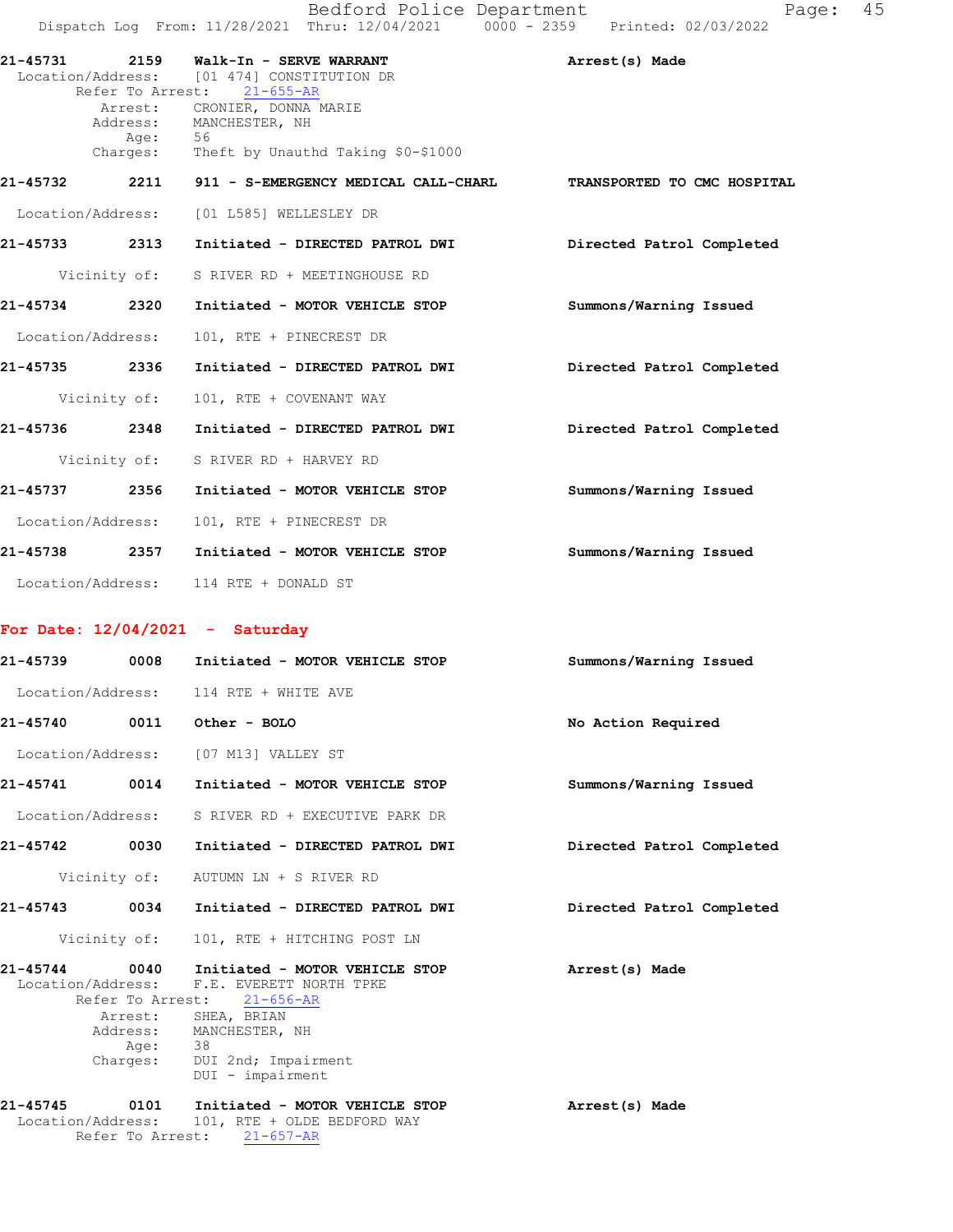|                   | Bedford Police Department<br>Dispatch Log From: 11/28/2021 Thru: 12/04/2021 0000 - 2359 Printed: 02/03/2022  | Page: 45                    |
|-------------------|--------------------------------------------------------------------------------------------------------------|-----------------------------|
| 21-45731          | 2159 Walk-In - SERVE WARRANT<br>Location/Address: [01 474] CONSTITUTION DR<br>Refer To Arrest: 21-655-AR     | Arrest(s) Made              |
| Aqe:              | Arrest: CRONIER, DONNA MARIE<br>Address: MANCHESTER, NH<br>56<br>Charges: Theft by Unauthd Taking \$0-\$1000 |                             |
| 2211<br>21-45732  | 911 - S-EMERGENCY MEDICAL CALL-CHARL                                                                         | TRANSPORTED TO CMC HOSPITAL |
| Location/Address: | [01 L585] WELLESLEY DR                                                                                       |                             |
| 21-45733 2313     | Initiated - DIRECTED PATROL DWI                                                                              | Directed Patrol Completed   |
| Vicinity of:      | S RIVER RD + MEETINGHOUSE RD                                                                                 |                             |
| 21-45734 2320     | Initiated - MOTOR VEHICLE STOP                                                                               | Summons/Warning Issued      |
| Location/Address: | 101, RTE + PINECREST DR                                                                                      |                             |
| 2336<br>21-45735  | Initiated - DIRECTED PATROL DWI                                                                              | Directed Patrol Completed   |
| Vicinity of:      | 101, RTE + COVENANT WAY                                                                                      |                             |
| 21-45736<br>2348  | Initiated - DIRECTED PATROL DWI                                                                              | Directed Patrol Completed   |
|                   | Vicinity of: S RIVER RD + HARVEY RD                                                                          |                             |

21-45737 2356 Initiated - MOTOR VEHICLE STOP Summons/Warning Issued Location/Address: 101, RTE + PINECREST DR 21-45738 2357 Initiated - MOTOR VEHICLE STOP Summons/Warning Issued Location/Address: 114 RTE + DONALD ST

## For Date: 12/04/2021 - Saturday

| 21-45739 0008     |                      | Initiated - MOTOR VEHICLE STOP                                                                                                                                                                                  | Summons/Warning Issued    |  |  |
|-------------------|----------------------|-----------------------------------------------------------------------------------------------------------------------------------------------------------------------------------------------------------------|---------------------------|--|--|
|                   |                      | Location/Address: 114 RTE + WHITE AVE                                                                                                                                                                           |                           |  |  |
| 21-45740          | 0011<br>Other - BOLO |                                                                                                                                                                                                                 | No Action Required        |  |  |
|                   |                      | Location/Address: [07 M13] VALLEY ST                                                                                                                                                                            |                           |  |  |
| 21-45741 0014     |                      | Initiated - MOTOR VEHICLE STOP                                                                                                                                                                                  | Summons/Warning Issued    |  |  |
|                   |                      | Location/Address: S RIVER RD + EXECUTIVE PARK DR                                                                                                                                                                |                           |  |  |
| 21-45742          | 0030                 | Initiated - DIRECTED PATROL DWI                                                                                                                                                                                 | Directed Patrol Completed |  |  |
|                   |                      | Vicinity of: AUTUMN LN + S RIVER RD                                                                                                                                                                             |                           |  |  |
| 21-45743          | 0034                 | Initiated - DIRECTED PATROL DWI                                                                                                                                                                                 | Directed Patrol Completed |  |  |
|                   |                      | Vicinity of: 101, RTE + HITCHING POST LN                                                                                                                                                                        |                           |  |  |
| 21-45744 0040     | Age: 38              | Initiated - MOTOR VEHICLE STOP<br>Location/Address: F.E. EVERETT NORTH TPKE<br>Refer To Arrest: 21-656-AR<br>Arrest: SHEA, BRIAN<br>Address: MANCHESTER, NH<br>Charges: DUI 2nd; Impairment<br>DUI - impairment | Arrest(s) Made            |  |  |
| Location/Address: | Refer To Arrest:     | 21-45745 0101 Initiated - MOTOR VEHICLE STOP<br>101, RTE + OLDE BEDFORD WAY<br>$21 - 657 - AR$                                                                                                                  | Arrest(s) Made            |  |  |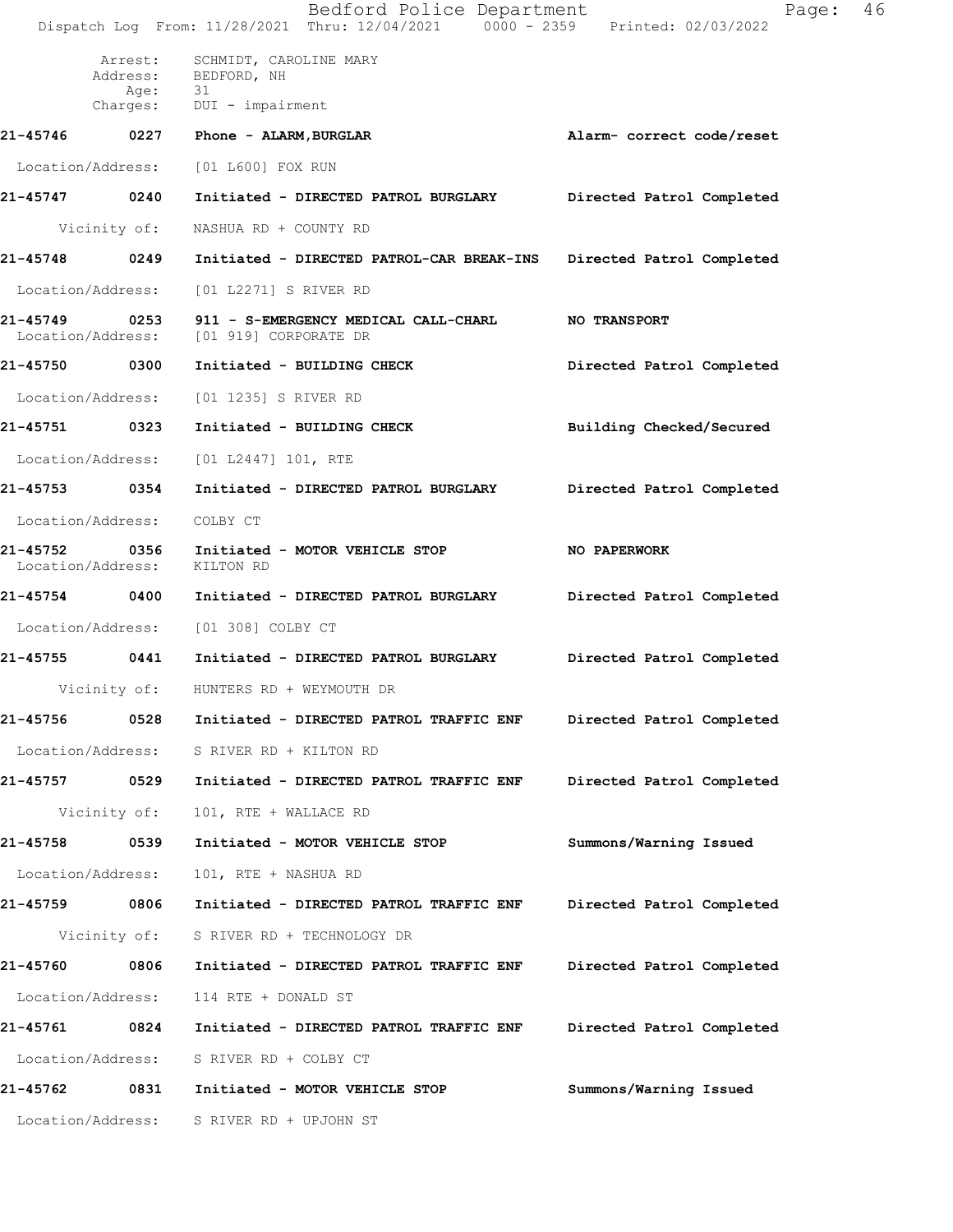|                            |                 | Bedford Police Department<br>Dispatch Log From: 11/28/2021 Thru: 12/04/2021 0000 - 2359 Printed: 02/03/2022 | Page:                     | 46 |
|----------------------------|-----------------|-------------------------------------------------------------------------------------------------------------|---------------------------|----|
|                            | Arrest:<br>Age: | SCHMIDT, CAROLINE MARY<br>Address: BEDFORD, NH<br>- 31                                                      |                           |    |
|                            |                 | Charges: DUI - impairment                                                                                   |                           |    |
| 21-45746                   |                 | 0227 Phone - ALARM, BURGLAR                                                                                 | Alarm- correct code/reset |    |
| Location/Address:          |                 | [01 L600] FOX RUN                                                                                           |                           |    |
| 21-45747 0240              |                 | Initiated - DIRECTED PATROL BURGLARY                                                                        | Directed Patrol Completed |    |
|                            | Vicinity of:    | NASHUA RD + COUNTY RD                                                                                       |                           |    |
| 21-45748 0249              |                 | Initiated - DIRECTED PATROL-CAR BREAK-INS                                                                   | Directed Patrol Completed |    |
| Location/Address:          |                 | [01 L2271] S RIVER RD                                                                                       |                           |    |
|                            |                 | 21-45749 0253 911 - S-EMERGENCY MEDICAL CALL-CHARL NO TRANSPORT<br>Location/Address: [01 919] CORPORATE DR  |                           |    |
| 21-45750 0300              |                 | Initiated - BUILDING CHECK                                                                                  | Directed Patrol Completed |    |
| Location/Address:          |                 | [01 1235] S RIVER RD                                                                                        |                           |    |
| 21-45751 0323              |                 | Initiated - BUILDING CHECK                                                                                  | Building Checked/Secured  |    |
| Location/Address:          |                 | [01 L2447] 101, RTE                                                                                         |                           |    |
| 21-45753 0354              |                 | Initiated - DIRECTED PATROL BURGLARY                                                                        | Directed Patrol Completed |    |
| Location/Address: COLBY CT |                 |                                                                                                             |                           |    |
| Location/Address:          |                 | 21-45752 0356 Initiated - MOTOR VEHICLE STOP<br>KILTON RD                                                   | <b>NO PAPERWORK</b>       |    |
|                            |                 | 21-45754 0400 Initiated - DIRECTED PATROL BURGLARY                                                          | Directed Patrol Completed |    |
|                            |                 | Location/Address: [01 308] COLBY CT                                                                         |                           |    |
|                            |                 | 21-45755 0441 Initiated - DIRECTED PATROL BURGLARY                                                          | Directed Patrol Completed |    |
|                            |                 | Vicinity of: HUNTERS RD + WEYMOUTH DR                                                                       |                           |    |
| 21-45756                   | 0528            | Initiated - DIRECTED PATROL TRAFFIC ENF                                                                     | Directed Patrol Completed |    |
| Location/Address:          |                 | S RIVER RD + KILTON RD                                                                                      |                           |    |
| 21-45757                   | 0529            | Initiated - DIRECTED PATROL TRAFFIC ENF                                                                     | Directed Patrol Completed |    |
|                            | Vicinity of:    | 101, RTE + WALLACE RD                                                                                       |                           |    |
| 21-45758                   | 0539            | Initiated - MOTOR VEHICLE STOP                                                                              | Summons/Warning Issued    |    |
| Location/Address:          |                 | 101, RTE + NASHUA RD                                                                                        |                           |    |
| 21-45759                   | 0806            | Initiated - DIRECTED PATROL TRAFFIC ENF                                                                     | Directed Patrol Completed |    |
|                            | Vicinity of:    | S RIVER RD + TECHNOLOGY DR                                                                                  |                           |    |
| 21-45760                   | 0806            | Initiated - DIRECTED PATROL TRAFFIC ENF                                                                     | Directed Patrol Completed |    |
| Location/Address:          |                 | 114 RTE + DONALD ST                                                                                         |                           |    |
| 21-45761                   | 0824            | Initiated - DIRECTED PATROL TRAFFIC ENF                                                                     | Directed Patrol Completed |    |
| Location/Address:          |                 | S RIVER RD + COLBY CT                                                                                       |                           |    |
| 21-45762                   | 0831            | Initiated - MOTOR VEHICLE STOP                                                                              | Summons/Warning Issued    |    |
| Location/Address:          |                 | S RIVER RD + UPJOHN ST                                                                                      |                           |    |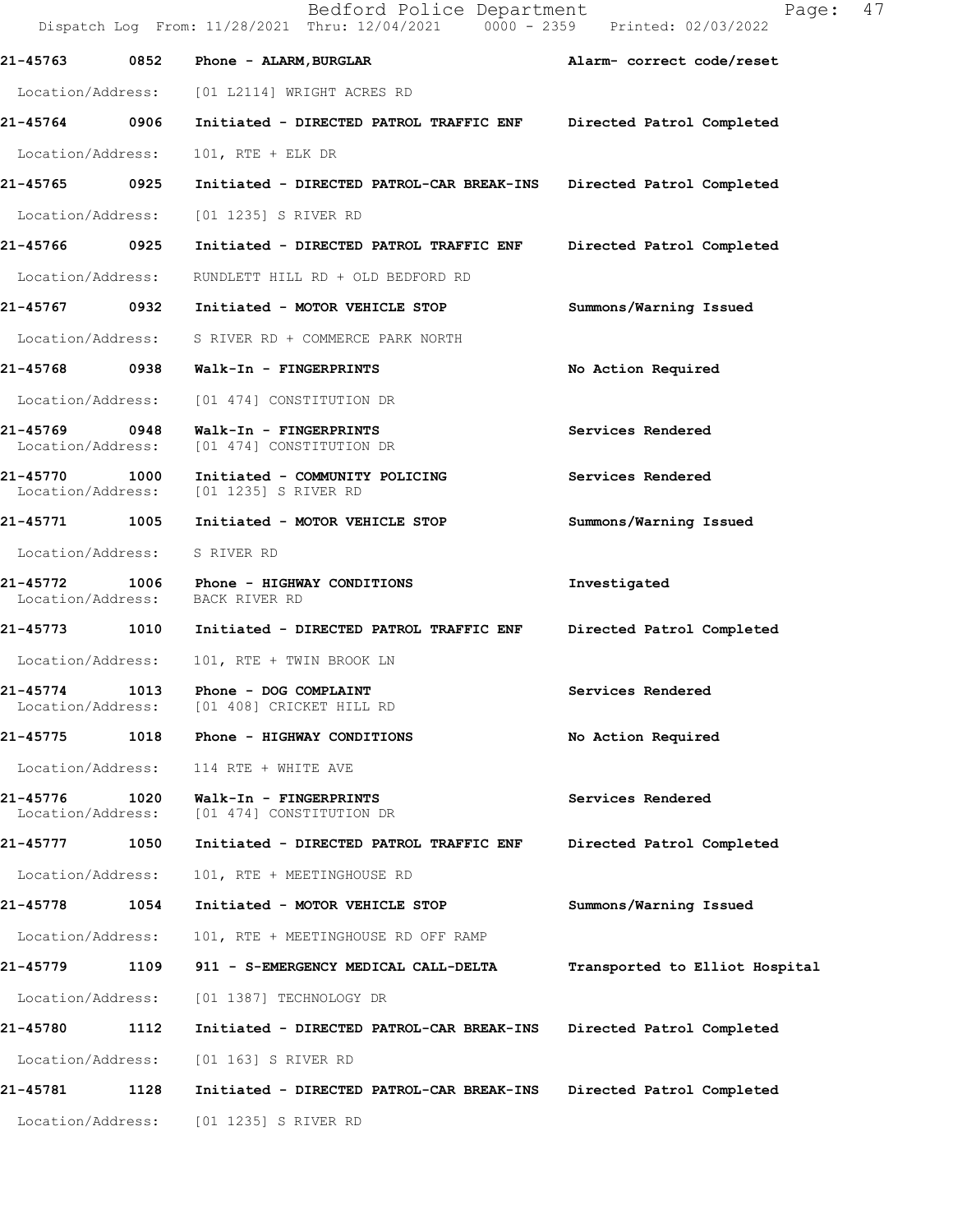|                                    |      | Bedford Police Department<br>Dispatch Log From: 11/28/2021 Thru: 12/04/2021 0000 - 2359 Printed: 02/03/2022 | 47<br>Page:                    |
|------------------------------------|------|-------------------------------------------------------------------------------------------------------------|--------------------------------|
| 21-45763                           | 0852 | Phone - ALARM, BURGLAR                                                                                      | Alarm- correct code/reset      |
|                                    |      | Location/Address: [01 L2114] WRIGHT ACRES RD                                                                |                                |
| 21-45764 0906                      |      | Initiated - DIRECTED PATROL TRAFFIC ENF Directed Patrol Completed                                           |                                |
| Location/Address:                  |      | 101, RTE + ELK DR                                                                                           |                                |
| 21-45765 0925                      |      | Initiated - DIRECTED PATROL-CAR BREAK-INS                                                                   | Directed Patrol Completed      |
| Location/Address:                  |      | [01 1235] S RIVER RD                                                                                        |                                |
| 21-45766 0925                      |      | Initiated - DIRECTED PATROL TRAFFIC ENF                                                                     | Directed Patrol Completed      |
| Location/Address:                  |      | RUNDLETT HILL RD + OLD BEDFORD RD                                                                           |                                |
|                                    |      | 21-45767 0932 Initiated - MOTOR VEHICLE STOP                                                                | Summons/Warning Issued         |
|                                    |      | Location/Address: S RIVER RD + COMMERCE PARK NORTH                                                          |                                |
|                                    |      | 21-45768 0938 Walk-In - FINGERPRINTS                                                                        | No Action Required             |
|                                    |      | Location/Address: [01 474] CONSTITUTION DR                                                                  |                                |
| 21-45769 0948<br>Location/Address: |      | Walk-In - FINGERPRINTS<br>[01 474] CONSTITUTION DR                                                          | Services Rendered              |
| 21-45770 1000<br>Location/Address: |      | Initiated - COMMUNITY POLICING<br>[01 1235] S RIVER RD                                                      | Services Rendered              |
| 21-45771 1005                      |      | Initiated - MOTOR VEHICLE STOP                                                                              | Summons/Warning Issued         |
| Location/Address:                  |      | S RIVER RD                                                                                                  |                                |
| Location/Address:                  |      | 21-45772 1006 Phone - HIGHWAY CONDITIONS<br>BACK RIVER RD                                                   | Investigated                   |
|                                    |      | 21-45773 1010 Initiated - DIRECTED PATROL TRAFFIC ENF                                                       | Directed Patrol Completed      |
| Location/Address:                  |      | 101, RTE + TWIN BROOK LN                                                                                    |                                |
| 21-45774<br>Location/Address:      | 1013 | Phone - DOG COMPLAINT<br>[01 408] CRICKET HILL RD                                                           | Services Rendered              |
| 21-45775                           |      | 1018 Phone - HIGHWAY CONDITIONS                                                                             | No Action Required             |
| Location/Address:                  |      | 114 RTE + WHITE AVE                                                                                         |                                |
| 21-45776<br>Location/Address:      | 1020 | Walk-In - FINGERPRINTS<br>[01 474] CONSTITUTION DR                                                          | Services Rendered              |
| 21-45777 1050                      |      | Initiated - DIRECTED PATROL TRAFFIC ENF                                                                     | Directed Patrol Completed      |
| Location/Address:                  |      | 101, RTE + MEETINGHOUSE RD                                                                                  |                                |
| 21-45778                           | 1054 | Initiated - MOTOR VEHICLE STOP                                                                              | Summons/Warning Issued         |
| Location/Address:                  |      | 101, RTE + MEETINGHOUSE RD OFF RAMP                                                                         |                                |
| 21-45779                           | 1109 | 911 - S-EMERGENCY MEDICAL CALL-DELTA                                                                        | Transported to Elliot Hospital |
| Location/Address:                  |      | [01 1387] TECHNOLOGY DR                                                                                     |                                |
| 21-45780                           | 1112 | Initiated - DIRECTED PATROL-CAR BREAK-INS                                                                   | Directed Patrol Completed      |
| Location/Address:                  |      | [01 163] S RIVER RD                                                                                         |                                |
| 21-45781                           | 1128 | Initiated - DIRECTED PATROL-CAR BREAK-INS                                                                   | Directed Patrol Completed      |
| Location/Address:                  |      | [01 1235] S RIVER RD                                                                                        |                                |
|                                    |      |                                                                                                             |                                |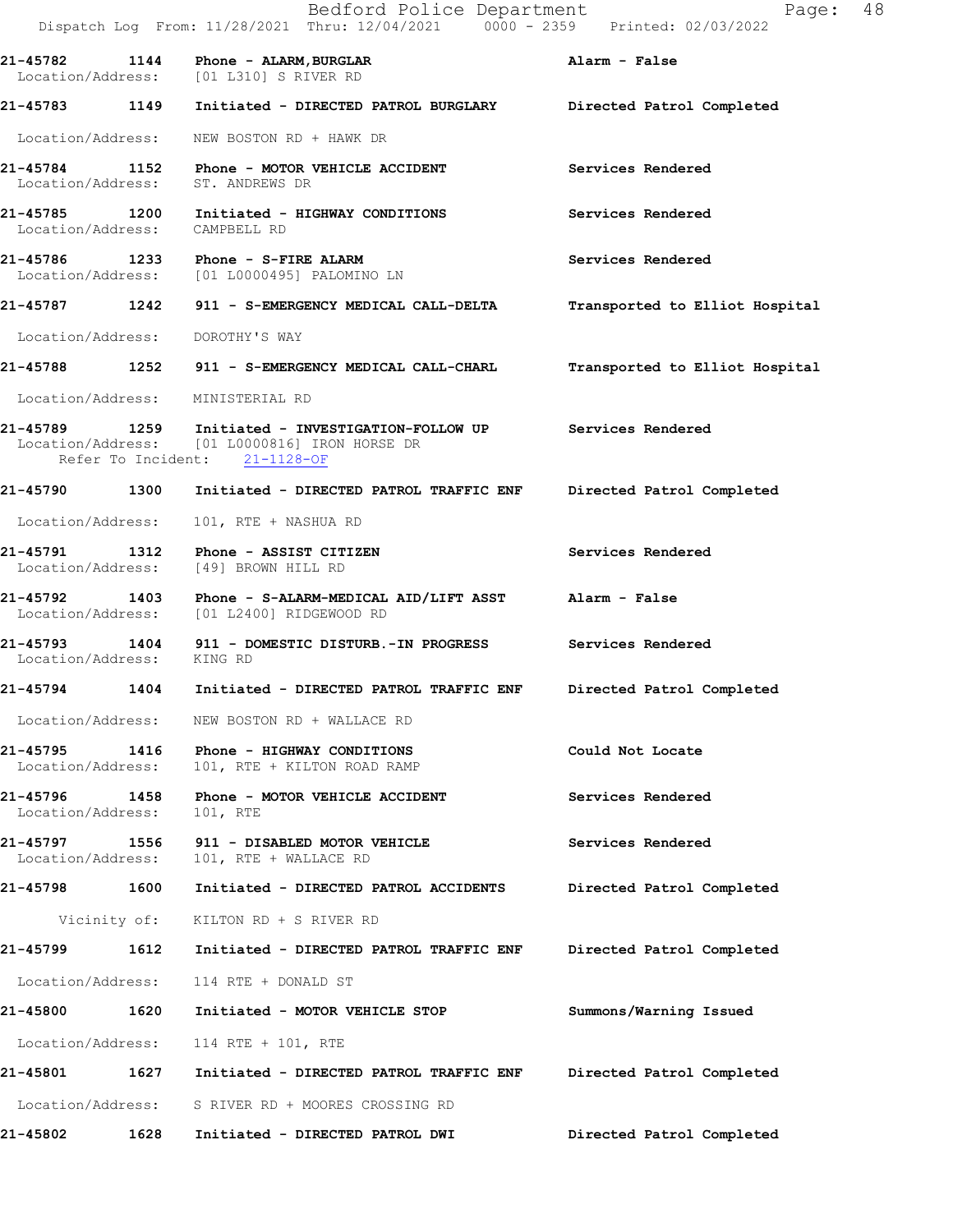|                                    |      | Bedford Police Department<br>Dispatch Log From: 11/28/2021 Thru: 12/04/2021 0000 - 2359 Printed: 02/03/2022                                           | Page: 48                       |
|------------------------------------|------|-------------------------------------------------------------------------------------------------------------------------------------------------------|--------------------------------|
|                                    |      | $21-45782$ 1144 Phone - ALARM, BURGLAR<br>Location/Address: [01 L310] S RIVER RD                                                                      | Alarm - False                  |
|                                    |      | 21-45783 1149 Initiated - DIRECTED PATROL BURGLARY Directed Patrol Completed                                                                          |                                |
| Location/Address:                  |      | NEW BOSTON RD + HAWK DR                                                                                                                               |                                |
| Location/Address:                  |      | 21-45784 1152 Phone - MOTOR VEHICLE ACCIDENT<br>ST. ANDREWS DR                                                                                        | Services Rendered              |
| Location/Address:                  |      | 21-45785 1200 Initiated - HIGHWAY CONDITIONS<br>CAMPBELL RD                                                                                           | Services Rendered              |
|                                    |      | 21-45786 1233 Phone - S-FIRE ALARM<br>Location/Address: [01 L0000495] PALOMINO LN                                                                     | Services Rendered              |
|                                    |      | 21-45787 1242 911 - S-EMERGENCY MEDICAL CALL-DELTA                                                                                                    | Transported to Elliot Hospital |
| Location/Address:                  |      | DOROTHY'S WAY                                                                                                                                         |                                |
|                                    |      | 21-45788 1252 911 - S-EMERGENCY MEDICAL CALL-CHARL                                                                                                    | Transported to Elliot Hospital |
| Location/Address:                  |      | MINISTERIAL RD                                                                                                                                        |                                |
|                                    |      | 21-45789 1259 Initiated - INVESTIGATION-FOLLOW UP Services Rendered<br>Location/Address: [01 L0000816] IRON HORSE DR<br>Refer To Incident: 21-1128-OF |                                |
|                                    |      | 21-45790 1300 Initiated - DIRECTED PATROL TRAFFIC ENF Directed Patrol Completed                                                                       |                                |
| Location/Address:                  |      | 101, RTE + NASHUA RD                                                                                                                                  |                                |
| Location/Address:                  |      | [49] BROWN HILL RD                                                                                                                                    | Services Rendered              |
| Location/Address:                  |      | 21-45792 1403 Phone - S-ALARM-MEDICAL AID/LIFT ASST Alarm - False<br>[01 L2400] RIDGEWOOD RD                                                          |                                |
| Location/Address: KING RD          |      | 21-45793 1404 911 - DOMESTIC DISTURB.-IN PROGRESS Services Rendered                                                                                   |                                |
|                                    |      | 21-45794 1404 Initiated - DIRECTED PATROL TRAFFIC ENF                                                                                                 | Directed Patrol Completed      |
|                                    |      | Location/Address: NEW BOSTON RD + WALLACE RD                                                                                                          |                                |
| Location/Address:                  |      | 21-45795 1416 Phone - HIGHWAY CONDITIONS<br>101, RTE + KILTON ROAD RAMP                                                                               | Could Not Locate               |
| 21-45796 1458<br>Location/Address: |      | Phone - MOTOR VEHICLE ACCIDENT<br>101, RTE                                                                                                            | Services Rendered              |
| 21-45797 1556<br>Location/Address: |      | 911 - DISABLED MOTOR VEHICLE<br>101, RTE + WALLACE RD                                                                                                 | Services Rendered              |
| 21-45798 1600                      |      | Initiated - DIRECTED PATROL ACCIDENTS                                                                                                                 | Directed Patrol Completed      |
|                                    |      | Vicinity of: KILTON RD + S RIVER RD                                                                                                                   |                                |
| 21-45799 1612                      |      | Initiated - DIRECTED PATROL TRAFFIC ENF                                                                                                               | Directed Patrol Completed      |
| Location/Address:                  |      | 114 RTE + DONALD ST                                                                                                                                   |                                |
| 21-45800                           | 1620 | Initiated - MOTOR VEHICLE STOP                                                                                                                        | Summons/Warning Issued         |
| Location/Address:                  |      | 114 RTE + 101, RTE                                                                                                                                    |                                |
|                                    |      |                                                                                                                                                       | Directed Patrol Completed      |
|                                    |      | Location/Address: S RIVER RD + MOORES CROSSING RD                                                                                                     |                                |
| 21-45802                           | 1628 | Initiated - DIRECTED PATROL DWI                                                                                                                       | Directed Patrol Completed      |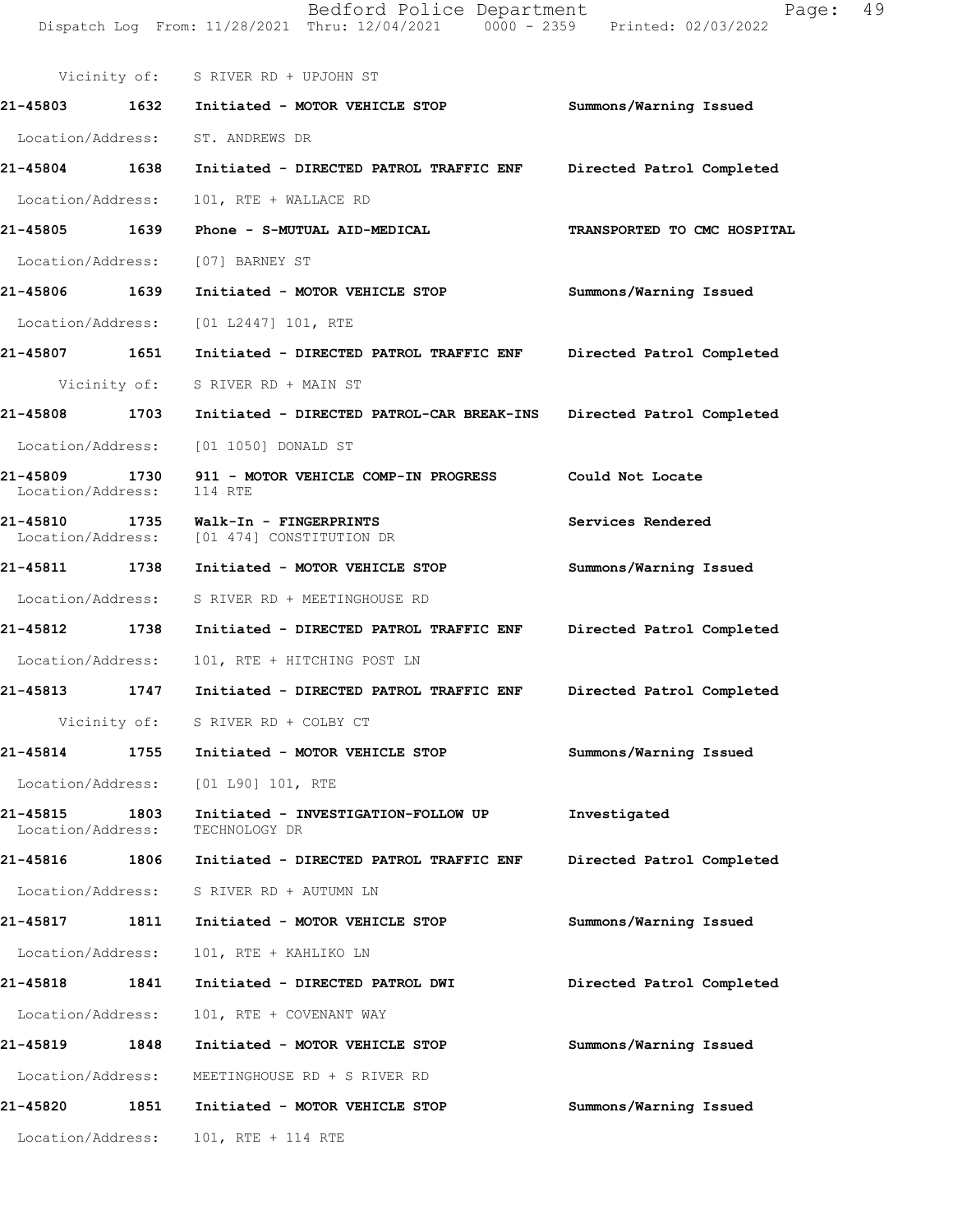Vicinity of: S RIVER RD + UPJOHN ST 21-45803 1632 Initiated - MOTOR VEHICLE STOP Summons/Warning Issued Location/Address: ST. ANDREWS DR 21-45804 1638 Initiated - DIRECTED PATROL TRAFFIC ENF Directed Patrol Completed Location/Address: 101, RTE + WALLACE RD 21-45805 1639 Phone - S-MUTUAL AID-MEDICAL TRANSPORTED TO CMC HOSPITAL Location/Address: [07] BARNEY ST 21-45806 1639 Initiated - MOTOR VEHICLE STOP Summons/Warning Issued Location/Address: [01 L2447] 101, RTE 21-45807 1651 Initiated - DIRECTED PATROL TRAFFIC ENF Directed Patrol Completed Vicinity of: S RIVER RD + MAIN ST 21-45808 1703 Initiated - DIRECTED PATROL-CAR BREAK-INS Directed Patrol Completed Location/Address: [01 1050] DONALD ST 21-45809 1730 911 - MOTOR VEHICLE COMP-IN PROGRESS Could Not Locate<br>Location/Address: 114 RTE Location/Address: 21-45810 1735 Walk-In - FINGERPRINTS<br>Location/Address: [01 474] CONSTITUTION DR [01 474] CONSTITUTION DR 21-45811 1738 Initiated - MOTOR VEHICLE STOP Summons/Warning Issued Location/Address: S RIVER RD + MEETINGHOUSE RD 21-45812 1738 Initiated - DIRECTED PATROL TRAFFIC ENF Directed Patrol Completed Location/Address: 101, RTE + HITCHING POST LN 21-45813 1747 Initiated - DIRECTED PATROL TRAFFIC ENF Directed Patrol Completed Vicinity of: S RIVER RD + COLBY CT 21-45814 1755 Initiated - MOTOR VEHICLE STOP Summons/Warning Issued Location/Address: [01 L90] 101, RTE 21-45815 1803 Initiated - INVESTIGATION-FOLLOWUP Investigated Location/Address: TECHNOLOGYUR Location/Address: 21-45816 1806 Initiated - DIRECTED PATROL TRAFFIC ENF Directed Patrol Completed Location/Address: S RIVER RD + AUTUMN LN 21-45817 1811 Initiated - MOTOR VEHICLE STOP Summons/Warning Issued Location/Address: 101, RTE + KAHLIKO LN 21-45818 1841 Initiated - DIRECTED PATROL DWI Directed Patrol Completed Location/Address: 101, RTE + COVENANT WAY 21-45819 1848 Initiated - MOTOR VEHICLE STOP Summons/Warning Issued Location/Address: MEETINGHOUSE RD + S RIVER RD 21-45820 1851 Initiated - MOTOR VEHICLE STOP Summons/Warning Issued

Location/Address: 101, RTE + 114 RTE

Bedford Police Department Page: 49 Dispatch Log From: 11/28/2021 Thru: 12/04/2021 0000 - 2359 Printed: 02/03/2022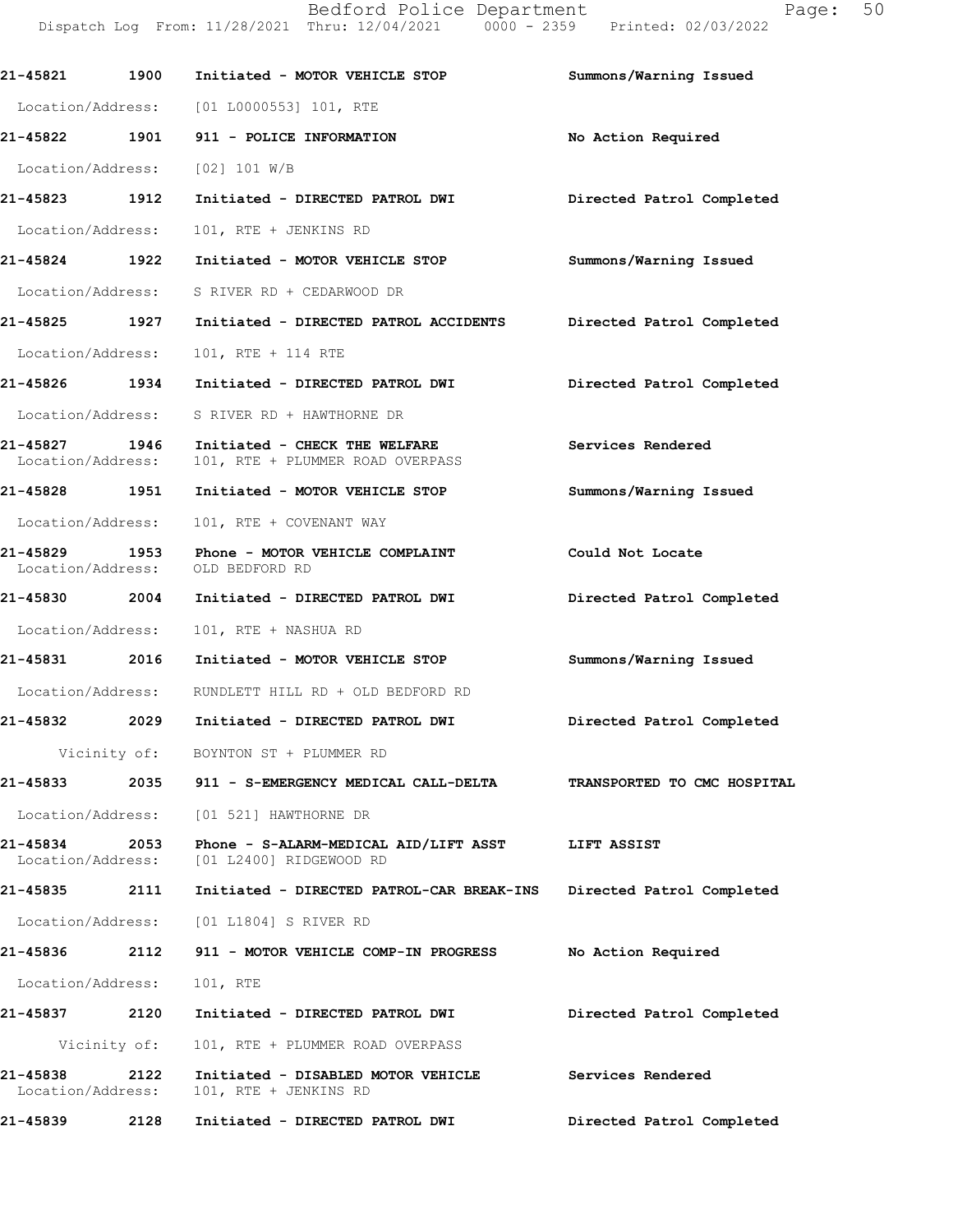| 21-45821                      | 1900         | Initiated - MOTOR VEHICLE STOP                                                      | Summons/Warning Issued      |  |
|-------------------------------|--------------|-------------------------------------------------------------------------------------|-----------------------------|--|
|                               |              | Location/Address: [01 L0000553] 101, RTE                                            |                             |  |
|                               |              |                                                                                     | No Action Required          |  |
|                               |              | Location/Address: [02] 101 W/B                                                      |                             |  |
| 21-45823 1912                 |              | Initiated - DIRECTED PATROL DWI                                                     | Directed Patrol Completed   |  |
| Location/Address:             |              | 101, RTE + JENKINS RD                                                               |                             |  |
| 21-45824 1922                 |              | Initiated - MOTOR VEHICLE STOP                                                      | Summons/Warning Issued      |  |
|                               |              | Location/Address: S RIVER RD + CEDARWOOD DR                                         |                             |  |
|                               |              | 21-45825 1927 Initiated - DIRECTED PATROL ACCIDENTS                                 | Directed Patrol Completed   |  |
| Location/Address:             |              | 101, RTE + 114 RTE                                                                  |                             |  |
|                               |              | 21-45826 1934 Initiated - DIRECTED PATROL DWI                                       | Directed Patrol Completed   |  |
|                               |              | Location/Address: S RIVER RD + HAWTHORNE DR                                         |                             |  |
| 21-45827 1946                 |              | Initiated - CHECK THE WELFARE<br>Location/Address: 101, RTE + PLUMMER ROAD OVERPASS | Services Rendered           |  |
|                               |              | 21-45828 1951 Initiated - MOTOR VEHICLE STOP                                        | Summons/Warning Issued      |  |
| Location/Address:             |              | 101, RTE + COVENANT WAY                                                             |                             |  |
| 21-45829                      |              | 1953 Phone - MOTOR VEHICLE COMPLAINT<br>Location/Address: OLD BEDFORD RD            | Could Not Locate            |  |
|                               |              | 21-45830  2004 Initiated - DIRECTED PATROL DWI                                      | Directed Patrol Completed   |  |
|                               |              | Location/Address: 101, RTE + NASHUA RD                                              |                             |  |
| 21-45831 2016                 |              | Initiated - MOTOR VEHICLE STOP                                                      | Summons/Warning Issued      |  |
|                               |              | Location/Address: RUNDLETT HILL RD + OLD BEDFORD RD                                 |                             |  |
|                               |              | 21-45832 2029 Initiated - DIRECTED PATROL DWI                                       | Directed Patrol Completed   |  |
|                               |              | Vicinity of: BOYNTON ST + PLUMMER RD                                                |                             |  |
| 21-45833                      | 2035         | 911 - S-EMERGENCY MEDICAL CALL-DELTA                                                | TRANSPORTED TO CMC HOSPITAL |  |
|                               |              | Location/Address: [01 521] HAWTHORNE DR                                             |                             |  |
| 21-45834<br>Location/Address: | 2053         | Phone - S-ALARM-MEDICAL AID/LIFT ASST<br>[01 L2400] RIDGEWOOD RD                    | LIFT ASSIST                 |  |
| 21-45835                      | 2111         | Initiated - DIRECTED PATROL-CAR BREAK-INS                                           | Directed Patrol Completed   |  |
| Location/Address:             |              | [01 L1804] S RIVER RD                                                               |                             |  |
| 21-45836                      | 2112         | 911 - MOTOR VEHICLE COMP-IN PROGRESS                                                | No Action Required          |  |
| Location/Address:             |              | 101, RTE                                                                            |                             |  |
| 21-45837                      | 2120         | Initiated - DIRECTED PATROL DWI                                                     | Directed Patrol Completed   |  |
|                               | Vicinity of: | 101, RTE + PLUMMER ROAD OVERPASS                                                    |                             |  |
| 21-45838<br>Location/Address: | 2122         | Initiated - DISABLED MOTOR VEHICLE<br>101, RTE + JENKINS RD                         | Services Rendered           |  |
| 21-45839                      | 2128         | Initiated - DIRECTED PATROL DWI                                                     | Directed Patrol Completed   |  |